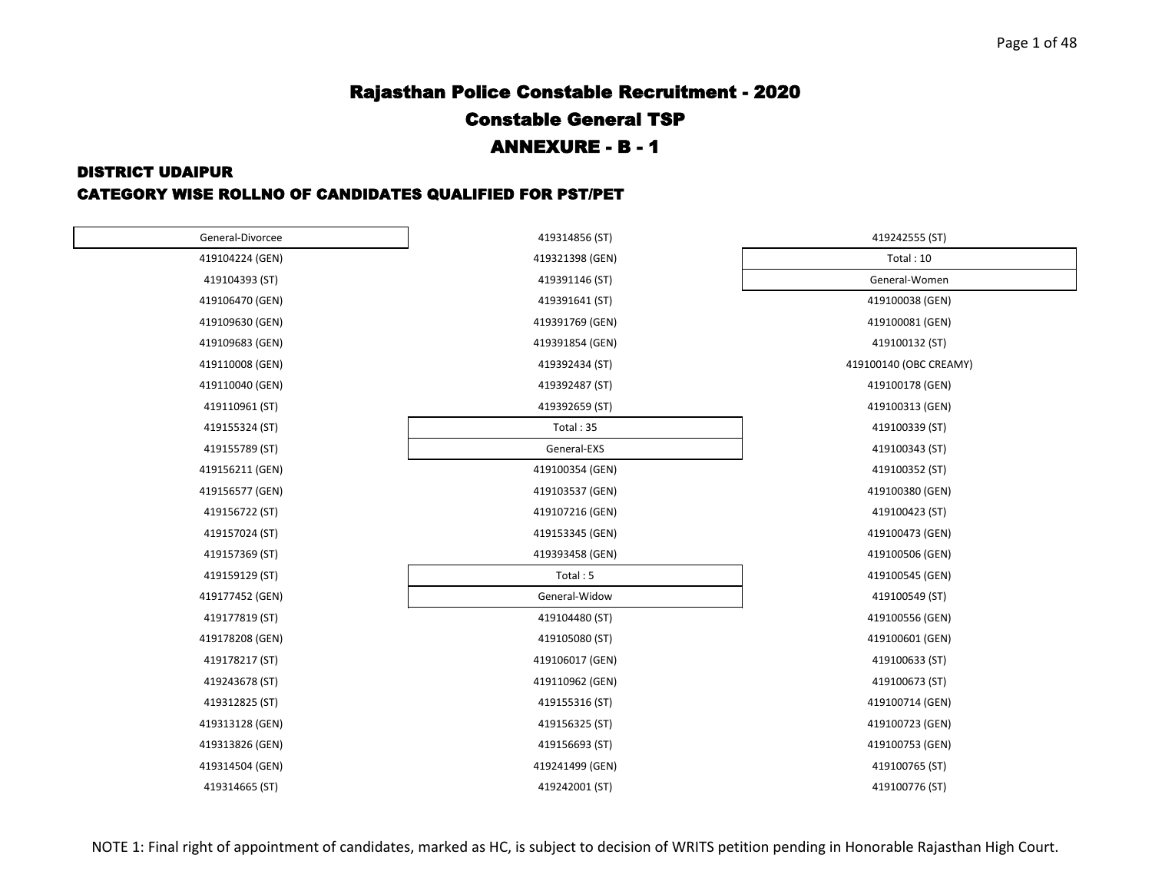#### DISTRICT UDAIPUR

#### CATEGORY WISE ROLLNO OF CANDIDATES QUALIFIED FOR PST/PET

| General-Divorcee | 419314856 (ST)  | 419242555 (ST)         |
|------------------|-----------------|------------------------|
| 419104224 (GEN)  | 419321398 (GEN) | Total: 10              |
| 419104393 (ST)   | 419391146 (ST)  | General-Women          |
| 419106470 (GEN)  | 419391641 (ST)  | 419100038 (GEN)        |
| 419109630 (GEN)  | 419391769 (GEN) | 419100081 (GEN)        |
| 419109683 (GEN)  | 419391854 (GEN) | 419100132 (ST)         |
| 419110008 (GEN)  | 419392434 (ST)  | 419100140 (OBC CREAMY) |
| 419110040 (GEN)  | 419392487 (ST)  | 419100178 (GEN)        |
| 419110961 (ST)   | 419392659 (ST)  | 419100313 (GEN)        |
| 419155324 (ST)   | Total: 35       | 419100339 (ST)         |
| 419155789 (ST)   | General-EXS     | 419100343 (ST)         |
| 419156211 (GEN)  | 419100354 (GEN) | 419100352 (ST)         |
| 419156577 (GEN)  | 419103537 (GEN) | 419100380 (GEN)        |
| 419156722 (ST)   | 419107216 (GEN) | 419100423 (ST)         |
| 419157024 (ST)   | 419153345 (GEN) | 419100473 (GEN)        |
| 419157369 (ST)   | 419393458 (GEN) | 419100506 (GEN)        |
| 419159129 (ST)   | Total: 5        | 419100545 (GEN)        |
| 419177452 (GEN)  | General-Widow   | 419100549 (ST)         |
| 419177819 (ST)   | 419104480 (ST)  | 419100556 (GEN)        |
| 419178208 (GEN)  | 419105080 (ST)  | 419100601 (GEN)        |
| 419178217 (ST)   | 419106017 (GEN) | 419100633 (ST)         |
| 419243678 (ST)   | 419110962 (GEN) | 419100673 (ST)         |
| 419312825 (ST)   | 419155316 (ST)  | 419100714 (GEN)        |
| 419313128 (GEN)  | 419156325 (ST)  | 419100723 (GEN)        |
| 419313826 (GEN)  | 419156693 (ST)  | 419100753 (GEN)        |
| 419314504 (GEN)  | 419241499 (GEN) | 419100765 (ST)         |
| 419314665 (ST)   | 419242001 (ST)  | 419100776 (ST)         |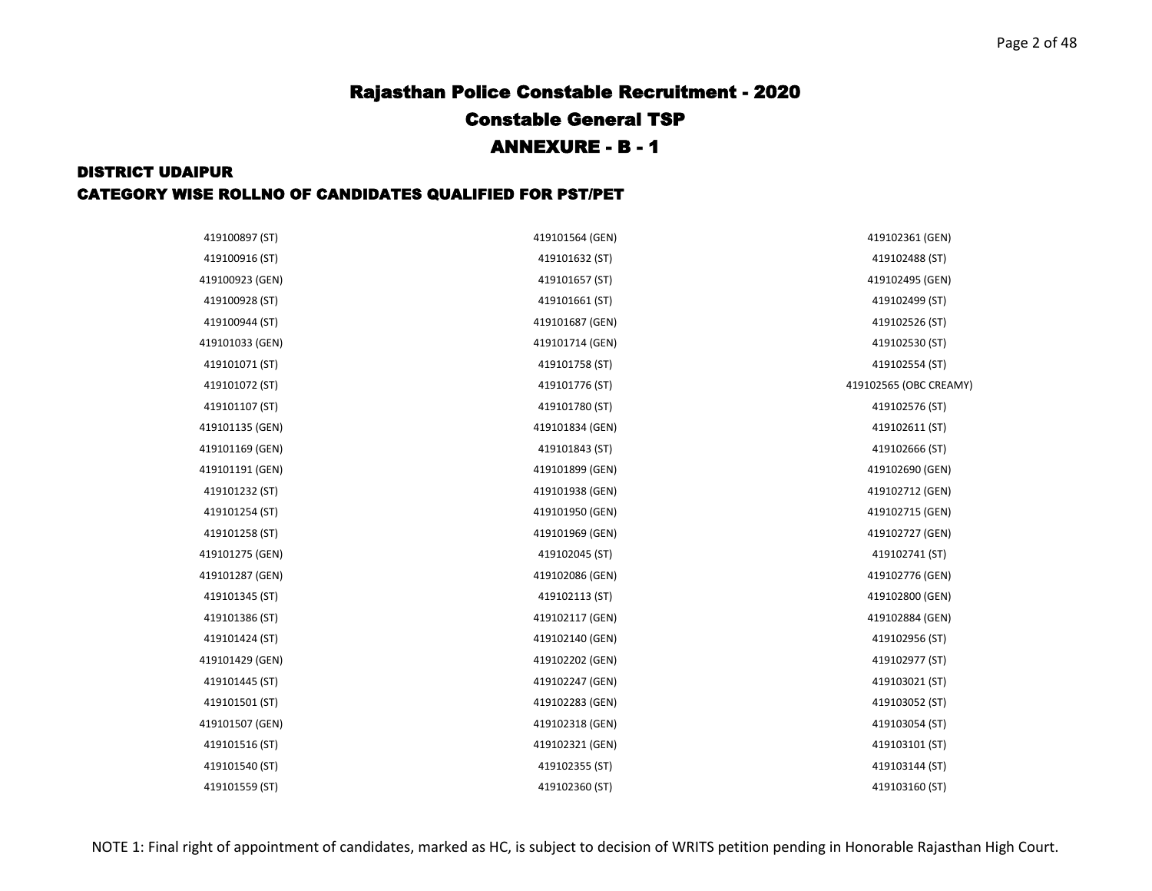| 419100897 (ST)  | 419101564 (GEN) | 419102361 (GEN)        |
|-----------------|-----------------|------------------------|
| 419100916 (ST)  | 419101632 (ST)  | 419102488 (ST)         |
| 419100923 (GEN) | 419101657 (ST)  | 419102495 (GEN)        |
| 419100928 (ST)  | 419101661 (ST)  | 419102499 (ST)         |
| 419100944 (ST)  | 419101687 (GEN) | 419102526 (ST)         |
| 419101033 (GEN) | 419101714 (GEN) | 419102530 (ST)         |
| 419101071 (ST)  | 419101758 (ST)  | 419102554 (ST)         |
| 419101072 (ST)  | 419101776 (ST)  | 419102565 (OBC CREAMY) |
| 419101107 (ST)  | 419101780 (ST)  | 419102576 (ST)         |
|                 |                 |                        |
| 419101135 (GEN) | 419101834 (GEN) | 419102611 (ST)         |
| 419101169 (GEN) | 419101843 (ST)  | 419102666 (ST)         |
| 419101191 (GEN) | 419101899 (GEN) | 419102690 (GEN)        |
| 419101232 (ST)  | 419101938 (GEN) | 419102712 (GEN)        |
| 419101254 (ST)  | 419101950 (GEN) | 419102715 (GEN)        |
| 419101258 (ST)  | 419101969 (GEN) | 419102727 (GEN)        |
| 419101275 (GEN) | 419102045 (ST)  | 419102741 (ST)         |
| 419101287 (GEN) | 419102086 (GEN) | 419102776 (GEN)        |
| 419101345 (ST)  | 419102113 (ST)  | 419102800 (GEN)        |
| 419101386 (ST)  | 419102117 (GEN) | 419102884 (GEN)        |
| 419101424 (ST)  | 419102140 (GEN) | 419102956 (ST)         |
| 419101429 (GEN) | 419102202 (GEN) | 419102977 (ST)         |
| 419101445 (ST)  | 419102247 (GEN) | 419103021 (ST)         |
| 419101501 (ST)  | 419102283 (GEN) | 419103052 (ST)         |
| 419101507 (GEN) | 419102318 (GEN) | 419103054 (ST)         |
| 419101516 (ST)  | 419102321 (GEN) | 419103101 (ST)         |
| 419101540 (ST)  | 419102355 (ST)  | 419103144 (ST)         |
| 419101559 (ST)  | 419102360 (ST)  | 419103160 (ST)         |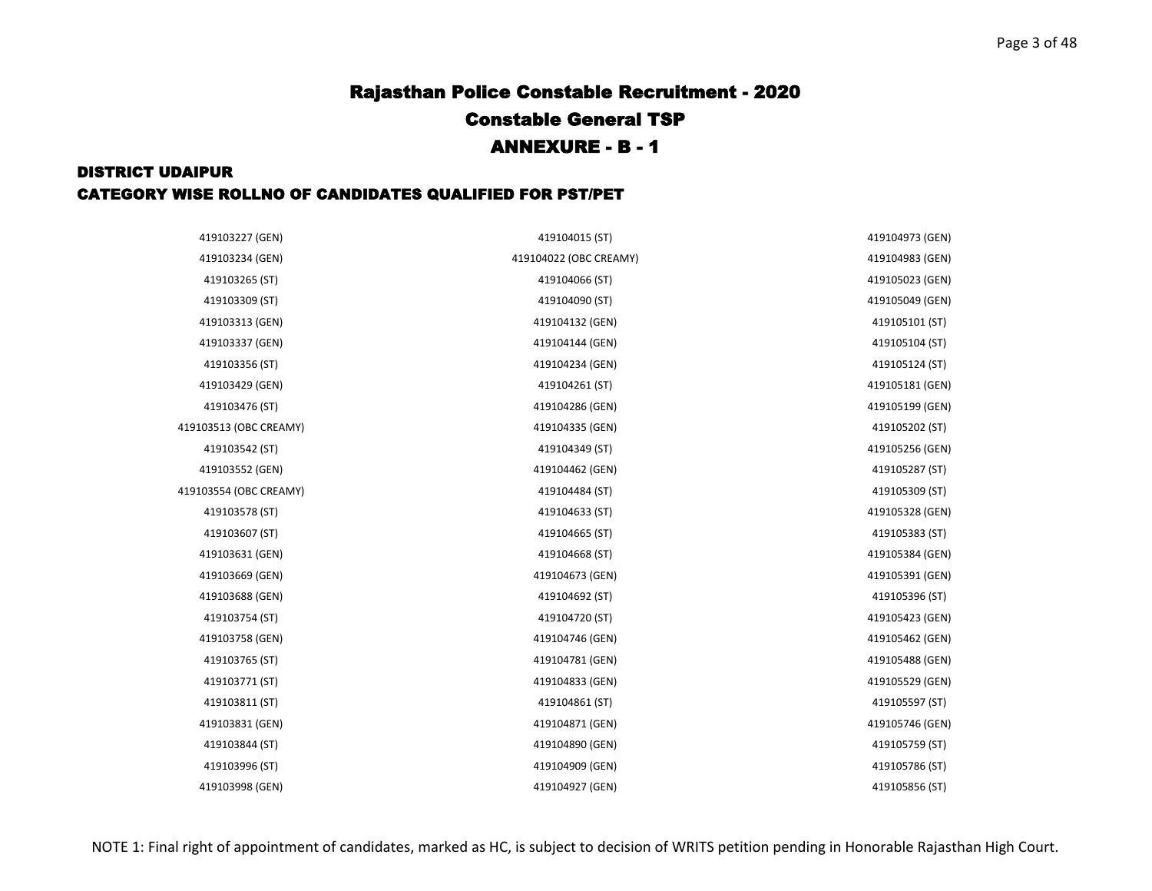| 419103227 (GEN)        | 419104015 (ST)         | 419104973 (GEN) |
|------------------------|------------------------|-----------------|
| 419103234 (GEN)        | 419104022 (OBC CREAMY) | 419104983 (GEN) |
| 419103265 (ST)         | 419104066 (ST)         | 419105023 (GEN) |
| 419103309 (ST)         | 419104090 (ST)         | 419105049 (GEN) |
| 419103313 (GEN)        | 419104132 (GEN)        | 419105101 (ST)  |
| 419103337 (GEN)        | 419104144 (GEN)        | 419105104 (ST)  |
| 419103356 (ST)         | 419104234 (GEN)        | 419105124 (ST)  |
| 419103429 (GEN)        | 419104261 (ST)         | 419105181 (GEN) |
| 419103476 (ST)         | 419104286 (GEN)        | 419105199 (GEN) |
| 419103513 (OBC CREAMY) | 419104335 (GEN)        | 419105202 (ST)  |
| 419103542 (ST)         | 419104349 (ST)         | 419105256 (GEN) |
| 419103552 (GEN)        | 419104462 (GEN)        | 419105287 (ST)  |
| 419103554 (OBC CREAMY) | 419104484 (ST)         | 419105309 (ST)  |
| 419103578 (ST)         | 419104633 (ST)         | 419105328 (GEN) |
| 419103607 (ST)         | 419104665 (ST)         | 419105383 (ST)  |
| 419103631 (GEN)        | 419104668 (ST)         | 419105384 (GEN) |
| 419103669 (GEN)        | 419104673 (GEN)        | 419105391 (GEN) |
| 419103688 (GEN)        | 419104692 (ST)         | 419105396 (ST)  |
| 419103754 (ST)         | 419104720 (ST)         | 419105423 (GEN) |
| 419103758 (GEN)        | 419104746 (GEN)        | 419105462 (GEN) |
| 419103765 (ST)         | 419104781 (GEN)        | 419105488 (GEN) |
| 419103771 (ST)         | 419104833 (GEN)        | 419105529 (GEN) |
| 419103811 (ST)         | 419104861 (ST)         | 419105597 (ST)  |
| 419103831 (GEN)        | 419104871 (GEN)        | 419105746 (GEN) |
| 419103844 (ST)         | 419104890 (GEN)        | 419105759 (ST)  |
| 419103996 (ST)         | 419104909 (GEN)        | 419105786 (ST)  |
| 419103998 (GEN)        | 419104927 (GEN)        | 419105856 (ST)  |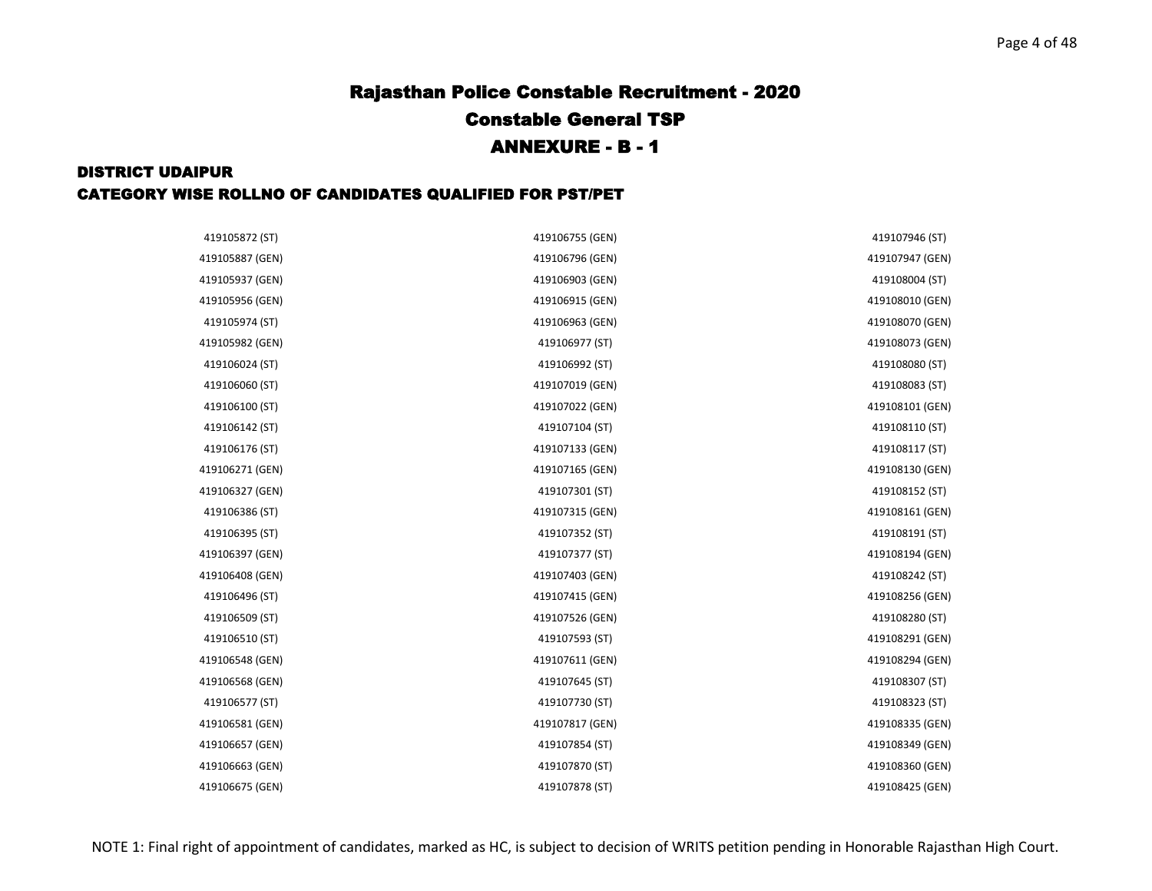| 419105872 (ST)  | 419106755 (GEN) | 419107946 (ST)  |
|-----------------|-----------------|-----------------|
| 419105887 (GEN) | 419106796 (GEN) | 419107947 (GEN) |
| 419105937 (GEN) | 419106903 (GEN) | 419108004 (ST)  |
| 419105956 (GEN) | 419106915 (GEN) | 419108010 (GEN) |
| 419105974 (ST)  | 419106963 (GEN) | 419108070 (GEN) |
| 419105982 (GEN) | 419106977 (ST)  | 419108073 (GEN) |
| 419106024 (ST)  | 419106992 (ST)  | 419108080 (ST)  |
| 419106060 (ST)  | 419107019 (GEN) | 419108083 (ST)  |
| 419106100 (ST)  | 419107022 (GEN) | 419108101 (GEN) |
| 419106142 (ST)  | 419107104 (ST)  | 419108110 (ST)  |
| 419106176 (ST)  | 419107133 (GEN) | 419108117 (ST)  |
| 419106271 (GEN) | 419107165 (GEN) | 419108130 (GEN) |
| 419106327 (GEN) | 419107301 (ST)  | 419108152 (ST)  |
| 419106386 (ST)  | 419107315 (GEN) | 419108161 (GEN) |
| 419106395 (ST)  | 419107352 (ST)  | 419108191 (ST)  |
| 419106397 (GEN) | 419107377 (ST)  | 419108194 (GEN) |
| 419106408 (GEN) | 419107403 (GEN) | 419108242 (ST)  |
| 419106496 (ST)  | 419107415 (GEN) | 419108256 (GEN) |
| 419106509 (ST)  | 419107526 (GEN) | 419108280 (ST)  |
| 419106510 (ST)  | 419107593 (ST)  | 419108291 (GEN) |
| 419106548 (GEN) | 419107611 (GEN) | 419108294 (GEN) |
| 419106568 (GEN) | 419107645 (ST)  | 419108307 (ST)  |
| 419106577 (ST)  | 419107730 (ST)  | 419108323 (ST)  |
| 419106581 (GEN) | 419107817 (GEN) | 419108335 (GEN) |
| 419106657 (GEN) | 419107854 (ST)  | 419108349 (GEN) |
| 419106663 (GEN) | 419107870 (ST)  | 419108360 (GEN) |
| 419106675 (GEN) | 419107878 (ST)  | 419108425 (GEN) |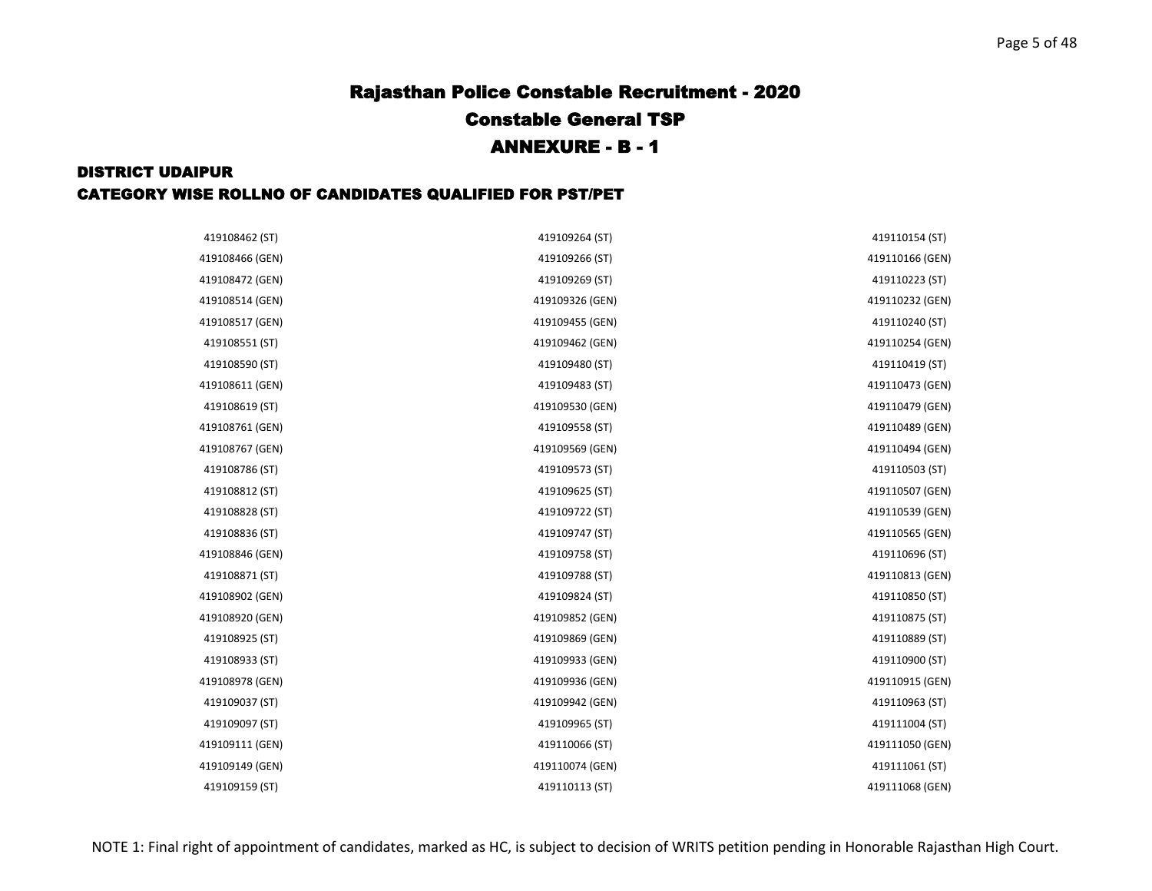| 419108462 (ST)  | 419109264 (ST)  | 419110154 (ST)  |
|-----------------|-----------------|-----------------|
| 419108466 (GEN) | 419109266 (ST)  | 419110166 (GEN) |
| 419108472 (GEN) | 419109269 (ST)  | 419110223 (ST)  |
| 419108514 (GEN) | 419109326 (GEN) | 419110232 (GEN) |
| 419108517 (GEN) | 419109455 (GEN) | 419110240 (ST)  |
| 419108551 (ST)  | 419109462 (GEN) | 419110254 (GEN) |
| 419108590 (ST)  | 419109480 (ST)  | 419110419 (ST)  |
| 419108611 (GEN) | 419109483 (ST)  | 419110473 (GEN) |
| 419108619 (ST)  | 419109530 (GEN) | 419110479 (GEN) |
| 419108761 (GEN) | 419109558 (ST)  | 419110489 (GEN) |
| 419108767 (GEN) | 419109569 (GEN) | 419110494 (GEN) |
| 419108786 (ST)  | 419109573 (ST)  | 419110503 (ST)  |
| 419108812 (ST)  | 419109625 (ST)  | 419110507 (GEN) |
| 419108828 (ST)  | 419109722 (ST)  | 419110539 (GEN) |
| 419108836 (ST)  | 419109747 (ST)  | 419110565 (GEN) |
| 419108846 (GEN) | 419109758 (ST)  | 419110696 (ST)  |
| 419108871 (ST)  | 419109788 (ST)  | 419110813 (GEN) |
| 419108902 (GEN) | 419109824 (ST)  | 419110850 (ST)  |
| 419108920 (GEN) | 419109852 (GEN) | 419110875 (ST)  |
| 419108925 (ST)  | 419109869 (GEN) | 419110889 (ST)  |
| 419108933 (ST)  | 419109933 (GEN) | 419110900 (ST)  |
| 419108978 (GEN) | 419109936 (GEN) | 419110915 (GEN) |
| 419109037 (ST)  | 419109942 (GEN) | 419110963 (ST)  |
| 419109097 (ST)  | 419109965 (ST)  | 419111004 (ST)  |
| 419109111 (GEN) | 419110066 (ST)  | 419111050 (GEN) |
| 419109149 (GEN) | 419110074 (GEN) | 419111061 (ST)  |
| 419109159 (ST)  | 419110113 (ST)  | 419111068 (GEN) |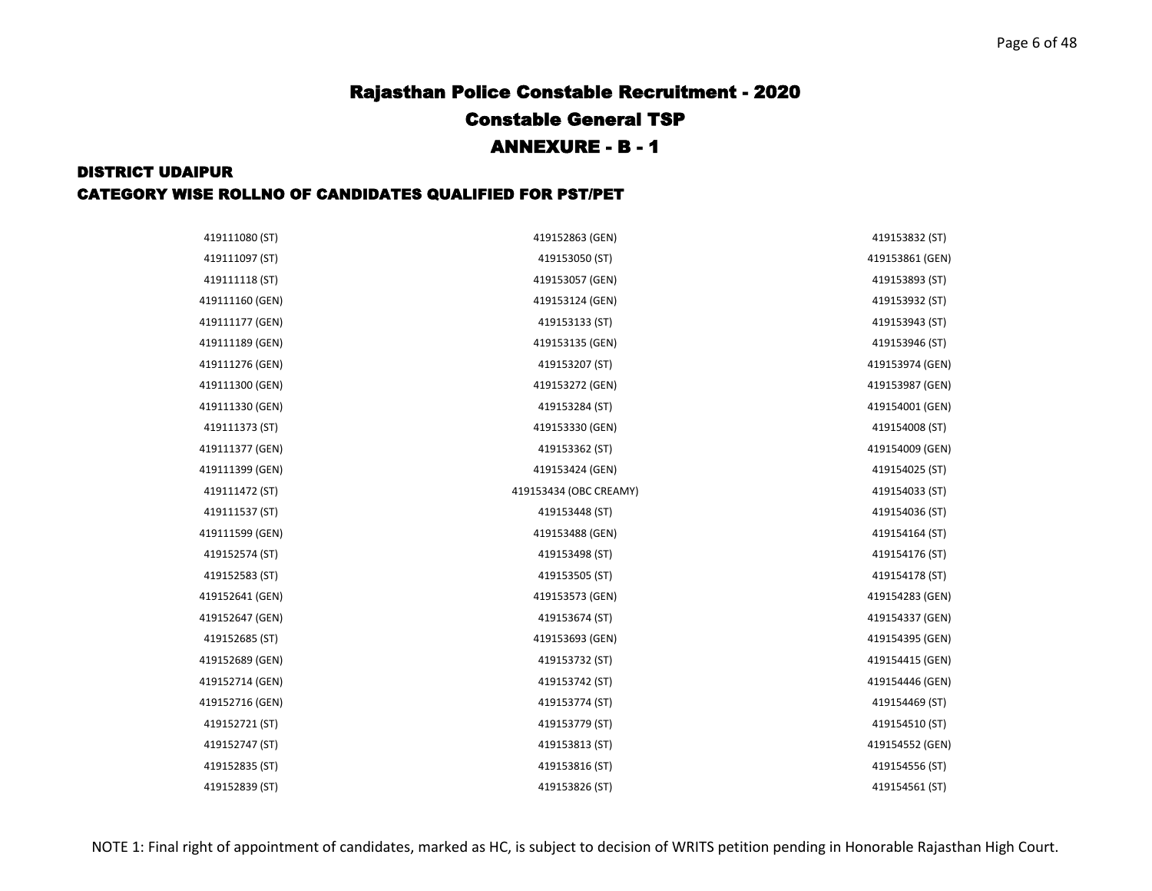| 419111080 (ST)  | 419152863 (GEN)        | 419153832 (ST)  |
|-----------------|------------------------|-----------------|
| 419111097 (ST)  | 419153050 (ST)         | 419153861 (GEN) |
| 419111118 (ST)  | 419153057 (GEN)        | 419153893 (ST)  |
| 419111160 (GEN) | 419153124 (GEN)        | 419153932 (ST)  |
| 419111177 (GEN) | 419153133 (ST)         | 419153943 (ST)  |
| 419111189 (GEN) | 419153135 (GEN)        | 419153946 (ST)  |
| 419111276 (GEN) | 419153207 (ST)         | 419153974 (GEN) |
| 419111300 (GEN) | 419153272 (GEN)        | 419153987 (GEN) |
| 419111330 (GEN) | 419153284 (ST)         | 419154001 (GEN) |
| 419111373 (ST)  | 419153330 (GEN)        | 419154008 (ST)  |
| 419111377 (GEN) | 419153362 (ST)         | 419154009 (GEN) |
| 419111399 (GEN) | 419153424 (GEN)        | 419154025 (ST)  |
| 419111472 (ST)  | 419153434 (OBC CREAMY) | 419154033 (ST)  |
| 419111537 (ST)  | 419153448 (ST)         | 419154036 (ST)  |
| 419111599 (GEN) | 419153488 (GEN)        | 419154164 (ST)  |
| 419152574 (ST)  | 419153498 (ST)         | 419154176 (ST)  |
| 419152583 (ST)  | 419153505 (ST)         | 419154178 (ST)  |
| 419152641 (GEN) | 419153573 (GEN)        | 419154283 (GEN) |
| 419152647 (GEN) | 419153674 (ST)         | 419154337 (GEN) |
| 419152685 (ST)  | 419153693 (GEN)        | 419154395 (GEN) |
| 419152689 (GEN) | 419153732 (ST)         | 419154415 (GEN) |
| 419152714 (GEN) | 419153742 (ST)         | 419154446 (GEN) |
| 419152716 (GEN) | 419153774 (ST)         | 419154469 (ST)  |
| 419152721 (ST)  | 419153779 (ST)         | 419154510 (ST)  |
| 419152747 (ST)  | 419153813 (ST)         | 419154552 (GEN) |
| 419152835 (ST)  | 419153816 (ST)         | 419154556 (ST)  |
| 419152839 (ST)  | 419153826 (ST)         | 419154561 (ST)  |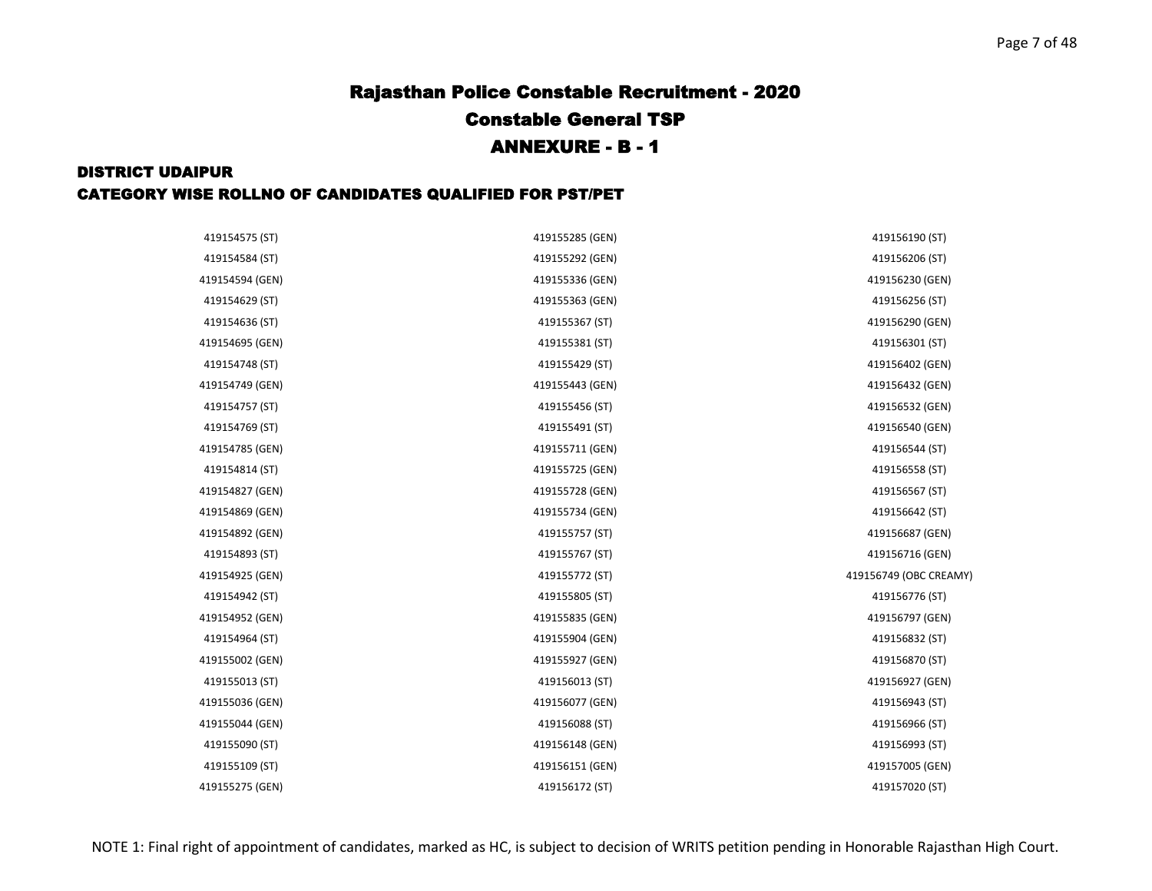| 419154575 (ST)  | 419155285 (GEN) | 419156190 (ST)         |
|-----------------|-----------------|------------------------|
| 419154584 (ST)  | 419155292 (GEN) | 419156206 (ST)         |
| 419154594 (GEN) | 419155336 (GEN) | 419156230 (GEN)        |
| 419154629 (ST)  | 419155363 (GEN) | 419156256 (ST)         |
| 419154636 (ST)  | 419155367 (ST)  | 419156290 (GEN)        |
| 419154695 (GEN) | 419155381 (ST)  | 419156301 (ST)         |
| 419154748 (ST)  | 419155429 (ST)  | 419156402 (GEN)        |
| 419154749 (GEN) | 419155443 (GEN) | 419156432 (GEN)        |
| 419154757 (ST)  | 419155456 (ST)  | 419156532 (GEN)        |
| 419154769 (ST)  | 419155491 (ST)  | 419156540 (GEN)        |
| 419154785 (GEN) | 419155711 (GEN) | 419156544 (ST)         |
| 419154814 (ST)  | 419155725 (GEN) | 419156558 (ST)         |
| 419154827 (GEN) | 419155728 (GEN) | 419156567 (ST)         |
| 419154869 (GEN) | 419155734 (GEN) | 419156642 (ST)         |
| 419154892 (GEN) | 419155757 (ST)  | 419156687 (GEN)        |
| 419154893 (ST)  | 419155767 (ST)  | 419156716 (GEN)        |
| 419154925 (GEN) | 419155772 (ST)  | 419156749 (OBC CREAMY) |
| 419154942 (ST)  | 419155805 (ST)  | 419156776 (ST)         |
| 419154952 (GEN) | 419155835 (GEN) | 419156797 (GEN)        |
| 419154964 (ST)  | 419155904 (GEN) | 419156832 (ST)         |
| 419155002 (GEN) | 419155927 (GEN) | 419156870 (ST)         |
| 419155013 (ST)  | 419156013 (ST)  | 419156927 (GEN)        |
| 419155036 (GEN) | 419156077 (GEN) | 419156943 (ST)         |
| 419155044 (GEN) | 419156088 (ST)  | 419156966 (ST)         |
| 419155090 (ST)  | 419156148 (GEN) | 419156993 (ST)         |
| 419155109 (ST)  | 419156151 (GEN) | 419157005 (GEN)        |
| 419155275 (GEN) | 419156172 (ST)  | 419157020 (ST)         |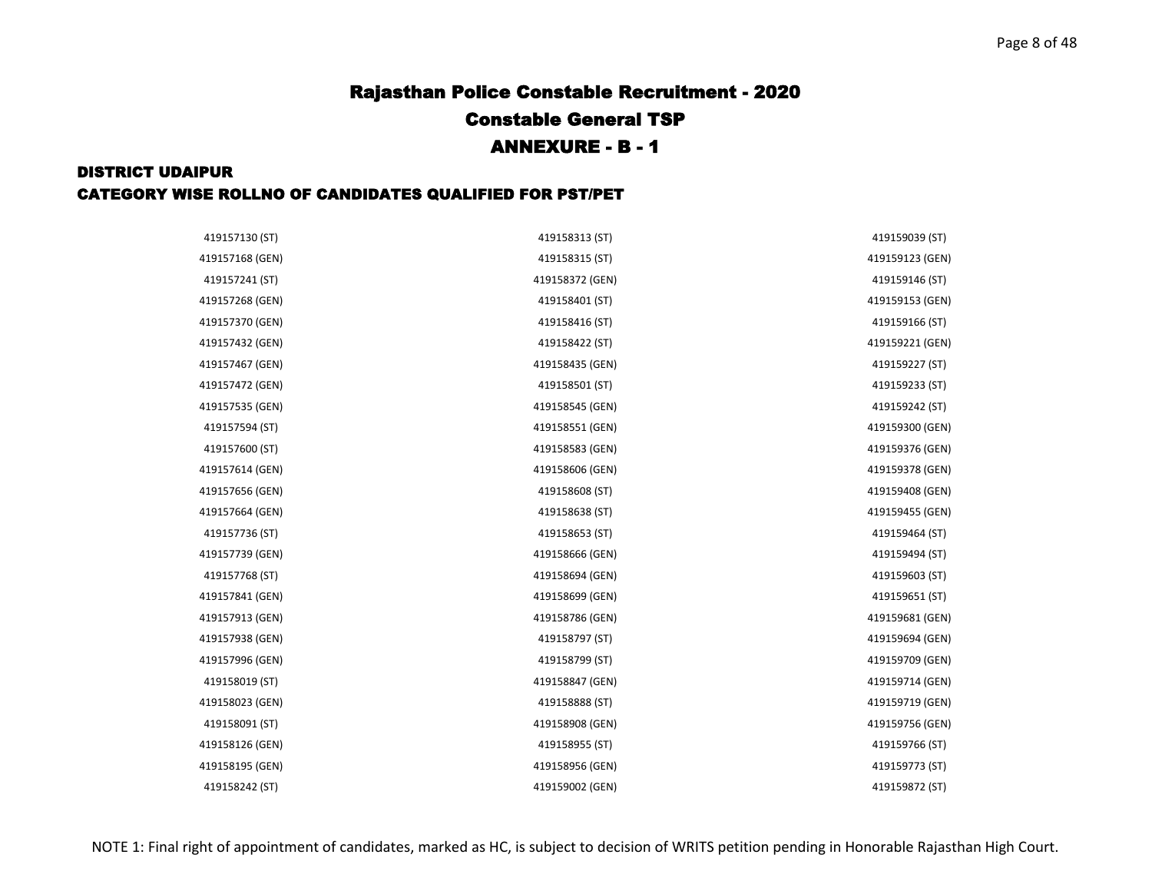| 419157130 (ST)  | 419158313 (ST)  | 419159039 (ST)  |
|-----------------|-----------------|-----------------|
| 419157168 (GEN) | 419158315 (ST)  | 419159123 (GEN) |
| 419157241 (ST)  | 419158372 (GEN) | 419159146 (ST)  |
| 419157268 (GEN) | 419158401 (ST)  | 419159153 (GEN) |
| 419157370 (GEN) | 419158416 (ST)  | 419159166 (ST)  |
| 419157432 (GEN) | 419158422 (ST)  | 419159221 (GEN) |
| 419157467 (GEN) | 419158435 (GEN) | 419159227 (ST)  |
| 419157472 (GEN) | 419158501 (ST)  | 419159233 (ST)  |
| 419157535 (GEN) | 419158545 (GEN) | 419159242 (ST)  |
| 419157594 (ST)  | 419158551 (GEN) | 419159300 (GEN) |
| 419157600 (ST)  | 419158583 (GEN) | 419159376 (GEN) |
| 419157614 (GEN) | 419158606 (GEN) | 419159378 (GEN) |
| 419157656 (GEN) | 419158608 (ST)  | 419159408 (GEN) |
| 419157664 (GEN) | 419158638 (ST)  | 419159455 (GEN) |
| 419157736 (ST)  | 419158653 (ST)  | 419159464 (ST)  |
| 419157739 (GEN) | 419158666 (GEN) | 419159494 (ST)  |
| 419157768 (ST)  | 419158694 (GEN) | 419159603 (ST)  |
| 419157841 (GEN) | 419158699 (GEN) | 419159651 (ST)  |
| 419157913 (GEN) | 419158786 (GEN) | 419159681 (GEN) |
| 419157938 (GEN) | 419158797 (ST)  | 419159694 (GEN) |
| 419157996 (GEN) | 419158799 (ST)  | 419159709 (GEN) |
| 419158019 (ST)  | 419158847 (GEN) | 419159714 (GEN) |
| 419158023 (GEN) | 419158888 (ST)  | 419159719 (GEN) |
| 419158091 (ST)  | 419158908 (GEN) | 419159756 (GEN) |
| 419158126 (GEN) | 419158955 (ST)  | 419159766 (ST)  |
| 419158195 (GEN) | 419158956 (GEN) | 419159773 (ST)  |
| 419158242 (ST)  | 419159002 (GEN) | 419159872 (ST)  |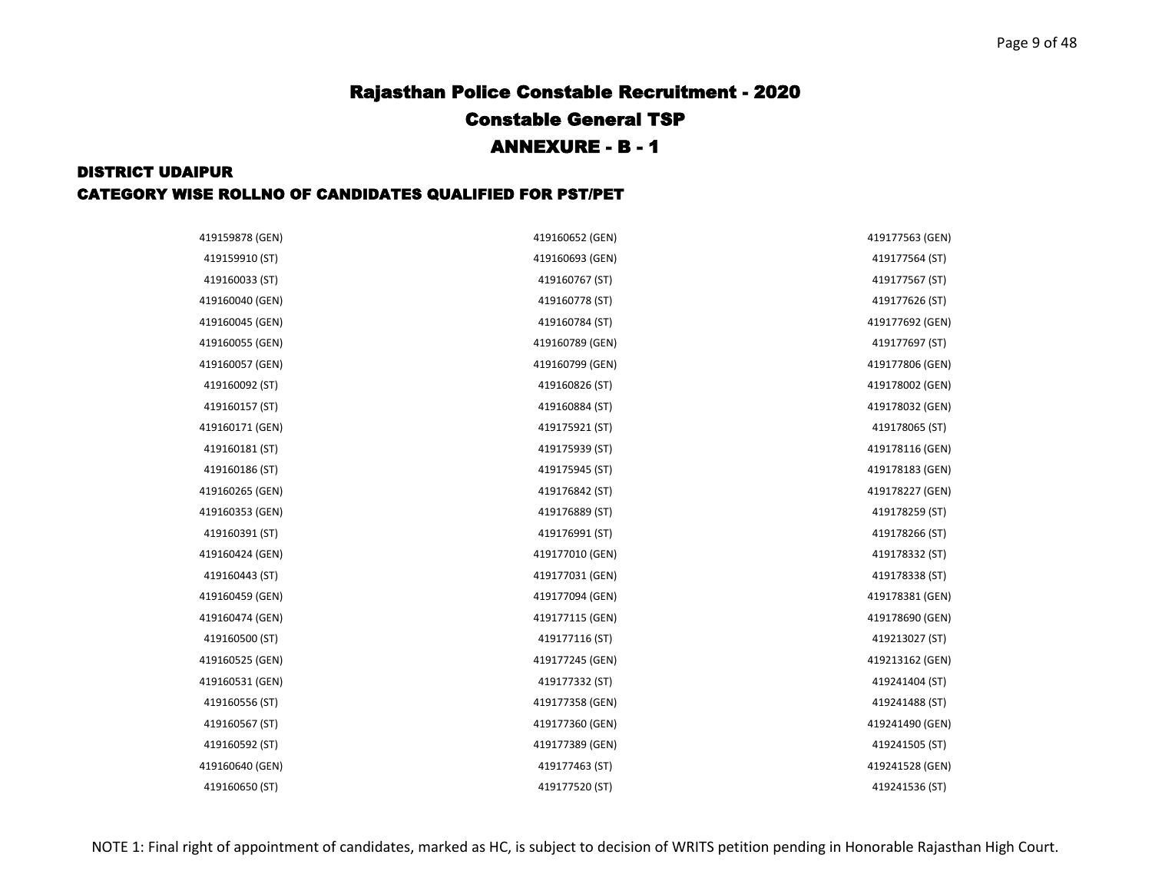| 419159878 (GEN) | 419160652 (GEN) | 419177563 (GEN) |
|-----------------|-----------------|-----------------|
| 419159910 (ST)  | 419160693 (GEN) | 419177564 (ST)  |
| 419160033 (ST)  | 419160767 (ST)  | 419177567 (ST)  |
| 419160040 (GEN) | 419160778 (ST)  | 419177626 (ST)  |
| 419160045 (GEN) | 419160784 (ST)  | 419177692 (GEN) |
| 419160055 (GEN) | 419160789 (GEN) | 419177697 (ST)  |
| 419160057 (GEN) | 419160799 (GEN) | 419177806 (GEN) |
| 419160092 (ST)  | 419160826 (ST)  | 419178002 (GEN) |
| 419160157 (ST)  | 419160884 (ST)  | 419178032 (GEN) |
| 419160171 (GEN) | 419175921 (ST)  | 419178065 (ST)  |
| 419160181 (ST)  | 419175939 (ST)  | 419178116 (GEN) |
| 419160186 (ST)  | 419175945 (ST)  | 419178183 (GEN) |
| 419160265 (GEN) | 419176842 (ST)  | 419178227 (GEN) |
| 419160353 (GEN) | 419176889 (ST)  | 419178259 (ST)  |
| 419160391 (ST)  | 419176991 (ST)  | 419178266 (ST)  |
| 419160424 (GEN) | 419177010 (GEN) | 419178332 (ST)  |
| 419160443 (ST)  | 419177031 (GEN) | 419178338 (ST)  |
| 419160459 (GEN) | 419177094 (GEN) | 419178381 (GEN) |
| 419160474 (GEN) | 419177115 (GEN) | 419178690 (GEN) |
| 419160500 (ST)  | 419177116 (ST)  | 419213027 (ST)  |
| 419160525 (GEN) | 419177245 (GEN) | 419213162 (GEN) |
| 419160531 (GEN) | 419177332 (ST)  | 419241404 (ST)  |
| 419160556 (ST)  | 419177358 (GEN) | 419241488 (ST)  |
| 419160567 (ST)  | 419177360 (GEN) | 419241490 (GEN) |
| 419160592 (ST)  | 419177389 (GEN) | 419241505 (ST)  |
| 419160640 (GEN) | 419177463 (ST)  | 419241528 (GEN) |
| 419160650 (ST)  | 419177520 (ST)  | 419241536 (ST)  |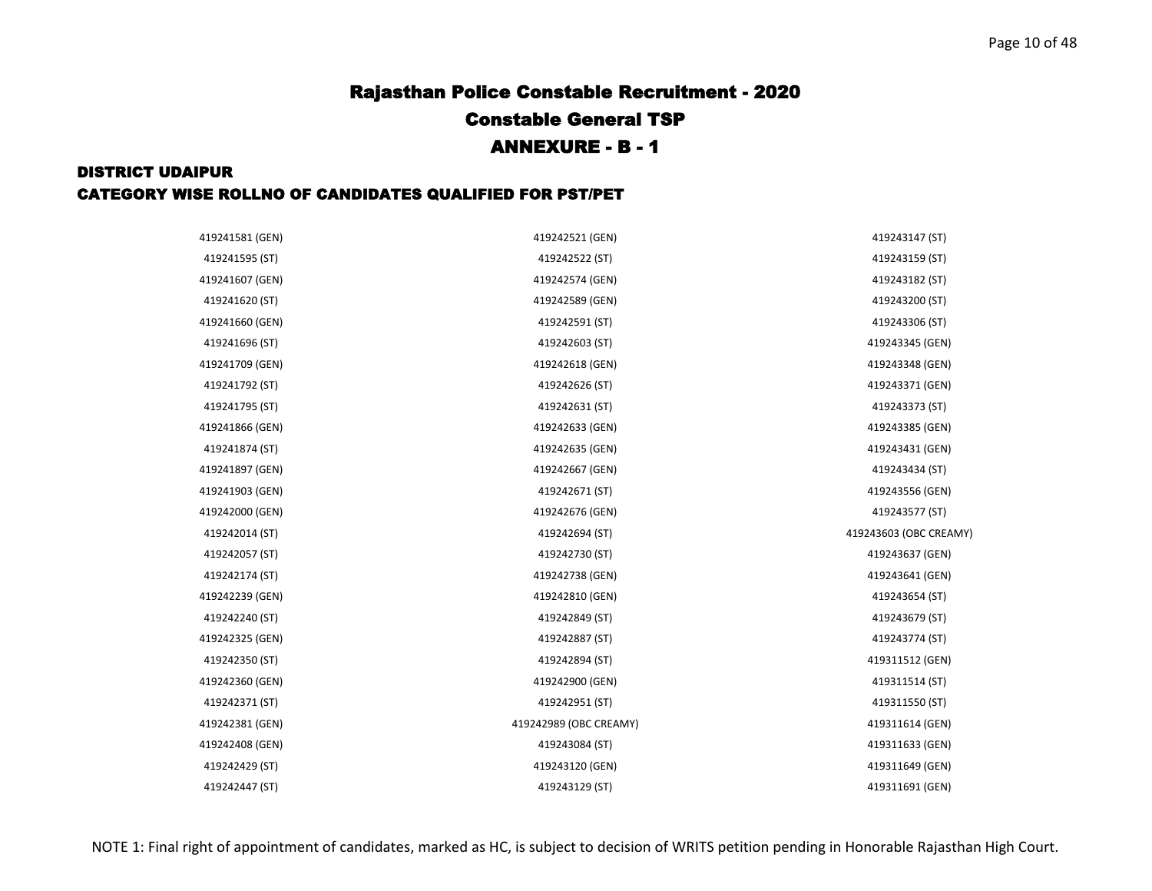| 419241581 (GEN) | 419242521 (GEN)        | 419243147 (ST)         |
|-----------------|------------------------|------------------------|
| 419241595 (ST)  | 419242522 (ST)         | 419243159 (ST)         |
| 419241607 (GEN) | 419242574 (GEN)        | 419243182 (ST)         |
| 419241620 (ST)  | 419242589 (GEN)        | 419243200 (ST)         |
| 419241660 (GEN) | 419242591 (ST)         | 419243306 (ST)         |
| 419241696 (ST)  | 419242603 (ST)         | 419243345 (GEN)        |
| 419241709 (GEN) | 419242618 (GEN)        | 419243348 (GEN)        |
| 419241792 (ST)  | 419242626 (ST)         | 419243371 (GEN)        |
| 419241795 (ST)  | 419242631 (ST)         | 419243373 (ST)         |
| 419241866 (GEN) | 419242633 (GEN)        | 419243385 (GEN)        |
| 419241874 (ST)  | 419242635 (GEN)        | 419243431 (GEN)        |
| 419241897 (GEN) | 419242667 (GEN)        | 419243434 (ST)         |
| 419241903 (GEN) | 419242671 (ST)         | 419243556 (GEN)        |
| 419242000 (GEN) | 419242676 (GEN)        | 419243577 (ST)         |
| 419242014 (ST)  | 419242694 (ST)         | 419243603 (OBC CREAMY) |
| 419242057 (ST)  | 419242730 (ST)         | 419243637 (GEN)        |
| 419242174 (ST)  | 419242738 (GEN)        | 419243641 (GEN)        |
| 419242239 (GEN) | 419242810 (GEN)        | 419243654 (ST)         |
| 419242240 (ST)  | 419242849 (ST)         | 419243679 (ST)         |
| 419242325 (GEN) | 419242887 (ST)         | 419243774 (ST)         |
| 419242350 (ST)  | 419242894 (ST)         | 419311512 (GEN)        |
| 419242360 (GEN) | 419242900 (GEN)        | 419311514 (ST)         |
| 419242371 (ST)  | 419242951 (ST)         | 419311550 (ST)         |
| 419242381 (GEN) | 419242989 (OBC CREAMY) | 419311614 (GEN)        |
| 419242408 (GEN) | 419243084 (ST)         | 419311633 (GEN)        |
| 419242429 (ST)  | 419243120 (GEN)        | 419311649 (GEN)        |
| 419242447 (ST)  | 419243129 (ST)         | 419311691 (GEN)        |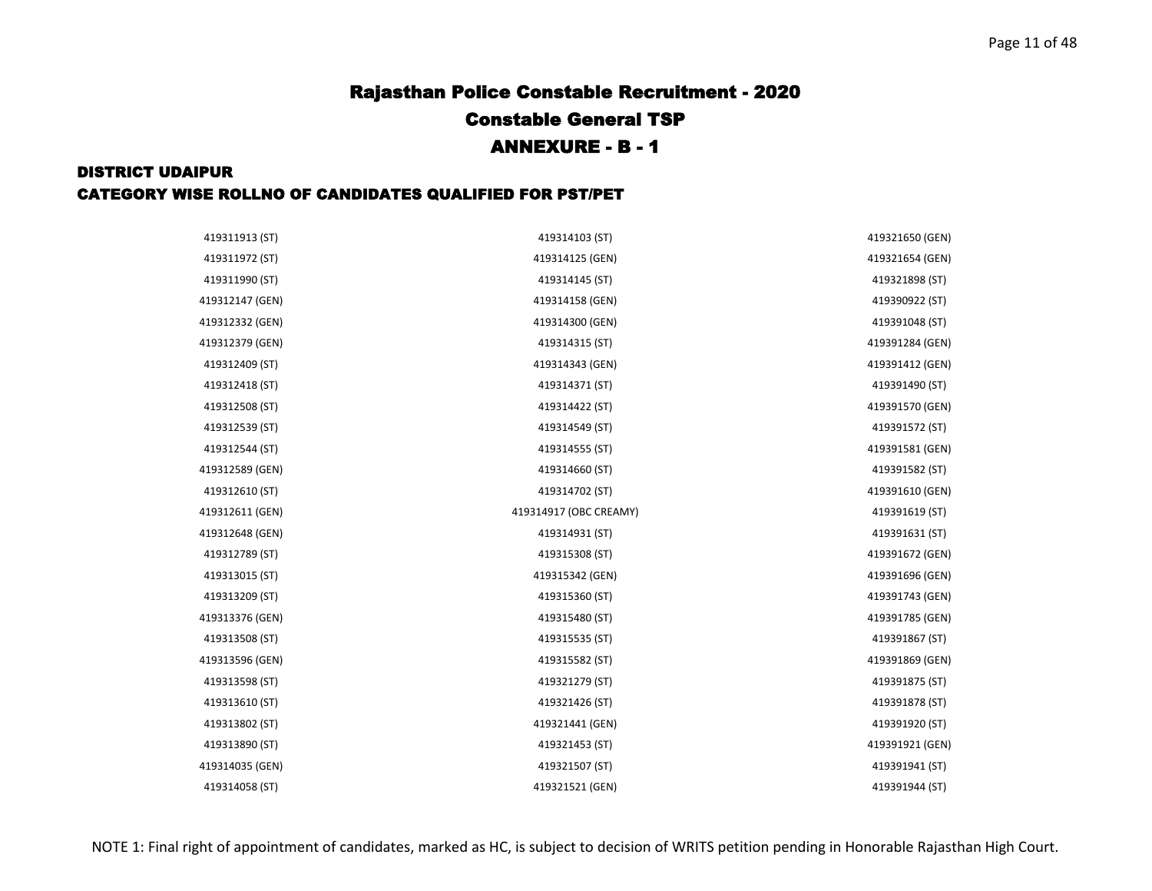| 419311913 (ST)  | 419314103 (ST)         | 419321650 (GEN) |
|-----------------|------------------------|-----------------|
| 419311972 (ST)  | 419314125 (GEN)        | 419321654 (GEN) |
| 419311990 (ST)  | 419314145 (ST)         | 419321898 (ST)  |
| 419312147 (GEN) | 419314158 (GEN)        | 419390922 (ST)  |
| 419312332 (GEN) | 419314300 (GEN)        | 419391048 (ST)  |
| 419312379 (GEN) | 419314315 (ST)         | 419391284 (GEN) |
| 419312409 (ST)  | 419314343 (GEN)        | 419391412 (GEN) |
| 419312418 (ST)  | 419314371 (ST)         | 419391490 (ST)  |
| 419312508 (ST)  | 419314422 (ST)         | 419391570 (GEN) |
| 419312539 (ST)  | 419314549 (ST)         | 419391572 (ST)  |
| 419312544 (ST)  | 419314555 (ST)         | 419391581 (GEN) |
| 419312589 (GEN) | 419314660 (ST)         | 419391582 (ST)  |
| 419312610 (ST)  | 419314702 (ST)         | 419391610 (GEN) |
| 419312611 (GEN) | 419314917 (OBC CREAMY) | 419391619 (ST)  |
| 419312648 (GEN) | 419314931 (ST)         | 419391631 (ST)  |
| 419312789 (ST)  | 419315308 (ST)         | 419391672 (GEN) |
| 419313015 (ST)  | 419315342 (GEN)        | 419391696 (GEN) |
| 419313209 (ST)  | 419315360 (ST)         | 419391743 (GEN) |
| 419313376 (GEN) | 419315480 (ST)         | 419391785 (GEN) |
| 419313508 (ST)  | 419315535 (ST)         | 419391867 (ST)  |
| 419313596 (GEN) | 419315582 (ST)         | 419391869 (GEN) |
| 419313598 (ST)  | 419321279 (ST)         | 419391875 (ST)  |
| 419313610 (ST)  | 419321426 (ST)         | 419391878 (ST)  |
| 419313802 (ST)  | 419321441 (GEN)        | 419391920 (ST)  |
| 419313890 (ST)  | 419321453 (ST)         | 419391921 (GEN) |
| 419314035 (GEN) | 419321507 (ST)         | 419391941 (ST)  |
| 419314058 (ST)  | 419321521 (GEN)        | 419391944 (ST)  |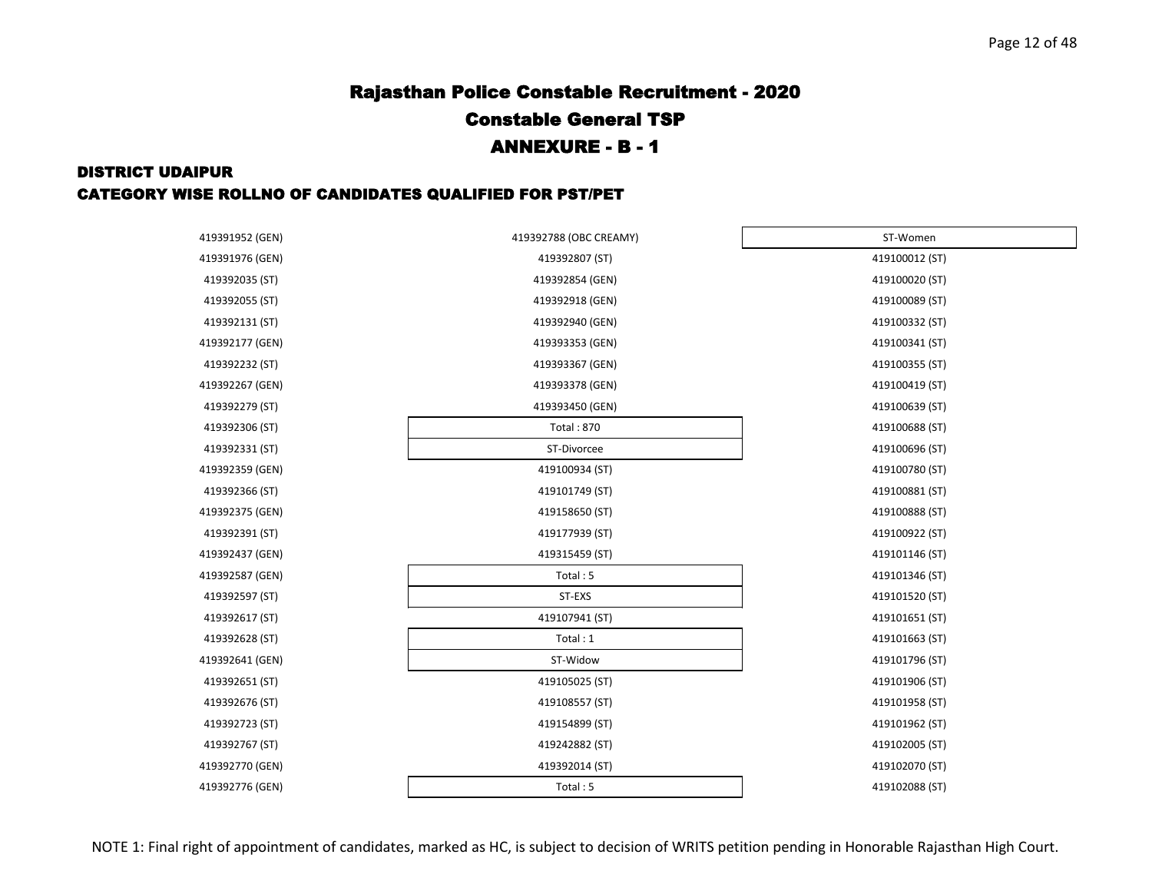| 419391952 (GEN) | 419392788 (OBC CREAMY) | ST-Women       |
|-----------------|------------------------|----------------|
| 419391976 (GEN) | 419392807 (ST)         | 419100012 (ST) |
| 419392035 (ST)  | 419392854 (GEN)        | 419100020 (ST) |
| 419392055 (ST)  | 419392918 (GEN)        | 419100089 (ST) |
| 419392131 (ST)  | 419392940 (GEN)        | 419100332 (ST) |
| 419392177 (GEN) | 419393353 (GEN)        | 419100341 (ST) |
| 419392232 (ST)  | 419393367 (GEN)        | 419100355 (ST) |
| 419392267 (GEN) | 419393378 (GEN)        | 419100419 (ST) |
| 419392279 (ST)  | 419393450 (GEN)        | 419100639 (ST) |
| 419392306 (ST)  | <b>Total: 870</b>      | 419100688 (ST) |
| 419392331 (ST)  | ST-Divorcee            | 419100696 (ST) |
| 419392359 (GEN) | 419100934 (ST)         | 419100780 (ST) |
| 419392366 (ST)  | 419101749 (ST)         | 419100881 (ST) |
| 419392375 (GEN) | 419158650 (ST)         | 419100888 (ST) |
| 419392391 (ST)  | 419177939 (ST)         | 419100922 (ST) |
| 419392437 (GEN) | 419315459 (ST)         | 419101146 (ST) |
| 419392587 (GEN) | Total: 5               | 419101346 (ST) |
| 419392597 (ST)  | ST-EXS                 | 419101520 (ST) |
| 419392617 (ST)  | 419107941 (ST)         | 419101651 (ST) |
| 419392628 (ST)  | Total: 1               | 419101663 (ST) |
| 419392641 (GEN) | ST-Widow               | 419101796 (ST) |
| 419392651 (ST)  | 419105025 (ST)         | 419101906 (ST) |
| 419392676 (ST)  | 419108557 (ST)         | 419101958 (ST) |
| 419392723 (ST)  | 419154899 (ST)         | 419101962 (ST) |
| 419392767 (ST)  | 419242882 (ST)         | 419102005 (ST) |
| 419392770 (GEN) | 419392014 (ST)         | 419102070 (ST) |
| 419392776 (GEN) | Total: 5               | 419102088 (ST) |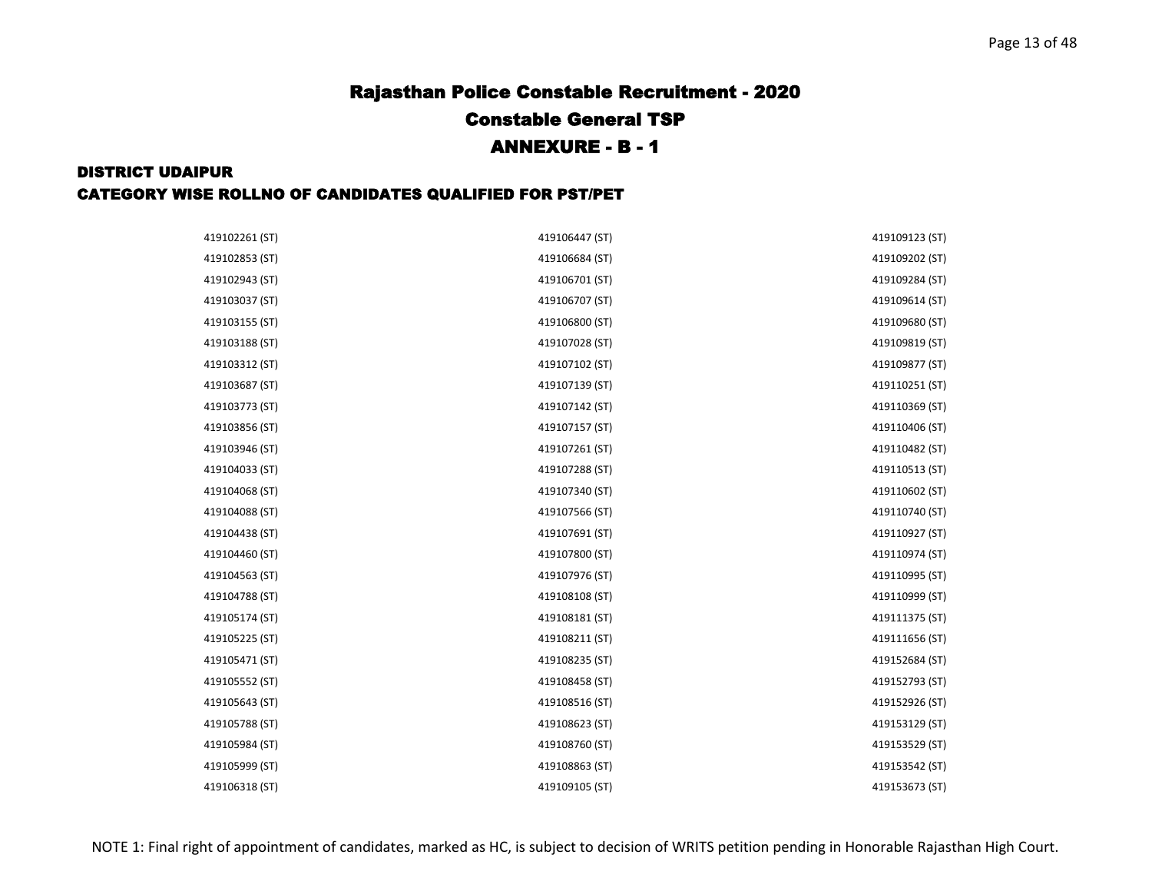| 419102261 (ST) | 419106447 (ST) | 419109123 (ST) |
|----------------|----------------|----------------|
| 419102853 (ST) | 419106684 (ST) | 419109202 (ST) |
| 419102943 (ST) | 419106701 (ST) | 419109284 (ST) |
| 419103037 (ST) | 419106707 (ST) | 419109614 (ST) |
| 419103155 (ST) | 419106800 (ST) | 419109680 (ST) |
| 419103188 (ST) | 419107028 (ST) | 419109819 (ST) |
| 419103312 (ST) | 419107102 (ST) | 419109877 (ST) |
| 419103687 (ST) | 419107139 (ST) | 419110251 (ST) |
| 419103773 (ST) | 419107142 (ST) | 419110369 (ST) |
| 419103856 (ST) | 419107157 (ST) | 419110406 (ST) |
| 419103946 (ST) | 419107261 (ST) | 419110482 (ST) |
| 419104033 (ST) | 419107288 (ST) | 419110513 (ST) |
| 419104068 (ST) | 419107340 (ST) | 419110602 (ST) |
| 419104088 (ST) | 419107566 (ST) | 419110740 (ST) |
| 419104438 (ST) | 419107691 (ST) | 419110927 (ST) |
| 419104460 (ST) | 419107800 (ST) | 419110974 (ST) |
| 419104563 (ST) | 419107976 (ST) | 419110995 (ST) |
| 419104788 (ST) | 419108108 (ST) | 419110999 (ST) |
| 419105174 (ST) | 419108181 (ST) | 419111375 (ST) |
| 419105225 (ST) | 419108211 (ST) | 419111656 (ST) |
| 419105471 (ST) | 419108235 (ST) | 419152684 (ST) |
| 419105552 (ST) | 419108458 (ST) | 419152793 (ST) |
| 419105643 (ST) | 419108516 (ST) | 419152926 (ST) |
| 419105788 (ST) | 419108623 (ST) | 419153129 (ST) |
| 419105984 (ST) | 419108760 (ST) | 419153529 (ST) |
| 419105999 (ST) | 419108863 (ST) | 419153542 (ST) |
| 419106318 (ST) | 419109105 (ST) | 419153673 (ST) |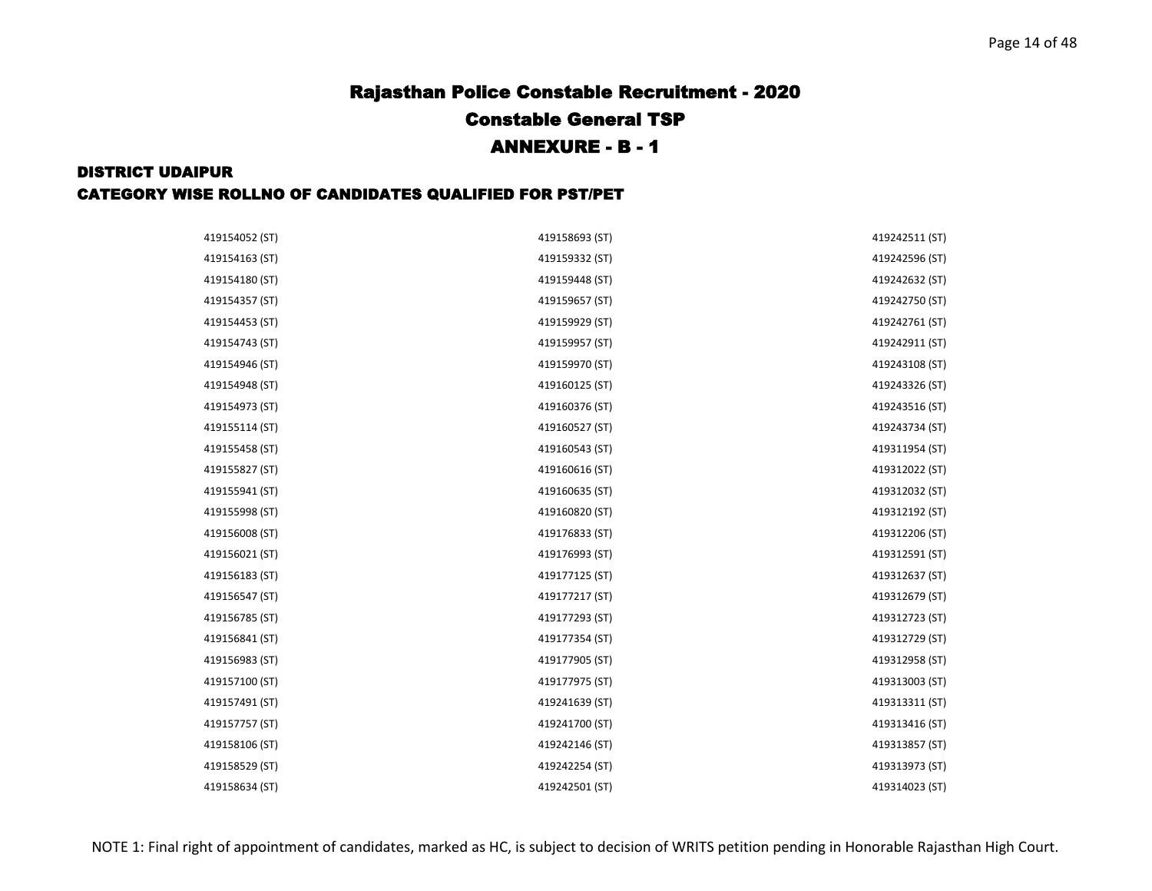| 419154052 (ST) | 419158693 (ST) | 419242511 (ST) |
|----------------|----------------|----------------|
| 419154163 (ST) | 419159332 (ST) | 419242596 (ST) |
| 419154180 (ST) | 419159448 (ST) | 419242632 (ST) |
| 419154357 (ST) | 419159657 (ST) | 419242750 (ST) |
| 419154453 (ST) | 419159929 (ST) | 419242761 (ST) |
| 419154743 (ST) | 419159957 (ST) | 419242911 (ST) |
| 419154946 (ST) | 419159970 (ST) | 419243108 (ST) |
| 419154948 (ST) | 419160125 (ST) | 419243326 (ST) |
| 419154973 (ST) | 419160376 (ST) | 419243516 (ST) |
| 419155114 (ST) | 419160527 (ST) | 419243734 (ST) |
| 419155458 (ST) | 419160543 (ST) | 419311954 (ST) |
| 419155827 (ST) | 419160616 (ST) | 419312022 (ST) |
| 419155941 (ST) | 419160635 (ST) | 419312032 (ST) |
| 419155998 (ST) | 419160820 (ST) | 419312192 (ST) |
| 419156008 (ST) | 419176833 (ST) | 419312206 (ST) |
| 419156021 (ST) | 419176993 (ST) | 419312591 (ST) |
| 419156183 (ST) | 419177125 (ST) | 419312637 (ST) |
| 419156547 (ST) | 419177217 (ST) | 419312679 (ST) |
| 419156785 (ST) | 419177293 (ST) | 419312723 (ST) |
| 419156841 (ST) | 419177354 (ST) | 419312729 (ST) |
| 419156983 (ST) | 419177905 (ST) | 419312958 (ST) |
| 419157100 (ST) | 419177975 (ST) | 419313003 (ST) |
| 419157491 (ST) | 419241639 (ST) | 419313311 (ST) |
| 419157757 (ST) | 419241700 (ST) | 419313416 (ST) |
| 419158106 (ST) | 419242146 (ST) | 419313857 (ST) |
| 419158529 (ST) | 419242254 (ST) | 419313973 (ST) |
| 419158634 (ST) | 419242501 (ST) | 419314023 (ST) |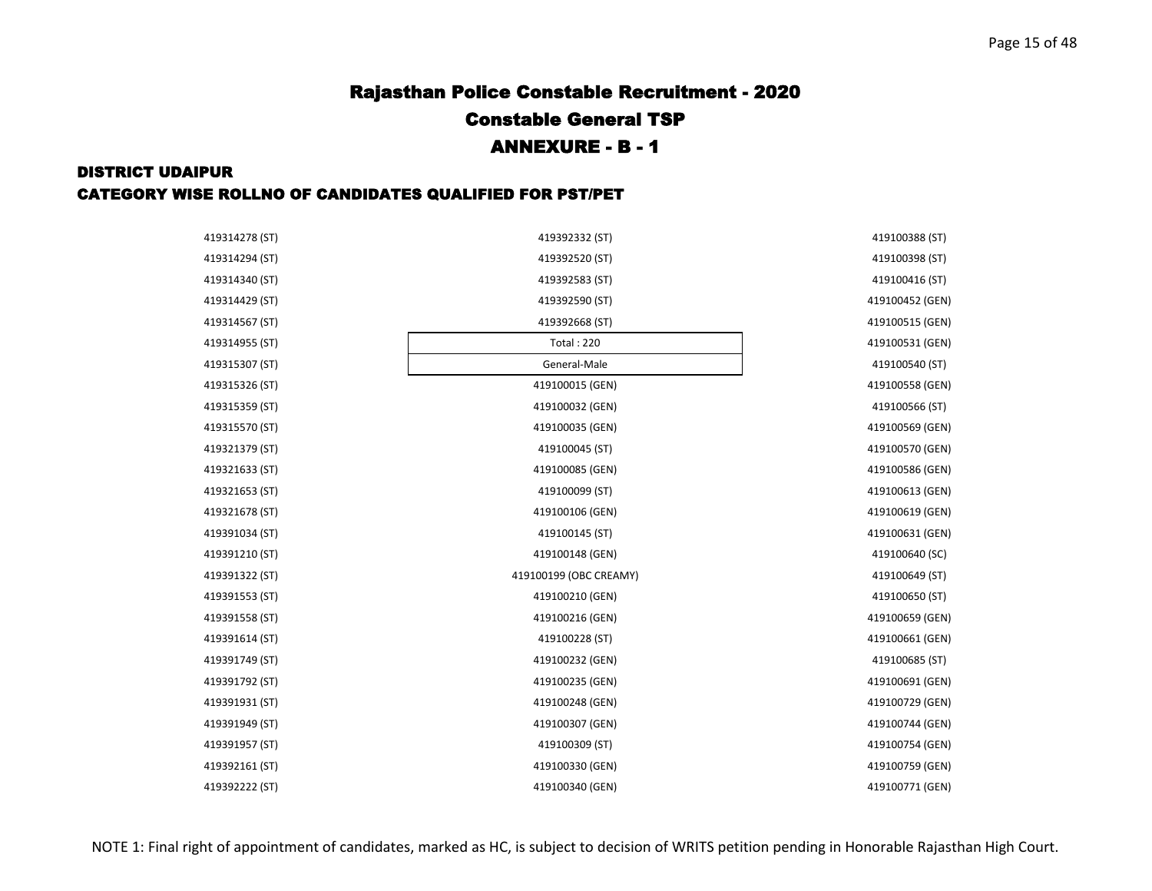| 419314278 (ST) | 419392332 (ST)         | 419100388 (ST)  |
|----------------|------------------------|-----------------|
| 419314294 (ST) | 419392520 (ST)         | 419100398 (ST)  |
| 419314340 (ST) | 419392583 (ST)         | 419100416 (ST)  |
| 419314429 (ST) | 419392590 (ST)         | 419100452 (GEN) |
| 419314567 (ST) | 419392668 (ST)         | 419100515 (GEN) |
| 419314955 (ST) | <b>Total: 220</b>      | 419100531 (GEN) |
| 419315307 (ST) | General-Male           | 419100540 (ST)  |
| 419315326 (ST) | 419100015 (GEN)        | 419100558 (GEN) |
| 419315359 (ST) | 419100032 (GEN)        | 419100566 (ST)  |
| 419315570 (ST) | 419100035 (GEN)        | 419100569 (GEN) |
| 419321379 (ST) | 419100045 (ST)         | 419100570 (GEN) |
| 419321633 (ST) | 419100085 (GEN)        | 419100586 (GEN) |
| 419321653 (ST) | 419100099 (ST)         | 419100613 (GEN) |
| 419321678 (ST) | 419100106 (GEN)        | 419100619 (GEN) |
| 419391034 (ST) | 419100145 (ST)         | 419100631 (GEN) |
| 419391210 (ST) | 419100148 (GEN)        | 419100640 (SC)  |
| 419391322 (ST) | 419100199 (OBC CREAMY) | 419100649 (ST)  |
| 419391553 (ST) | 419100210 (GEN)        | 419100650 (ST)  |
| 419391558 (ST) | 419100216 (GEN)        | 419100659 (GEN) |
| 419391614 (ST) | 419100228 (ST)         | 419100661 (GEN) |
| 419391749 (ST) | 419100232 (GEN)        | 419100685 (ST)  |
| 419391792 (ST) | 419100235 (GEN)        | 419100691 (GEN) |
| 419391931 (ST) | 419100248 (GEN)        | 419100729 (GEN) |
| 419391949 (ST) | 419100307 (GEN)        | 419100744 (GEN) |
| 419391957 (ST) | 419100309 (ST)         | 419100754 (GEN) |
| 419392161 (ST) | 419100330 (GEN)        | 419100759 (GEN) |
| 419392222 (ST) | 419100340 (GEN)        | 419100771 (GEN) |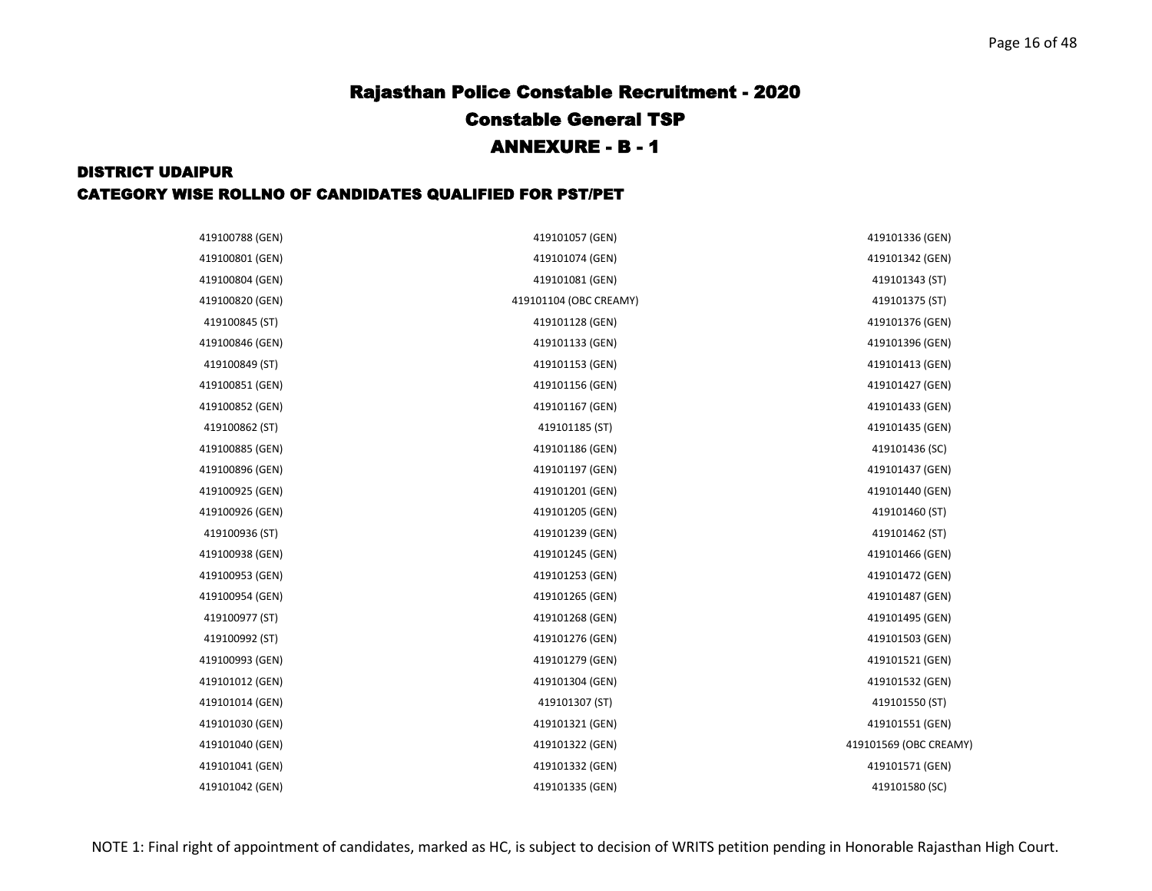| 419100788 (GEN) | 419101057 (GEN)        | 419101336 (GEN)        |
|-----------------|------------------------|------------------------|
| 419100801 (GEN) | 419101074 (GEN)        | 419101342 (GEN)        |
| 419100804 (GEN) | 419101081 (GEN)        | 419101343 (ST)         |
| 419100820 (GEN) | 419101104 (OBC CREAMY) | 419101375 (ST)         |
| 419100845 (ST)  | 419101128 (GEN)        | 419101376 (GEN)        |
| 419100846 (GEN) | 419101133 (GEN)        | 419101396 (GEN)        |
| 419100849 (ST)  | 419101153 (GEN)        | 419101413 (GEN)        |
| 419100851 (GEN) | 419101156 (GEN)        | 419101427 (GEN)        |
| 419100852 (GEN) | 419101167 (GEN)        | 419101433 (GEN)        |
| 419100862 (ST)  | 419101185 (ST)         | 419101435 (GEN)        |
| 419100885 (GEN) | 419101186 (GEN)        | 419101436 (SC)         |
| 419100896 (GEN) | 419101197 (GEN)        | 419101437 (GEN)        |
| 419100925 (GEN) | 419101201 (GEN)        | 419101440 (GEN)        |
| 419100926 (GEN) | 419101205 (GEN)        | 419101460 (ST)         |
| 419100936 (ST)  | 419101239 (GEN)        | 419101462 (ST)         |
| 419100938 (GEN) | 419101245 (GEN)        | 419101466 (GEN)        |
| 419100953 (GEN) | 419101253 (GEN)        | 419101472 (GEN)        |
| 419100954 (GEN) | 419101265 (GEN)        | 419101487 (GEN)        |
| 419100977 (ST)  | 419101268 (GEN)        | 419101495 (GEN)        |
| 419100992 (ST)  | 419101276 (GEN)        | 419101503 (GEN)        |
| 419100993 (GEN) | 419101279 (GEN)        | 419101521 (GEN)        |
| 419101012 (GEN) | 419101304 (GEN)        | 419101532 (GEN)        |
| 419101014 (GEN) | 419101307 (ST)         | 419101550 (ST)         |
| 419101030 (GEN) | 419101321 (GEN)        | 419101551 (GEN)        |
| 419101040 (GEN) | 419101322 (GEN)        | 419101569 (OBC CREAMY) |
| 419101041 (GEN) | 419101332 (GEN)        | 419101571 (GEN)        |
| 419101042 (GEN) | 419101335 (GEN)        | 419101580 (SC)         |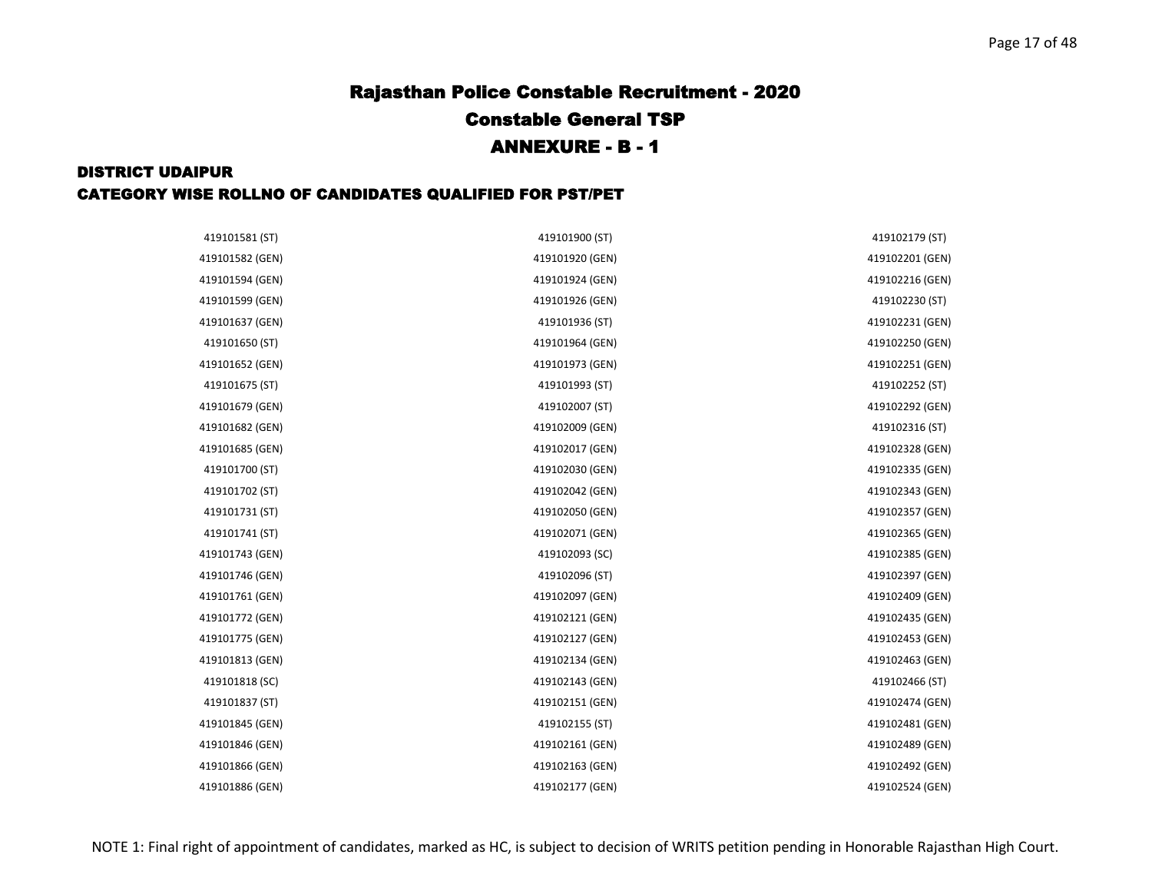| 419101581 (ST)  | 419101900 (ST)  | 419102179 (ST)  |
|-----------------|-----------------|-----------------|
| 419101582 (GEN) | 419101920 (GEN) | 419102201 (GEN) |
| 419101594 (GEN) | 419101924 (GEN) | 419102216 (GEN) |
| 419101599 (GEN) | 419101926 (GEN) | 419102230 (ST)  |
| 419101637 (GEN) | 419101936 (ST)  | 419102231 (GEN) |
| 419101650 (ST)  | 419101964 (GEN) | 419102250 (GEN) |
| 419101652 (GEN) | 419101973 (GEN) | 419102251 (GEN) |
| 419101675 (ST)  | 419101993 (ST)  | 419102252 (ST)  |
| 419101679 (GEN) | 419102007 (ST)  | 419102292 (GEN) |
| 419101682 (GEN) | 419102009 (GEN) | 419102316 (ST)  |
| 419101685 (GEN) | 419102017 (GEN) | 419102328 (GEN) |
| 419101700 (ST)  | 419102030 (GEN) | 419102335 (GEN) |
| 419101702 (ST)  | 419102042 (GEN) | 419102343 (GEN) |
| 419101731 (ST)  | 419102050 (GEN) | 419102357 (GEN) |
| 419101741 (ST)  | 419102071 (GEN) | 419102365 (GEN) |
| 419101743 (GEN) | 419102093 (SC)  | 419102385 (GEN) |
| 419101746 (GEN) | 419102096 (ST)  | 419102397 (GEN) |
| 419101761 (GEN) | 419102097 (GEN) | 419102409 (GEN) |
| 419101772 (GEN) | 419102121 (GEN) | 419102435 (GEN) |
| 419101775 (GEN) | 419102127 (GEN) | 419102453 (GEN) |
| 419101813 (GEN) | 419102134 (GEN) | 419102463 (GEN) |
| 419101818 (SC)  | 419102143 (GEN) | 419102466 (ST)  |
| 419101837 (ST)  | 419102151 (GEN) | 419102474 (GEN) |
| 419101845 (GEN) | 419102155 (ST)  | 419102481 (GEN) |
| 419101846 (GEN) | 419102161 (GEN) | 419102489 (GEN) |
| 419101866 (GEN) | 419102163 (GEN) | 419102492 (GEN) |
| 419101886 (GEN) | 419102177 (GEN) | 419102524 (GEN) |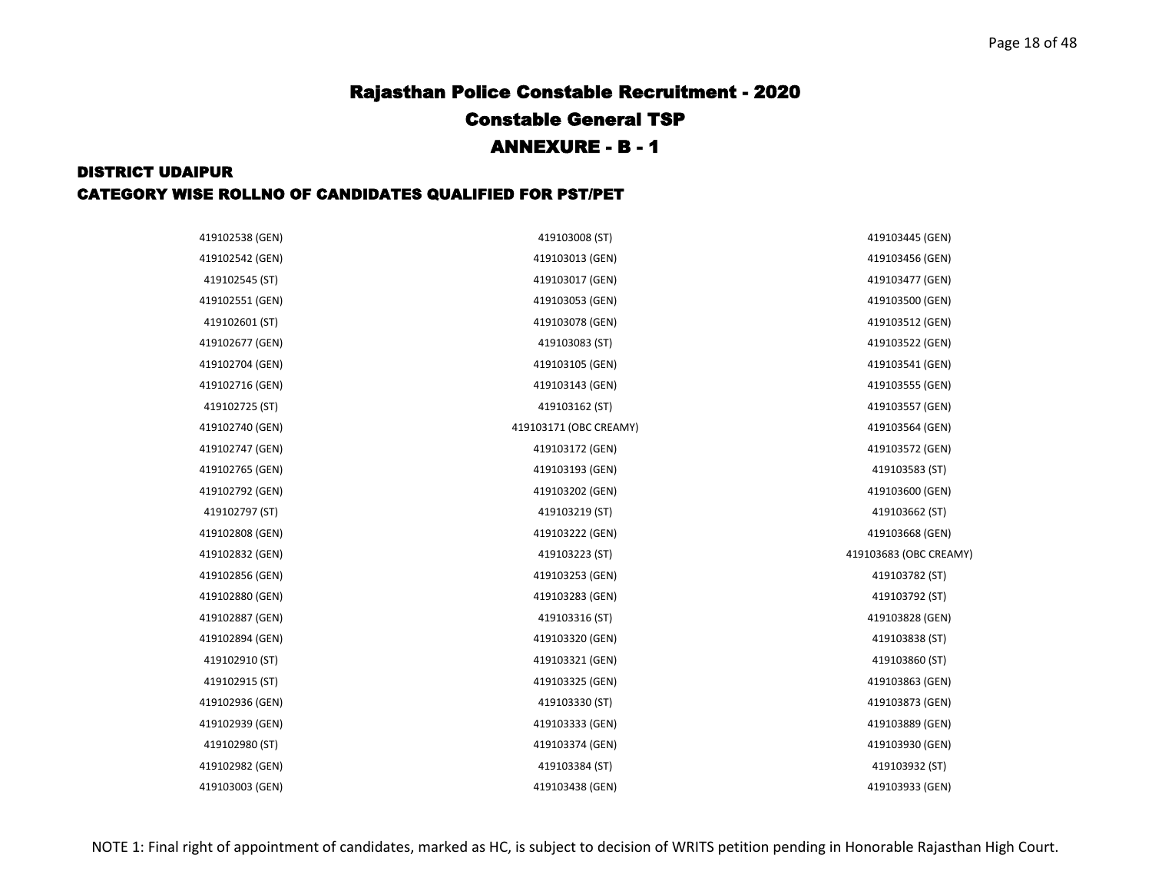| 419102538 (GEN) | 419103008 (ST)         | 419103445 (GEN)        |
|-----------------|------------------------|------------------------|
| 419102542 (GEN) | 419103013 (GEN)        | 419103456 (GEN)        |
| 419102545 (ST)  | 419103017 (GEN)        | 419103477 (GEN)        |
| 419102551 (GEN) | 419103053 (GEN)        | 419103500 (GEN)        |
| 419102601 (ST)  | 419103078 (GEN)        | 419103512 (GEN)        |
| 419102677 (GEN) | 419103083 (ST)         | 419103522 (GEN)        |
| 419102704 (GEN) | 419103105 (GEN)        | 419103541 (GEN)        |
| 419102716 (GEN) | 419103143 (GEN)        | 419103555 (GEN)        |
| 419102725 (ST)  | 419103162 (ST)         | 419103557 (GEN)        |
| 419102740 (GEN) | 419103171 (OBC CREAMY) | 419103564 (GEN)        |
| 419102747 (GEN) | 419103172 (GEN)        | 419103572 (GEN)        |
| 419102765 (GEN) | 419103193 (GEN)        | 419103583 (ST)         |
| 419102792 (GEN) | 419103202 (GEN)        | 419103600 (GEN)        |
| 419102797 (ST)  | 419103219 (ST)         | 419103662 (ST)         |
| 419102808 (GEN) | 419103222 (GEN)        | 419103668 (GEN)        |
| 419102832 (GEN) | 419103223 (ST)         | 419103683 (OBC CREAMY) |
| 419102856 (GEN) | 419103253 (GEN)        | 419103782 (ST)         |
| 419102880 (GEN) | 419103283 (GEN)        | 419103792 (ST)         |
| 419102887 (GEN) | 419103316 (ST)         | 419103828 (GEN)        |
| 419102894 (GEN) | 419103320 (GEN)        | 419103838 (ST)         |
| 419102910 (ST)  | 419103321 (GEN)        | 419103860 (ST)         |
| 419102915 (ST)  | 419103325 (GEN)        | 419103863 (GEN)        |
| 419102936 (GEN) | 419103330 (ST)         | 419103873 (GEN)        |
| 419102939 (GEN) | 419103333 (GEN)        | 419103889 (GEN)        |
| 419102980 (ST)  | 419103374 (GEN)        | 419103930 (GEN)        |
| 419102982 (GEN) | 419103384 (ST)         | 419103932 (ST)         |
| 419103003 (GEN) | 419103438 (GEN)        | 419103933 (GEN)        |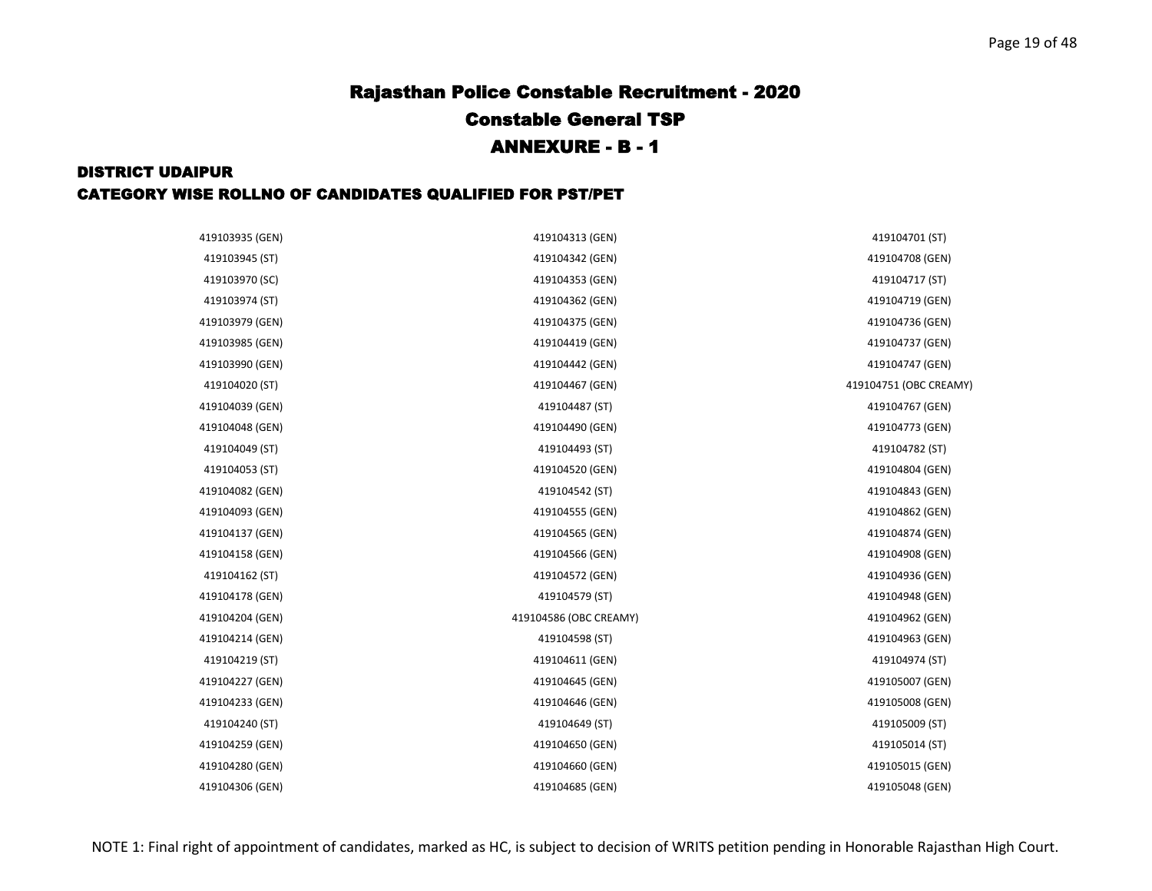| 419103935 (GEN) | 419104313 (GEN)        | 419104701 (ST)         |
|-----------------|------------------------|------------------------|
| 419103945 (ST)  | 419104342 (GEN)        | 419104708 (GEN)        |
| 419103970 (SC)  | 419104353 (GEN)        | 419104717 (ST)         |
| 419103974 (ST)  | 419104362 (GEN)        | 419104719 (GEN)        |
| 419103979 (GEN) | 419104375 (GEN)        | 419104736 (GEN)        |
| 419103985 (GEN) | 419104419 (GEN)        | 419104737 (GEN)        |
| 419103990 (GEN) | 419104442 (GEN)        | 419104747 (GEN)        |
| 419104020 (ST)  | 419104467 (GEN)        | 419104751 (OBC CREAMY) |
| 419104039 (GEN) | 419104487 (ST)         | 419104767 (GEN)        |
| 419104048 (GEN) | 419104490 (GEN)        | 419104773 (GEN)        |
| 419104049 (ST)  | 419104493 (ST)         | 419104782 (ST)         |
| 419104053 (ST)  | 419104520 (GEN)        | 419104804 (GEN)        |
| 419104082 (GEN) | 419104542 (ST)         | 419104843 (GEN)        |
| 419104093 (GEN) | 419104555 (GEN)        | 419104862 (GEN)        |
| 419104137 (GEN) | 419104565 (GEN)        | 419104874 (GEN)        |
| 419104158 (GEN) | 419104566 (GEN)        | 419104908 (GEN)        |
| 419104162 (ST)  | 419104572 (GEN)        | 419104936 (GEN)        |
| 419104178 (GEN) | 419104579 (ST)         | 419104948 (GEN)        |
| 419104204 (GEN) | 419104586 (OBC CREAMY) | 419104962 (GEN)        |
| 419104214 (GEN) | 419104598 (ST)         | 419104963 (GEN)        |
| 419104219 (ST)  | 419104611 (GEN)        | 419104974 (ST)         |
| 419104227 (GEN) | 419104645 (GEN)        | 419105007 (GEN)        |
| 419104233 (GEN) | 419104646 (GEN)        | 419105008 (GEN)        |
| 419104240 (ST)  | 419104649 (ST)         | 419105009 (ST)         |
| 419104259 (GEN) | 419104650 (GEN)        | 419105014 (ST)         |
| 419104280 (GEN) | 419104660 (GEN)        | 419105015 (GEN)        |
| 419104306 (GEN) | 419104685 (GEN)        | 419105048 (GEN)        |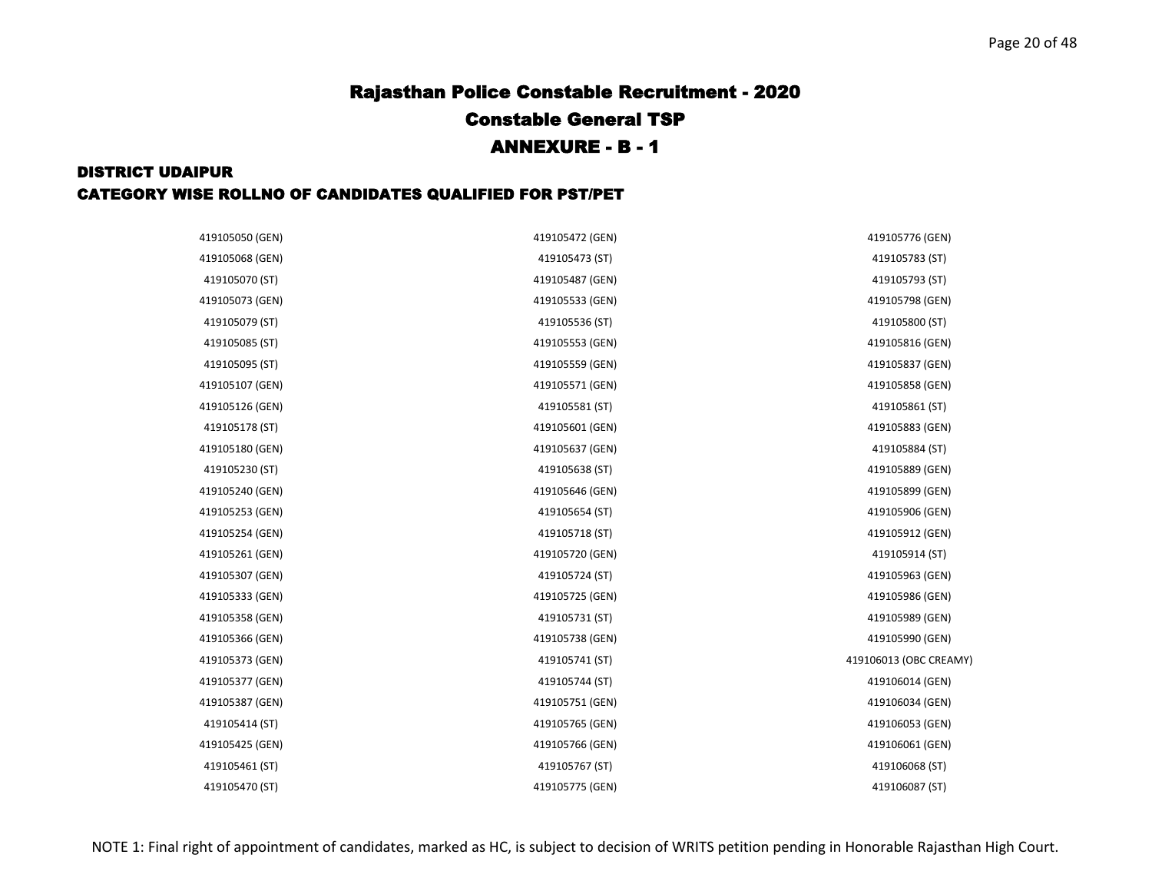| 419105050 (GEN) | 419105472 (GEN) | 419105776 (GEN)        |
|-----------------|-----------------|------------------------|
| 419105068 (GEN) | 419105473 (ST)  | 419105783 (ST)         |
| 419105070 (ST)  | 419105487 (GEN) | 419105793 (ST)         |
| 419105073 (GEN) | 419105533 (GEN) | 419105798 (GEN)        |
| 419105079 (ST)  | 419105536 (ST)  | 419105800 (ST)         |
| 419105085 (ST)  | 419105553 (GEN) | 419105816 (GEN)        |
| 419105095 (ST)  | 419105559 (GEN) | 419105837 (GEN)        |
| 419105107 (GEN) | 419105571 (GEN) | 419105858 (GEN)        |
| 419105126 (GEN) | 419105581 (ST)  | 419105861 (ST)         |
| 419105178 (ST)  | 419105601 (GEN) | 419105883 (GEN)        |
| 419105180 (GEN) | 419105637 (GEN) | 419105884 (ST)         |
| 419105230 (ST)  | 419105638 (ST)  | 419105889 (GEN)        |
| 419105240 (GEN) | 419105646 (GEN) | 419105899 (GEN)        |
| 419105253 (GEN) | 419105654 (ST)  | 419105906 (GEN)        |
| 419105254 (GEN) | 419105718 (ST)  | 419105912 (GEN)        |
| 419105261 (GEN) | 419105720 (GEN) | 419105914 (ST)         |
| 419105307 (GEN) | 419105724 (ST)  | 419105963 (GEN)        |
| 419105333 (GEN) | 419105725 (GEN) | 419105986 (GEN)        |
| 419105358 (GEN) | 419105731 (ST)  | 419105989 (GEN)        |
| 419105366 (GEN) | 419105738 (GEN) | 419105990 (GEN)        |
| 419105373 (GEN) | 419105741 (ST)  | 419106013 (OBC CREAMY) |
| 419105377 (GEN) | 419105744 (ST)  | 419106014 (GEN)        |
| 419105387 (GEN) | 419105751 (GEN) | 419106034 (GEN)        |
| 419105414 (ST)  | 419105765 (GEN) | 419106053 (GEN)        |
| 419105425 (GEN) | 419105766 (GEN) | 419106061 (GEN)        |
| 419105461 (ST)  | 419105767 (ST)  | 419106068 (ST)         |
| 419105470 (ST)  | 419105775 (GEN) | 419106087 (ST)         |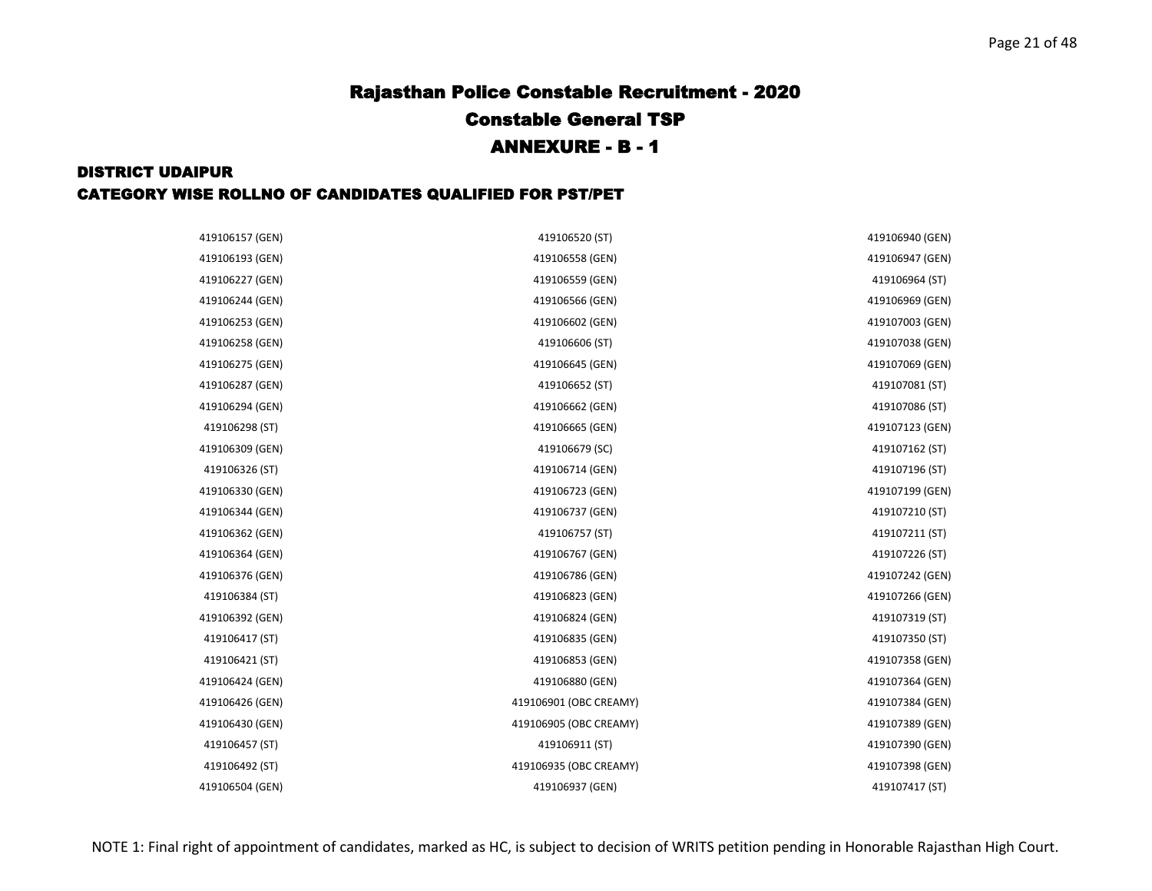| 419106157 (GEN) | 419106520 (ST)         | 419106940 (GEN) |
|-----------------|------------------------|-----------------|
| 419106193 (GEN) | 419106558 (GEN)        | 419106947 (GEN) |
| 419106227 (GEN) | 419106559 (GEN)        | 419106964 (ST)  |
| 419106244 (GEN) | 419106566 (GEN)        | 419106969 (GEN) |
| 419106253 (GEN) | 419106602 (GEN)        | 419107003 (GEN) |
| 419106258 (GEN) | 419106606 (ST)         | 419107038 (GEN) |
| 419106275 (GEN) | 419106645 (GEN)        | 419107069 (GEN) |
| 419106287 (GEN) | 419106652 (ST)         | 419107081 (ST)  |
| 419106294 (GEN) | 419106662 (GEN)        | 419107086 (ST)  |
| 419106298 (ST)  | 419106665 (GEN)        | 419107123 (GEN) |
| 419106309 (GEN) | 419106679 (SC)         | 419107162 (ST)  |
| 419106326 (ST)  | 419106714 (GEN)        | 419107196 (ST)  |
| 419106330 (GEN) | 419106723 (GEN)        | 419107199 (GEN) |
| 419106344 (GEN) | 419106737 (GEN)        | 419107210 (ST)  |
| 419106362 (GEN) | 419106757 (ST)         | 419107211 (ST)  |
| 419106364 (GEN) | 419106767 (GEN)        | 419107226 (ST)  |
| 419106376 (GEN) | 419106786 (GEN)        | 419107242 (GEN) |
| 419106384 (ST)  | 419106823 (GEN)        | 419107266 (GEN) |
| 419106392 (GEN) | 419106824 (GEN)        | 419107319 (ST)  |
| 419106417 (ST)  | 419106835 (GEN)        | 419107350 (ST)  |
| 419106421 (ST)  | 419106853 (GEN)        | 419107358 (GEN) |
| 419106424 (GEN) | 419106880 (GEN)        | 419107364 (GEN) |
| 419106426 (GEN) | 419106901 (OBC CREAMY) | 419107384 (GEN) |
| 419106430 (GEN) | 419106905 (OBC CREAMY) | 419107389 (GEN) |
| 419106457 (ST)  | 419106911 (ST)         | 419107390 (GEN) |
| 419106492 (ST)  | 419106935 (OBC CREAMY) | 419107398 (GEN) |
| 419106504 (GEN) | 419106937 (GEN)        | 419107417 (ST)  |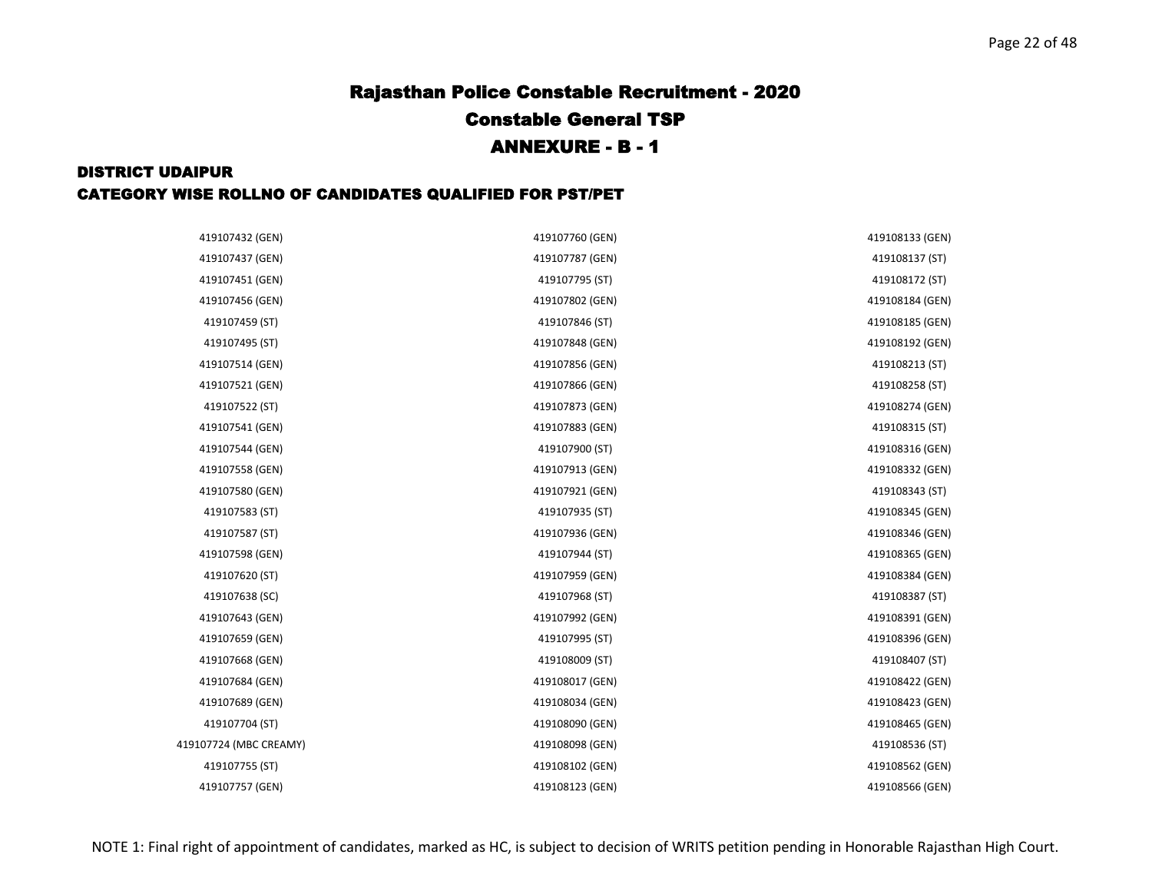| 419107432 (GEN)        | 419107760 (GEN) | 419108133 (GEN) |
|------------------------|-----------------|-----------------|
| 419107437 (GEN)        | 419107787 (GEN) | 419108137 (ST)  |
| 419107451 (GEN)        | 419107795 (ST)  | 419108172 (ST)  |
| 419107456 (GEN)        | 419107802 (GEN) | 419108184 (GEN) |
| 419107459 (ST)         | 419107846 (ST)  | 419108185 (GEN) |
| 419107495 (ST)         | 419107848 (GEN) | 419108192 (GEN) |
| 419107514 (GEN)        | 419107856 (GEN) | 419108213 (ST)  |
| 419107521 (GEN)        | 419107866 (GEN) | 419108258 (ST)  |
| 419107522 (ST)         | 419107873 (GEN) | 419108274 (GEN) |
| 419107541 (GEN)        | 419107883 (GEN) | 419108315 (ST)  |
| 419107544 (GEN)        | 419107900 (ST)  | 419108316 (GEN) |
| 419107558 (GEN)        | 419107913 (GEN) | 419108332 (GEN) |
| 419107580 (GEN)        | 419107921 (GEN) | 419108343 (ST)  |
| 419107583 (ST)         | 419107935 (ST)  | 419108345 (GEN) |
| 419107587 (ST)         | 419107936 (GEN) | 419108346 (GEN) |
| 419107598 (GEN)        | 419107944 (ST)  | 419108365 (GEN) |
| 419107620 (ST)         | 419107959 (GEN) | 419108384 (GEN) |
| 419107638 (SC)         | 419107968 (ST)  | 419108387 (ST)  |
| 419107643 (GEN)        | 419107992 (GEN) | 419108391 (GEN) |
| 419107659 (GEN)        | 419107995 (ST)  | 419108396 (GEN) |
| 419107668 (GEN)        | 419108009 (ST)  | 419108407 (ST)  |
| 419107684 (GEN)        | 419108017 (GEN) | 419108422 (GEN) |
| 419107689 (GEN)        | 419108034 (GEN) | 419108423 (GEN) |
| 419107704 (ST)         | 419108090 (GEN) | 419108465 (GEN) |
| 419107724 (MBC CREAMY) | 419108098 (GEN) | 419108536 (ST)  |
| 419107755 (ST)         | 419108102 (GEN) | 419108562 (GEN) |
| 419107757 (GEN)        | 419108123 (GEN) | 419108566 (GEN) |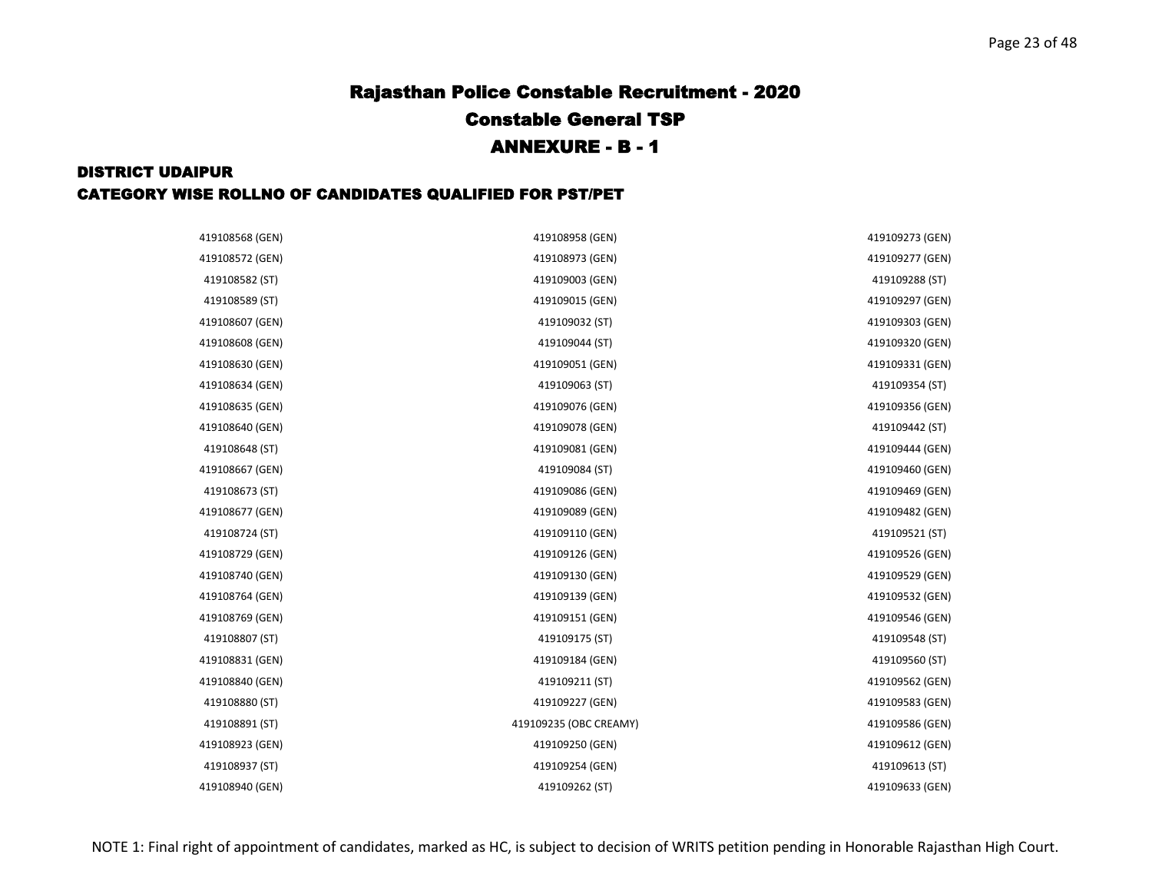| 419108568 (GEN) | 419108958 (GEN)        | 419109273 (GEN) |
|-----------------|------------------------|-----------------|
| 419108572 (GEN) | 419108973 (GEN)        | 419109277 (GEN) |
| 419108582 (ST)  | 419109003 (GEN)        | 419109288 (ST)  |
| 419108589 (ST)  | 419109015 (GEN)        | 419109297 (GEN) |
| 419108607 (GEN) | 419109032 (ST)         | 419109303 (GEN) |
| 419108608 (GEN) | 419109044 (ST)         | 419109320 (GEN) |
| 419108630 (GEN) | 419109051 (GEN)        | 419109331 (GEN) |
| 419108634 (GEN) | 419109063 (ST)         | 419109354 (ST)  |
| 419108635 (GEN) | 419109076 (GEN)        | 419109356 (GEN) |
| 419108640 (GEN) | 419109078 (GEN)        | 419109442 (ST)  |
| 419108648 (ST)  | 419109081 (GEN)        | 419109444 (GEN) |
| 419108667 (GEN) | 419109084 (ST)         | 419109460 (GEN) |
| 419108673 (ST)  | 419109086 (GEN)        | 419109469 (GEN) |
| 419108677 (GEN) | 419109089 (GEN)        | 419109482 (GEN) |
| 419108724 (ST)  | 419109110 (GEN)        | 419109521 (ST)  |
| 419108729 (GEN) | 419109126 (GEN)        | 419109526 (GEN) |
| 419108740 (GEN) | 419109130 (GEN)        | 419109529 (GEN) |
| 419108764 (GEN) | 419109139 (GEN)        | 419109532 (GEN) |
| 419108769 (GEN) | 419109151 (GEN)        | 419109546 (GEN) |
| 419108807 (ST)  | 419109175 (ST)         | 419109548 (ST)  |
| 419108831 (GEN) | 419109184 (GEN)        | 419109560 (ST)  |
| 419108840 (GEN) | 419109211 (ST)         | 419109562 (GEN) |
| 419108880 (ST)  | 419109227 (GEN)        | 419109583 (GEN) |
| 419108891 (ST)  | 419109235 (OBC CREAMY) | 419109586 (GEN) |
| 419108923 (GEN) | 419109250 (GEN)        | 419109612 (GEN) |
| 419108937 (ST)  | 419109254 (GEN)        | 419109613 (ST)  |
| 419108940 (GEN) | 419109262 (ST)         | 419109633 (GEN) |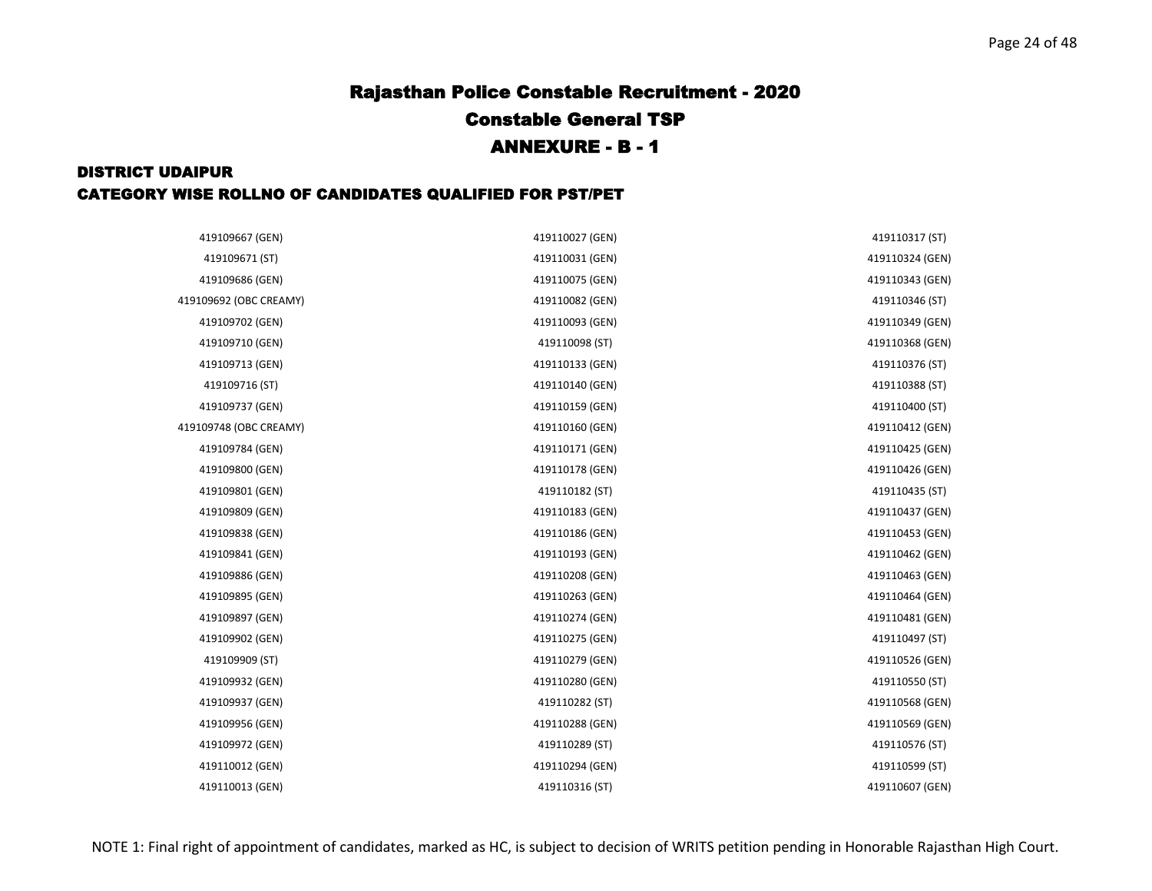| 419109667 (GEN)        | 419110027 (GEN) | 419110317 (ST)  |
|------------------------|-----------------|-----------------|
| 419109671 (ST)         | 419110031 (GEN) | 419110324 (GEN) |
| 419109686 (GEN)        | 419110075 (GEN) | 419110343 (GEN) |
| 419109692 (OBC CREAMY) | 419110082 (GEN) | 419110346 (ST)  |
| 419109702 (GEN)        | 419110093 (GEN) | 419110349 (GEN) |
| 419109710 (GEN)        | 419110098 (ST)  | 419110368 (GEN) |
| 419109713 (GEN)        | 419110133 (GEN) | 419110376 (ST)  |
| 419109716 (ST)         | 419110140 (GEN) | 419110388 (ST)  |
| 419109737 (GEN)        | 419110159 (GEN) | 419110400 (ST)  |
| 419109748 (OBC CREAMY) | 419110160 (GEN) | 419110412 (GEN) |
| 419109784 (GEN)        | 419110171 (GEN) | 419110425 (GEN) |
| 419109800 (GEN)        | 419110178 (GEN) | 419110426 (GEN) |
| 419109801 (GEN)        | 419110182 (ST)  | 419110435 (ST)  |
| 419109809 (GEN)        | 419110183 (GEN) | 419110437 (GEN) |
| 419109838 (GEN)        | 419110186 (GEN) | 419110453 (GEN) |
| 419109841 (GEN)        | 419110193 (GEN) | 419110462 (GEN) |
| 419109886 (GEN)        | 419110208 (GEN) | 419110463 (GEN) |
| 419109895 (GEN)        | 419110263 (GEN) | 419110464 (GEN) |
| 419109897 (GEN)        | 419110274 (GEN) | 419110481 (GEN) |
| 419109902 (GEN)        | 419110275 (GEN) | 419110497 (ST)  |
| 419109909 (ST)         | 419110279 (GEN) | 419110526 (GEN) |
| 419109932 (GEN)        | 419110280 (GEN) | 419110550 (ST)  |
| 419109937 (GEN)        | 419110282 (ST)  | 419110568 (GEN) |
| 419109956 (GEN)        | 419110288 (GEN) | 419110569 (GEN) |
| 419109972 (GEN)        | 419110289 (ST)  | 419110576 (ST)  |
| 419110012 (GEN)        | 419110294 (GEN) | 419110599 (ST)  |
| 419110013 (GEN)        | 419110316 (ST)  | 419110607 (GEN) |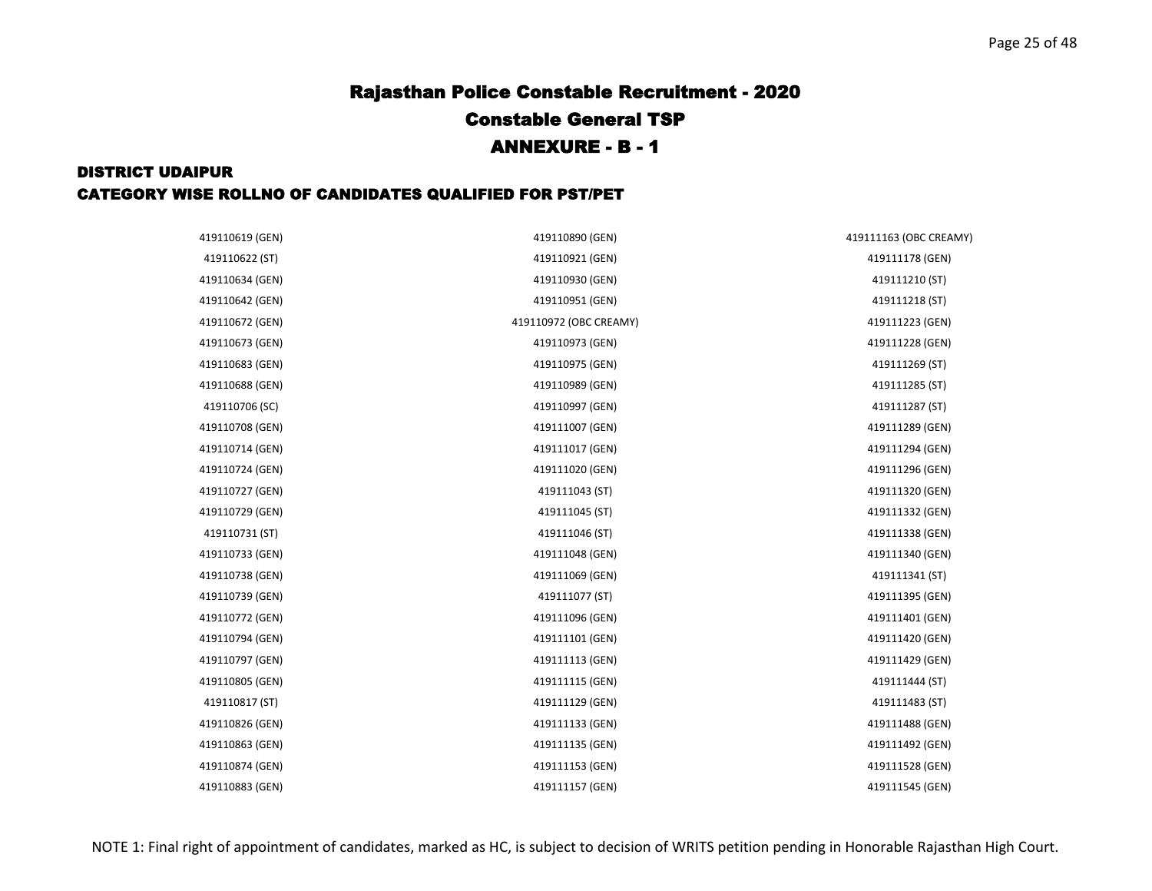| 419110619 (GEN) | 419110890 (GEN)        | 419111163 (OBC CREAMY) |
|-----------------|------------------------|------------------------|
| 419110622 (ST)  | 419110921 (GEN)        | 419111178 (GEN)        |
| 419110634 (GEN) | 419110930 (GEN)        | 419111210 (ST)         |
| 419110642 (GEN) | 419110951 (GEN)        | 419111218 (ST)         |
| 419110672 (GEN) | 419110972 (OBC CREAMY) | 419111223 (GEN)        |
| 419110673 (GEN) | 419110973 (GEN)        | 419111228 (GEN)        |
| 419110683 (GEN) | 419110975 (GEN)        | 419111269 (ST)         |
| 419110688 (GEN) | 419110989 (GEN)        | 419111285 (ST)         |
| 419110706 (SC)  | 419110997 (GEN)        | 419111287 (ST)         |
| 419110708 (GEN) | 419111007 (GEN)        | 419111289 (GEN)        |
| 419110714 (GEN) | 419111017 (GEN)        | 419111294 (GEN)        |
| 419110724 (GEN) | 419111020 (GEN)        | 419111296 (GEN)        |
| 419110727 (GEN) | 419111043 (ST)         | 419111320 (GEN)        |
| 419110729 (GEN) | 419111045 (ST)         | 419111332 (GEN)        |
| 419110731 (ST)  | 419111046 (ST)         | 419111338 (GEN)        |
| 419110733 (GEN) | 419111048 (GEN)        | 419111340 (GEN)        |
| 419110738 (GEN) | 419111069 (GEN)        | 419111341 (ST)         |
| 419110739 (GEN) | 419111077 (ST)         | 419111395 (GEN)        |
| 419110772 (GEN) | 419111096 (GEN)        | 419111401 (GEN)        |
| 419110794 (GEN) | 419111101 (GEN)        | 419111420 (GEN)        |
| 419110797 (GEN) | 419111113 (GEN)        | 419111429 (GEN)        |
| 419110805 (GEN) | 419111115 (GEN)        | 419111444 (ST)         |
| 419110817 (ST)  | 419111129 (GEN)        | 419111483 (ST)         |
| 419110826 (GEN) | 419111133 (GEN)        | 419111488 (GEN)        |
| 419110863 (GEN) | 419111135 (GEN)        | 419111492 (GEN)        |
| 419110874 (GEN) | 419111153 (GEN)        | 419111528 (GEN)        |
| 419110883 (GEN) | 419111157 (GEN)        | 419111545 (GEN)        |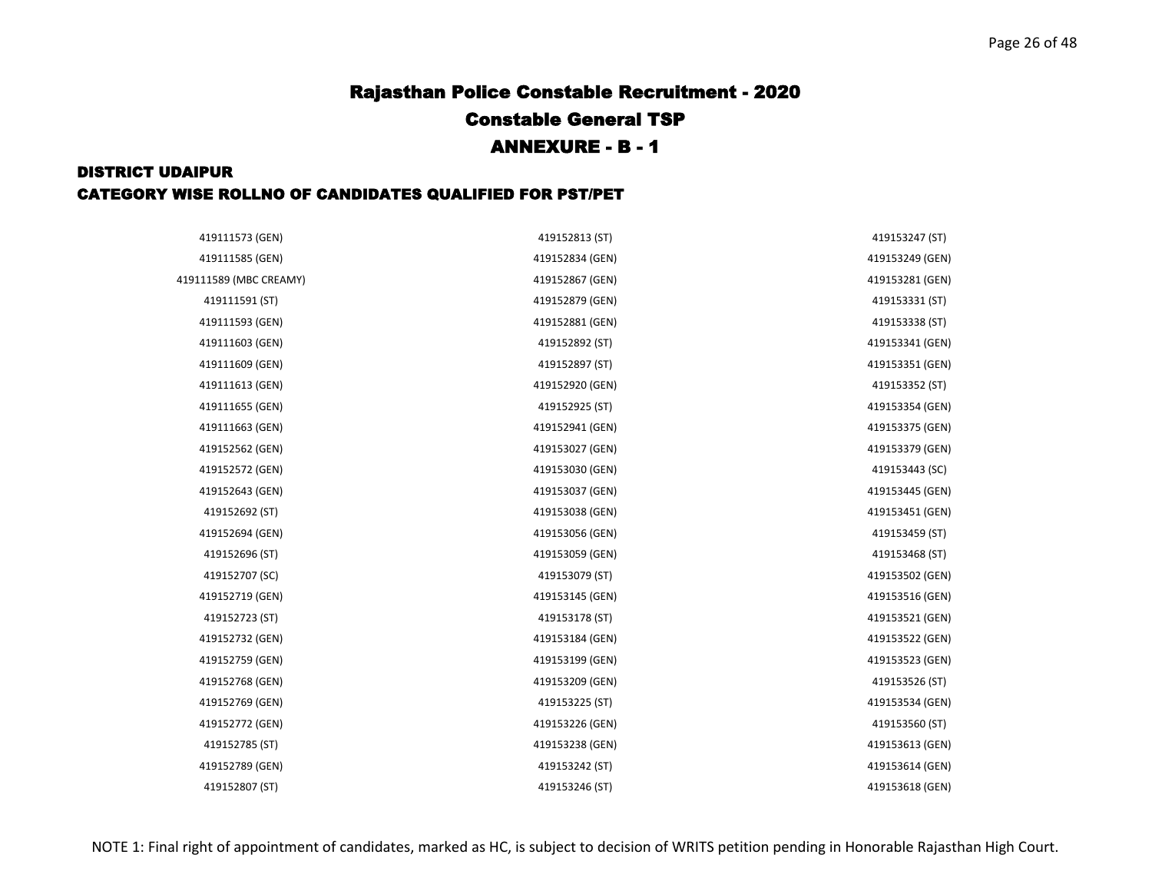| 419111573 (GEN)        | 419152813 (ST)  | 419153247 (ST)  |
|------------------------|-----------------|-----------------|
| 419111585 (GEN)        | 419152834 (GEN) | 419153249 (GEN) |
| 419111589 (MBC CREAMY) | 419152867 (GEN) | 419153281 (GEN) |
| 419111591 (ST)         | 419152879 (GEN) | 419153331 (ST)  |
| 419111593 (GEN)        | 419152881 (GEN) | 419153338 (ST)  |
| 419111603 (GEN)        | 419152892 (ST)  | 419153341 (GEN) |
| 419111609 (GEN)        | 419152897 (ST)  | 419153351 (GEN) |
| 419111613 (GEN)        | 419152920 (GEN) | 419153352 (ST)  |
| 419111655 (GEN)        | 419152925 (ST)  | 419153354 (GEN) |
| 419111663 (GEN)        | 419152941 (GEN) | 419153375 (GEN) |
| 419152562 (GEN)        | 419153027 (GEN) | 419153379 (GEN) |
| 419152572 (GEN)        | 419153030 (GEN) | 419153443 (SC)  |
| 419152643 (GEN)        | 419153037 (GEN) | 419153445 (GEN) |
| 419152692 (ST)         | 419153038 (GEN) | 419153451 (GEN) |
| 419152694 (GEN)        | 419153056 (GEN) | 419153459 (ST)  |
| 419152696 (ST)         | 419153059 (GEN) | 419153468 (ST)  |
| 419152707 (SC)         | 419153079 (ST)  | 419153502 (GEN) |
| 419152719 (GEN)        | 419153145 (GEN) | 419153516 (GEN) |
| 419152723 (ST)         | 419153178 (ST)  | 419153521 (GEN) |
| 419152732 (GEN)        | 419153184 (GEN) | 419153522 (GEN) |
| 419152759 (GEN)        | 419153199 (GEN) | 419153523 (GEN) |
| 419152768 (GEN)        | 419153209 (GEN) | 419153526 (ST)  |
| 419152769 (GEN)        | 419153225 (ST)  | 419153534 (GEN) |
| 419152772 (GEN)        | 419153226 (GEN) | 419153560 (ST)  |
| 419152785 (ST)         | 419153238 (GEN) | 419153613 (GEN) |
| 419152789 (GEN)        | 419153242 (ST)  | 419153614 (GEN) |
| 419152807 (ST)         | 419153246 (ST)  | 419153618 (GEN) |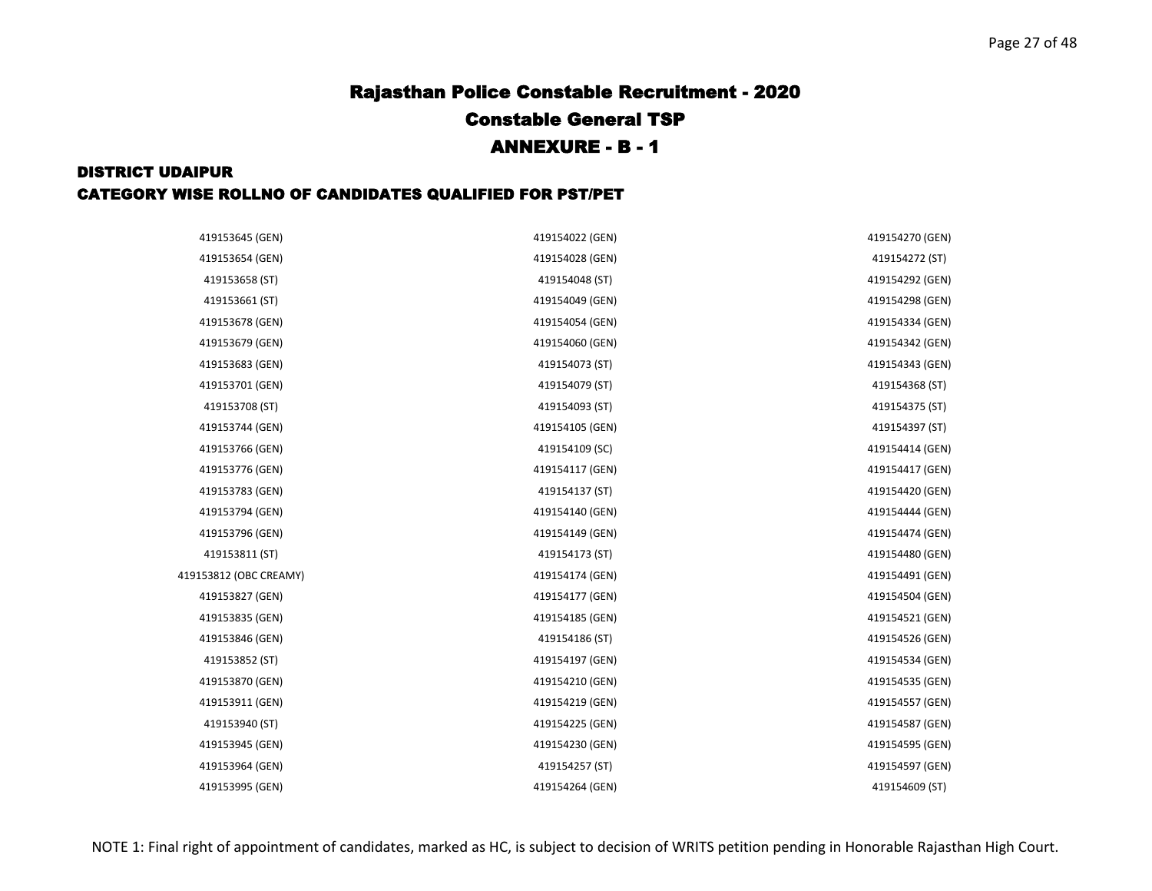| 419153645 (GEN)        | 419154022 (GEN) | 419154270 (GEN) |
|------------------------|-----------------|-----------------|
| 419153654 (GEN)        | 419154028 (GEN) | 419154272 (ST)  |
| 419153658 (ST)         | 419154048 (ST)  | 419154292 (GEN) |
| 419153661 (ST)         | 419154049 (GEN) | 419154298 (GEN) |
| 419153678 (GEN)        | 419154054 (GEN) | 419154334 (GEN) |
| 419153679 (GEN)        | 419154060 (GEN) | 419154342 (GEN) |
| 419153683 (GEN)        | 419154073 (ST)  | 419154343 (GEN) |
| 419153701 (GEN)        | 419154079 (ST)  | 419154368 (ST)  |
| 419153708 (ST)         | 419154093 (ST)  | 419154375 (ST)  |
| 419153744 (GEN)        | 419154105 (GEN) | 419154397 (ST)  |
| 419153766 (GEN)        | 419154109 (SC)  | 419154414 (GEN) |
| 419153776 (GEN)        | 419154117 (GEN) | 419154417 (GEN) |
| 419153783 (GEN)        | 419154137 (ST)  | 419154420 (GEN) |
| 419153794 (GEN)        | 419154140 (GEN) | 419154444 (GEN) |
| 419153796 (GEN)        | 419154149 (GEN) | 419154474 (GEN) |
| 419153811 (ST)         | 419154173 (ST)  | 419154480 (GEN) |
| 419153812 (OBC CREAMY) | 419154174 (GEN) | 419154491 (GEN) |
| 419153827 (GEN)        | 419154177 (GEN) | 419154504 (GEN) |
| 419153835 (GEN)        | 419154185 (GEN) | 419154521 (GEN) |
| 419153846 (GEN)        | 419154186 (ST)  | 419154526 (GEN) |
| 419153852 (ST)         | 419154197 (GEN) | 419154534 (GEN) |
| 419153870 (GEN)        | 419154210 (GEN) | 419154535 (GEN) |
| 419153911 (GEN)        | 419154219 (GEN) | 419154557 (GEN) |
| 419153940 (ST)         | 419154225 (GEN) | 419154587 (GEN) |
| 419153945 (GEN)        | 419154230 (GEN) | 419154595 (GEN) |
| 419153964 (GEN)        | 419154257 (ST)  | 419154597 (GEN) |
| 419153995 (GEN)        | 419154264 (GEN) | 419154609 (ST)  |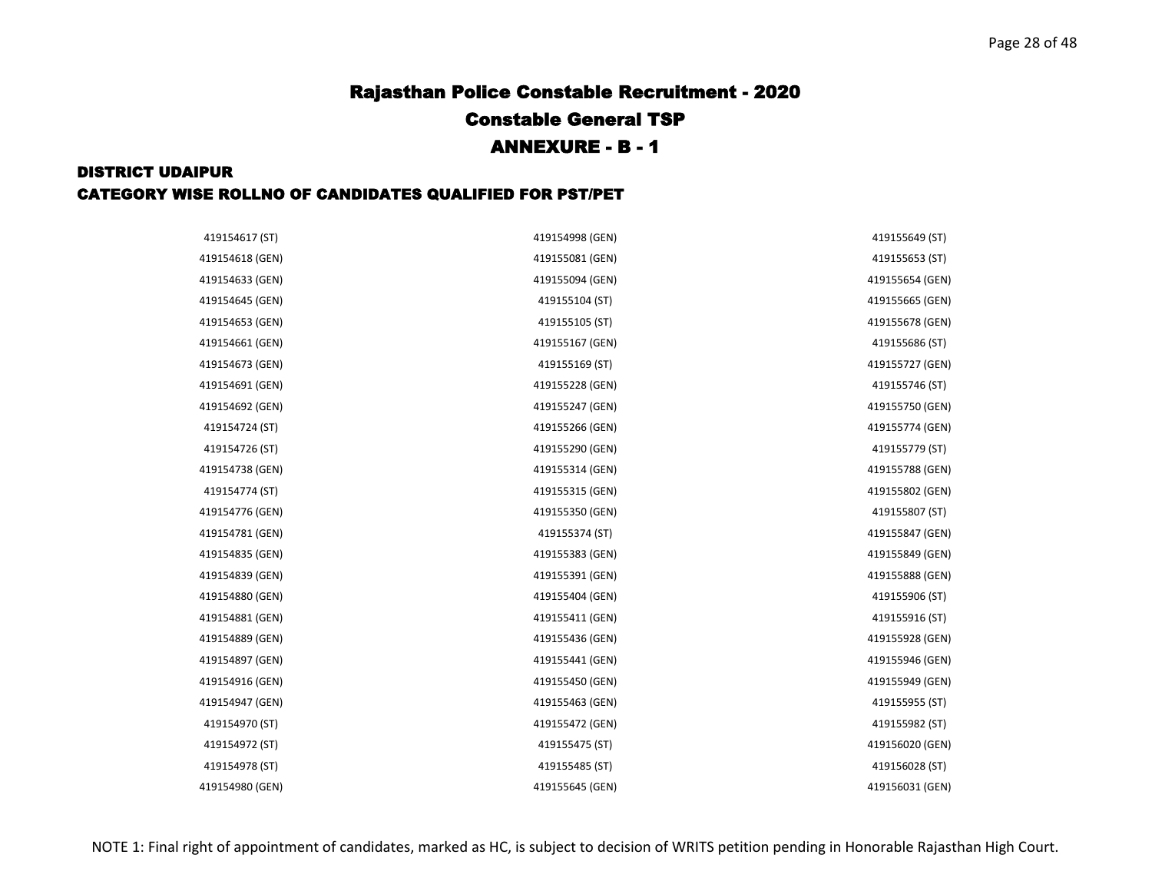| 419154617 (ST)  | 419154998 (GEN) | 419155649 (ST)  |
|-----------------|-----------------|-----------------|
| 419154618 (GEN) | 419155081 (GEN) | 419155653 (ST)  |
| 419154633 (GEN) | 419155094 (GEN) | 419155654 (GEN) |
| 419154645 (GEN) | 419155104 (ST)  | 419155665 (GEN) |
| 419154653 (GEN) | 419155105 (ST)  | 419155678 (GEN) |
| 419154661 (GEN) | 419155167 (GEN) | 419155686 (ST)  |
| 419154673 (GEN) | 419155169 (ST)  | 419155727 (GEN) |
| 419154691 (GEN) | 419155228 (GEN) | 419155746 (ST)  |
| 419154692 (GEN) | 419155247 (GEN) | 419155750 (GEN) |
| 419154724 (ST)  | 419155266 (GEN) | 419155774 (GEN) |
| 419154726 (ST)  | 419155290 (GEN) | 419155779 (ST)  |
| 419154738 (GEN) | 419155314 (GEN) | 419155788 (GEN) |
| 419154774 (ST)  | 419155315 (GEN) | 419155802 (GEN) |
| 419154776 (GEN) | 419155350 (GEN) | 419155807 (ST)  |
| 419154781 (GEN) | 419155374 (ST)  | 419155847 (GEN) |
| 419154835 (GEN) | 419155383 (GEN) | 419155849 (GEN) |
| 419154839 (GEN) | 419155391 (GEN) | 419155888 (GEN) |
| 419154880 (GEN) | 419155404 (GEN) | 419155906 (ST)  |
| 419154881 (GEN) | 419155411 (GEN) | 419155916 (ST)  |
| 419154889 (GEN) | 419155436 (GEN) | 419155928 (GEN) |
| 419154897 (GEN) | 419155441 (GEN) | 419155946 (GEN) |
| 419154916 (GEN) | 419155450 (GEN) | 419155949 (GEN) |
| 419154947 (GEN) | 419155463 (GEN) | 419155955 (ST)  |
| 419154970 (ST)  | 419155472 (GEN) | 419155982 (ST)  |
| 419154972 (ST)  | 419155475 (ST)  | 419156020 (GEN) |
| 419154978 (ST)  | 419155485 (ST)  | 419156028 (ST)  |
| 419154980 (GEN) | 419155645 (GEN) | 419156031 (GEN) |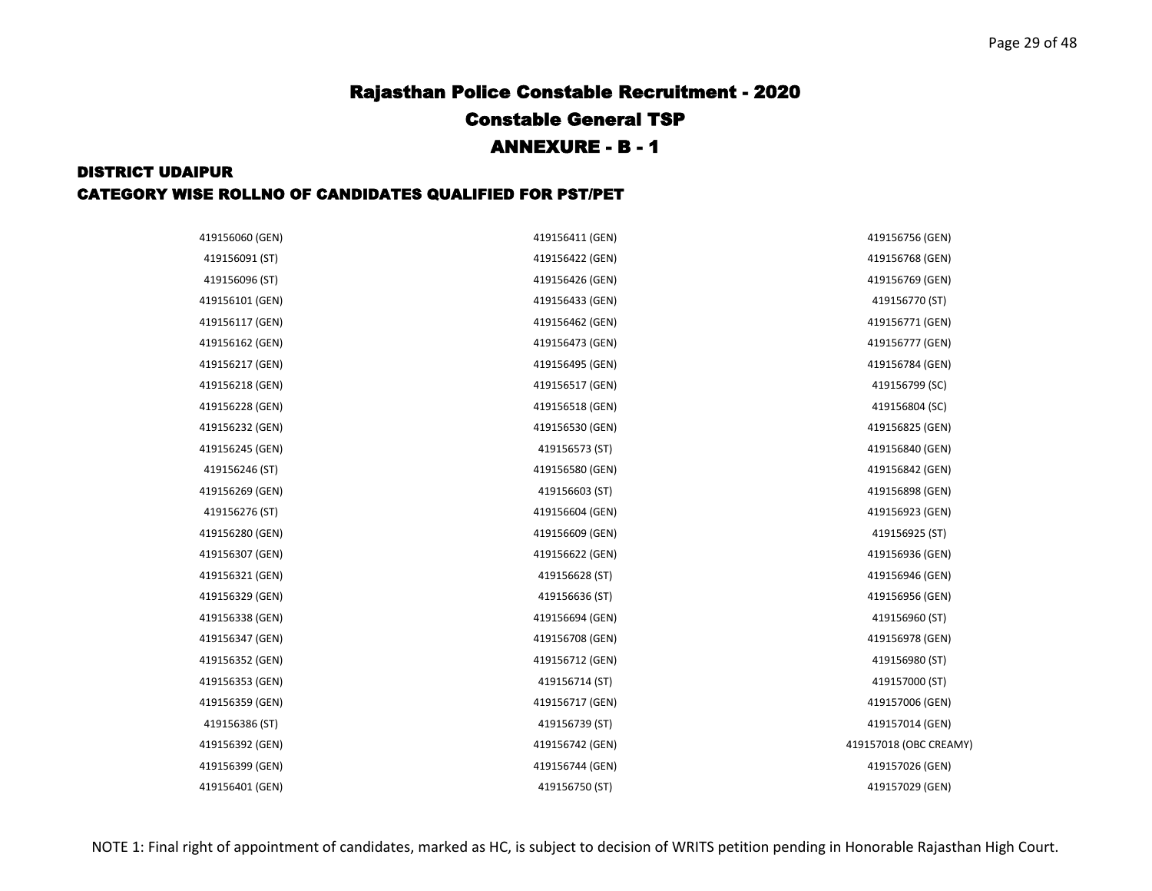| 419156060 (GEN) | 419156411 (GEN) | 419156756 (GEN)        |
|-----------------|-----------------|------------------------|
| 419156091 (ST)  | 419156422 (GEN) | 419156768 (GEN)        |
| 419156096 (ST)  | 419156426 (GEN) | 419156769 (GEN)        |
| 419156101 (GEN) | 419156433 (GEN) | 419156770 (ST)         |
| 419156117 (GEN) | 419156462 (GEN) | 419156771 (GEN)        |
| 419156162 (GEN) | 419156473 (GEN) | 419156777 (GEN)        |
| 419156217 (GEN) | 419156495 (GEN) | 419156784 (GEN)        |
| 419156218 (GEN) | 419156517 (GEN) | 419156799 (SC)         |
| 419156228 (GEN) | 419156518 (GEN) | 419156804 (SC)         |
| 419156232 (GEN) | 419156530 (GEN) | 419156825 (GEN)        |
| 419156245 (GEN) | 419156573 (ST)  | 419156840 (GEN)        |
| 419156246 (ST)  | 419156580 (GEN) | 419156842 (GEN)        |
| 419156269 (GEN) | 419156603 (ST)  | 419156898 (GEN)        |
| 419156276 (ST)  | 419156604 (GEN) | 419156923 (GEN)        |
| 419156280 (GEN) | 419156609 (GEN) | 419156925 (ST)         |
| 419156307 (GEN) | 419156622 (GEN) | 419156936 (GEN)        |
| 419156321 (GEN) | 419156628 (ST)  | 419156946 (GEN)        |
| 419156329 (GEN) | 419156636 (ST)  | 419156956 (GEN)        |
| 419156338 (GEN) | 419156694 (GEN) | 419156960 (ST)         |
| 419156347 (GEN) | 419156708 (GEN) | 419156978 (GEN)        |
| 419156352 (GEN) | 419156712 (GEN) | 419156980 (ST)         |
| 419156353 (GEN) | 419156714 (ST)  | 419157000 (ST)         |
| 419156359 (GEN) | 419156717 (GEN) | 419157006 (GEN)        |
| 419156386 (ST)  | 419156739 (ST)  | 419157014 (GEN)        |
| 419156392 (GEN) | 419156742 (GEN) | 419157018 (OBC CREAMY) |
| 419156399 (GEN) | 419156744 (GEN) | 419157026 (GEN)        |
| 419156401 (GEN) | 419156750 (ST)  | 419157029 (GEN)        |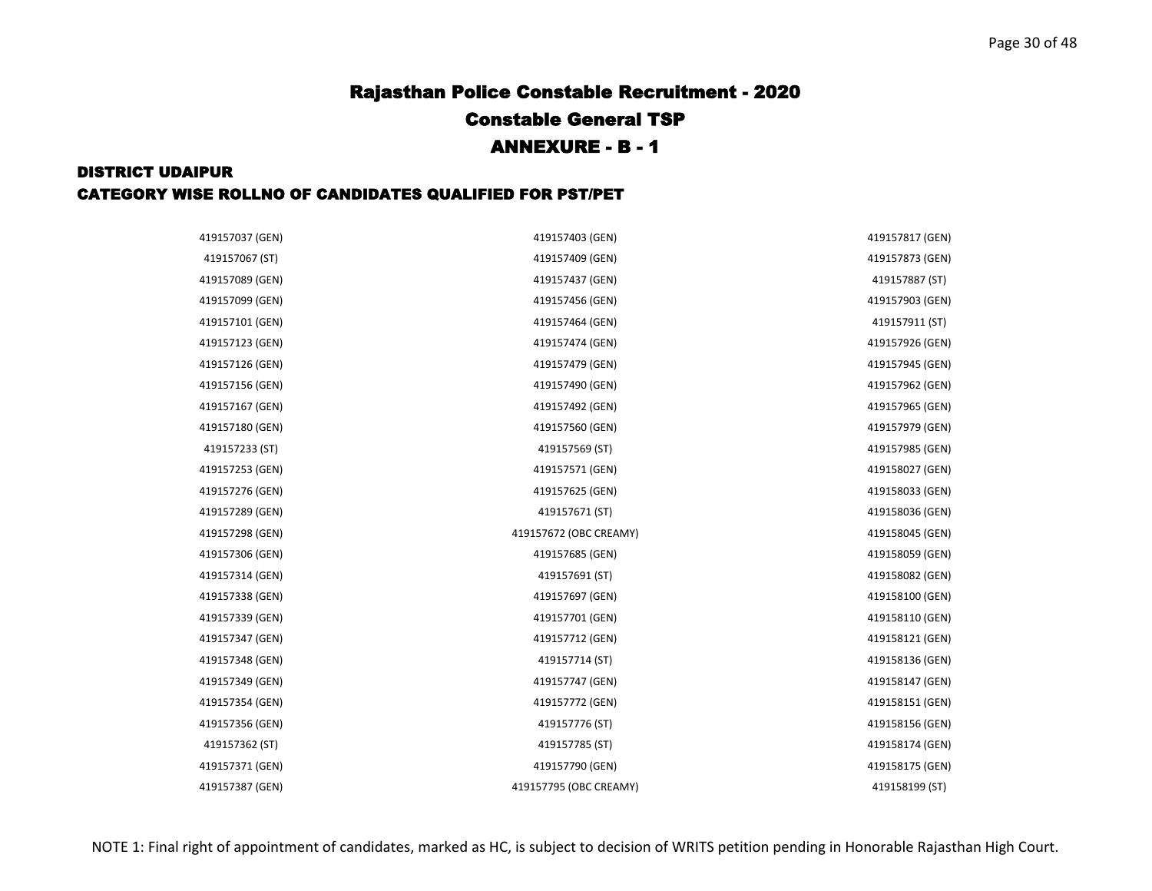| 419157037 (GEN) | 419157403 (GEN)        | 419157817 (GEN) |
|-----------------|------------------------|-----------------|
| 419157067 (ST)  | 419157409 (GEN)        | 419157873 (GEN) |
| 419157089 (GEN) | 419157437 (GEN)        | 419157887 (ST)  |
| 419157099 (GEN) | 419157456 (GEN)        | 419157903 (GEN) |
| 419157101 (GEN) | 419157464 (GEN)        | 419157911 (ST)  |
| 419157123 (GEN) | 419157474 (GEN)        | 419157926 (GEN) |
| 419157126 (GEN) | 419157479 (GEN)        | 419157945 (GEN) |
| 419157156 (GEN) | 419157490 (GEN)        | 419157962 (GEN) |
| 419157167 (GEN) | 419157492 (GEN)        | 419157965 (GEN) |
| 419157180 (GEN) | 419157560 (GEN)        | 419157979 (GEN) |
| 419157233 (ST)  | 419157569 (ST)         | 419157985 (GEN) |
| 419157253 (GEN) | 419157571 (GEN)        | 419158027 (GEN) |
| 419157276 (GEN) | 419157625 (GEN)        | 419158033 (GEN) |
| 419157289 (GEN) | 419157671 (ST)         | 419158036 (GEN) |
| 419157298 (GEN) | 419157672 (OBC CREAMY) | 419158045 (GEN) |
| 419157306 (GEN) | 419157685 (GEN)        | 419158059 (GEN) |
| 419157314 (GEN) | 419157691 (ST)         | 419158082 (GEN) |
| 419157338 (GEN) | 419157697 (GEN)        | 419158100 (GEN) |
| 419157339 (GEN) | 419157701 (GEN)        | 419158110 (GEN) |
| 419157347 (GEN) | 419157712 (GEN)        | 419158121 (GEN) |
| 419157348 (GEN) | 419157714 (ST)         | 419158136 (GEN) |
| 419157349 (GEN) | 419157747 (GEN)        | 419158147 (GEN) |
| 419157354 (GEN) | 419157772 (GEN)        | 419158151 (GEN) |
| 419157356 (GEN) | 419157776 (ST)         | 419158156 (GEN) |
| 419157362 (ST)  | 419157785 (ST)         | 419158174 (GEN) |
| 419157371 (GEN) | 419157790 (GEN)        | 419158175 (GEN) |
| 419157387 (GEN) | 419157795 (OBC CREAMY) | 419158199 (ST)  |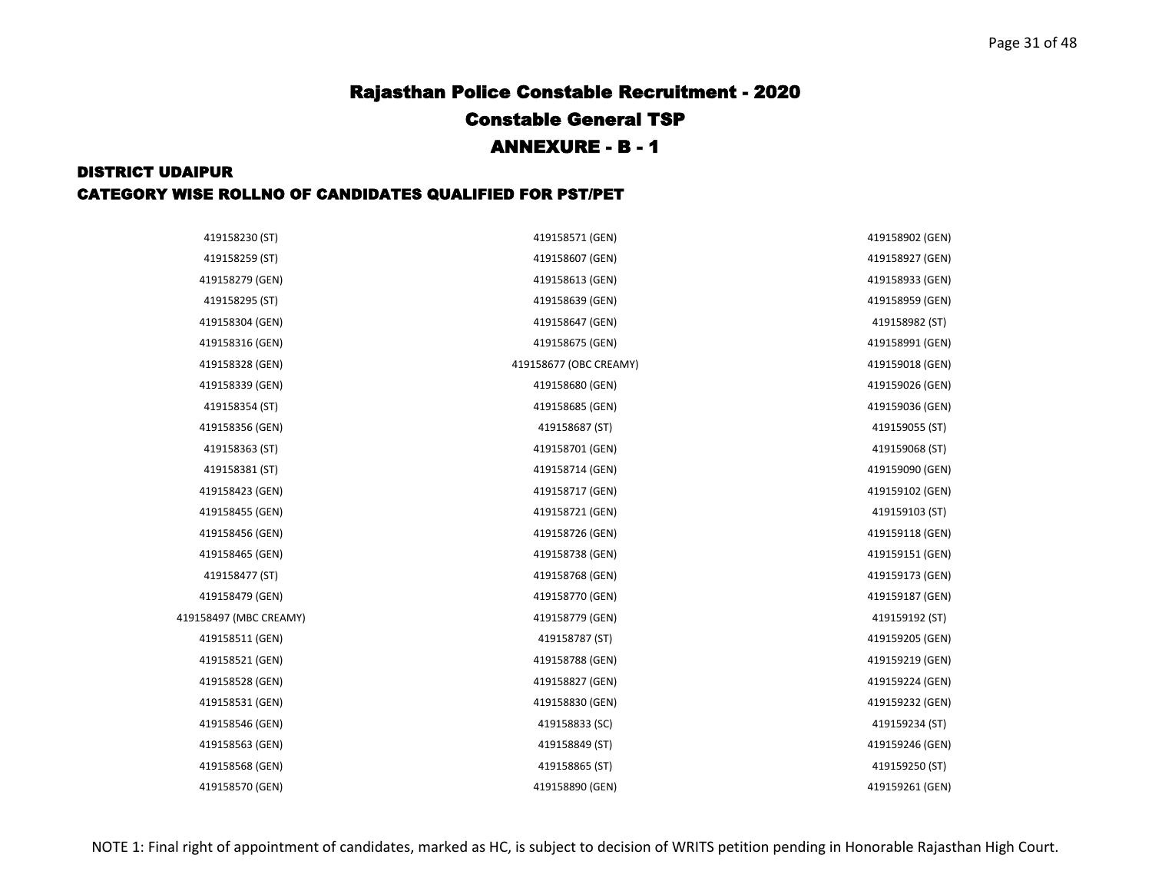| 419158230 (ST)         | 419158571 (GEN)        | 419158902 (GEN) |
|------------------------|------------------------|-----------------|
| 419158259 (ST)         | 419158607 (GEN)        | 419158927 (GEN) |
| 419158279 (GEN)        | 419158613 (GEN)        | 419158933 (GEN) |
| 419158295 (ST)         | 419158639 (GEN)        | 419158959 (GEN) |
| 419158304 (GEN)        | 419158647 (GEN)        | 419158982 (ST)  |
| 419158316 (GEN)        | 419158675 (GEN)        | 419158991 (GEN) |
| 419158328 (GEN)        | 419158677 (OBC CREAMY) | 419159018 (GEN) |
| 419158339 (GEN)        | 419158680 (GEN)        | 419159026 (GEN) |
| 419158354 (ST)         | 419158685 (GEN)        | 419159036 (GEN) |
| 419158356 (GEN)        | 419158687 (ST)         | 419159055 (ST)  |
| 419158363 (ST)         | 419158701 (GEN)        | 419159068 (ST)  |
| 419158381 (ST)         | 419158714 (GEN)        | 419159090 (GEN) |
| 419158423 (GEN)        | 419158717 (GEN)        | 419159102 (GEN) |
| 419158455 (GEN)        | 419158721 (GEN)        | 419159103 (ST)  |
| 419158456 (GEN)        | 419158726 (GEN)        | 419159118 (GEN) |
| 419158465 (GEN)        | 419158738 (GEN)        | 419159151 (GEN) |
| 419158477 (ST)         | 419158768 (GEN)        | 419159173 (GEN) |
| 419158479 (GEN)        | 419158770 (GEN)        | 419159187 (GEN) |
| 419158497 (MBC CREAMY) | 419158779 (GEN)        | 419159192 (ST)  |
| 419158511 (GEN)        | 419158787 (ST)         | 419159205 (GEN) |
| 419158521 (GEN)        | 419158788 (GEN)        | 419159219 (GEN) |
| 419158528 (GEN)        | 419158827 (GEN)        | 419159224 (GEN) |
| 419158531 (GEN)        | 419158830 (GEN)        | 419159232 (GEN) |
| 419158546 (GEN)        | 419158833 (SC)         | 419159234 (ST)  |
| 419158563 (GEN)        | 419158849 (ST)         | 419159246 (GEN) |
| 419158568 (GEN)        | 419158865 (ST)         | 419159250 (ST)  |
| 419158570 (GEN)        | 419158890 (GEN)        | 419159261 (GEN) |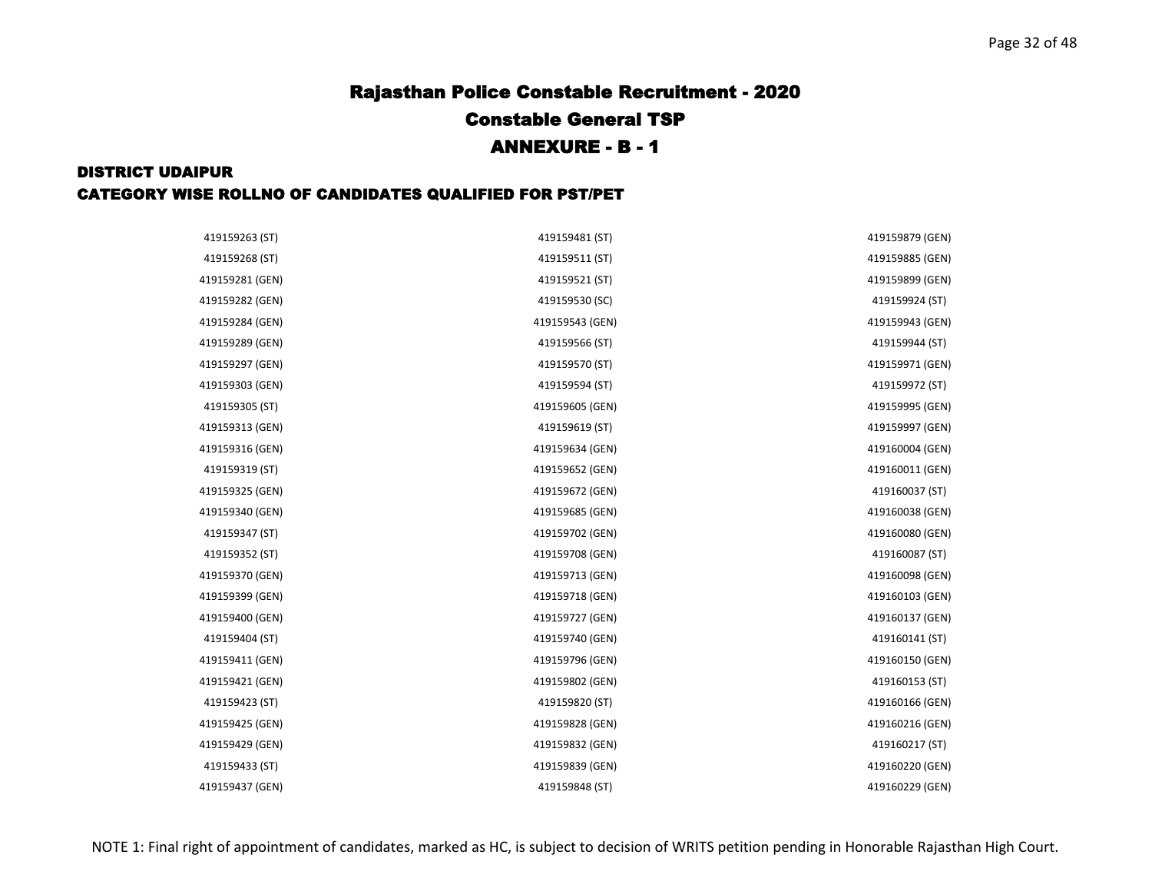| 419159263 (ST)  | 419159481 (ST)  | 419159879 (GEN) |
|-----------------|-----------------|-----------------|
| 419159268 (ST)  | 419159511 (ST)  | 419159885 (GEN) |
| 419159281 (GEN) | 419159521 (ST)  | 419159899 (GEN) |
| 419159282 (GEN) | 419159530 (SC)  | 419159924 (ST)  |
| 419159284 (GEN) | 419159543 (GEN) | 419159943 (GEN) |
| 419159289 (GEN) | 419159566 (ST)  | 419159944 (ST)  |
| 419159297 (GEN) | 419159570 (ST)  | 419159971 (GEN) |
| 419159303 (GEN) | 419159594 (ST)  | 419159972 (ST)  |
| 419159305 (ST)  | 419159605 (GEN) | 419159995 (GEN) |
| 419159313 (GEN) | 419159619 (ST)  | 419159997 (GEN) |
| 419159316 (GEN) | 419159634 (GEN) | 419160004 (GEN) |
| 419159319 (ST)  | 419159652 (GEN) | 419160011 (GEN) |
| 419159325 (GEN) | 419159672 (GEN) | 419160037 (ST)  |
| 419159340 (GEN) | 419159685 (GEN) | 419160038 (GEN) |
| 419159347 (ST)  | 419159702 (GEN) | 419160080 (GEN) |
| 419159352 (ST)  | 419159708 (GEN) | 419160087 (ST)  |
| 419159370 (GEN) | 419159713 (GEN) | 419160098 (GEN) |
| 419159399 (GEN) | 419159718 (GEN) | 419160103 (GEN) |
| 419159400 (GEN) | 419159727 (GEN) | 419160137 (GEN) |
| 419159404 (ST)  | 419159740 (GEN) | 419160141 (ST)  |
| 419159411 (GEN) | 419159796 (GEN) | 419160150 (GEN) |
| 419159421 (GEN) | 419159802 (GEN) | 419160153 (ST)  |
| 419159423 (ST)  | 419159820 (ST)  | 419160166 (GEN) |
| 419159425 (GEN) | 419159828 (GEN) | 419160216 (GEN) |
| 419159429 (GEN) | 419159832 (GEN) | 419160217 (ST)  |
| 419159433 (ST)  | 419159839 (GEN) | 419160220 (GEN) |
| 419159437 (GEN) | 419159848 (ST)  | 419160229 (GEN) |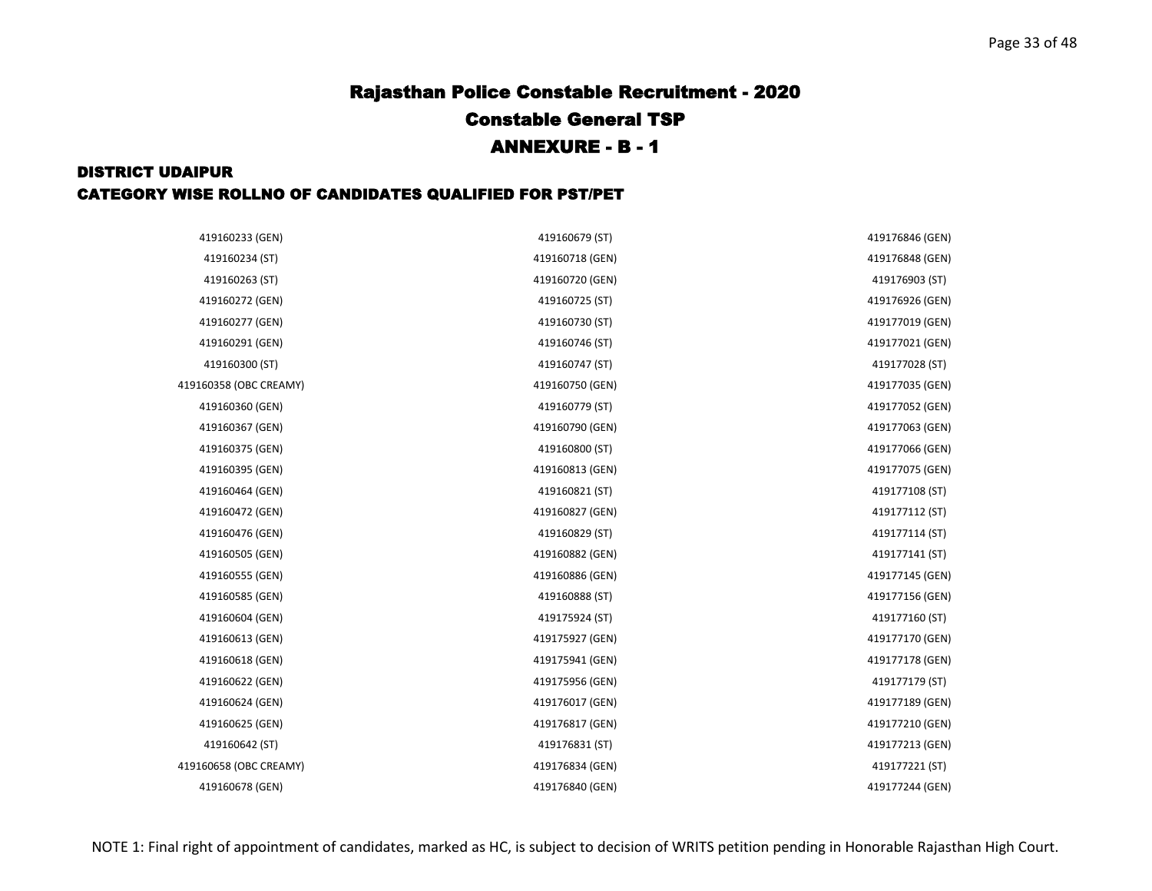| 419160233 (GEN)        | 419160679 (ST)  | 419176846 (GEN) |
|------------------------|-----------------|-----------------|
| 419160234 (ST)         | 419160718 (GEN) | 419176848 (GEN) |
| 419160263 (ST)         | 419160720 (GEN) | 419176903 (ST)  |
| 419160272 (GEN)        | 419160725 (ST)  | 419176926 (GEN) |
| 419160277 (GEN)        | 419160730 (ST)  | 419177019 (GEN) |
| 419160291 (GEN)        | 419160746 (ST)  | 419177021 (GEN) |
| 419160300 (ST)         | 419160747 (ST)  | 419177028 (ST)  |
| 419160358 (OBC CREAMY) | 419160750 (GEN) | 419177035 (GEN) |
| 419160360 (GEN)        | 419160779 (ST)  | 419177052 (GEN) |
| 419160367 (GEN)        | 419160790 (GEN) | 419177063 (GEN) |
| 419160375 (GEN)        | 419160800 (ST)  | 419177066 (GEN) |
| 419160395 (GEN)        | 419160813 (GEN) | 419177075 (GEN) |
| 419160464 (GEN)        | 419160821 (ST)  | 419177108 (ST)  |
| 419160472 (GEN)        | 419160827 (GEN) | 419177112 (ST)  |
| 419160476 (GEN)        | 419160829 (ST)  | 419177114 (ST)  |
| 419160505 (GEN)        | 419160882 (GEN) | 419177141 (ST)  |
| 419160555 (GEN)        | 419160886 (GEN) | 419177145 (GEN) |
| 419160585 (GEN)        | 419160888 (ST)  | 419177156 (GEN) |
| 419160604 (GEN)        | 419175924 (ST)  | 419177160 (ST)  |
| 419160613 (GEN)        | 419175927 (GEN) | 419177170 (GEN) |
| 419160618 (GEN)        | 419175941 (GEN) | 419177178 (GEN) |
| 419160622 (GEN)        | 419175956 (GEN) | 419177179 (ST)  |
| 419160624 (GEN)        | 419176017 (GEN) | 419177189 (GEN) |
| 419160625 (GEN)        | 419176817 (GEN) | 419177210 (GEN) |
| 419160642 (ST)         | 419176831 (ST)  | 419177213 (GEN) |
| 419160658 (OBC CREAMY) | 419176834 (GEN) | 419177221 (ST)  |
| 419160678 (GEN)        | 419176840 (GEN) | 419177244 (GEN) |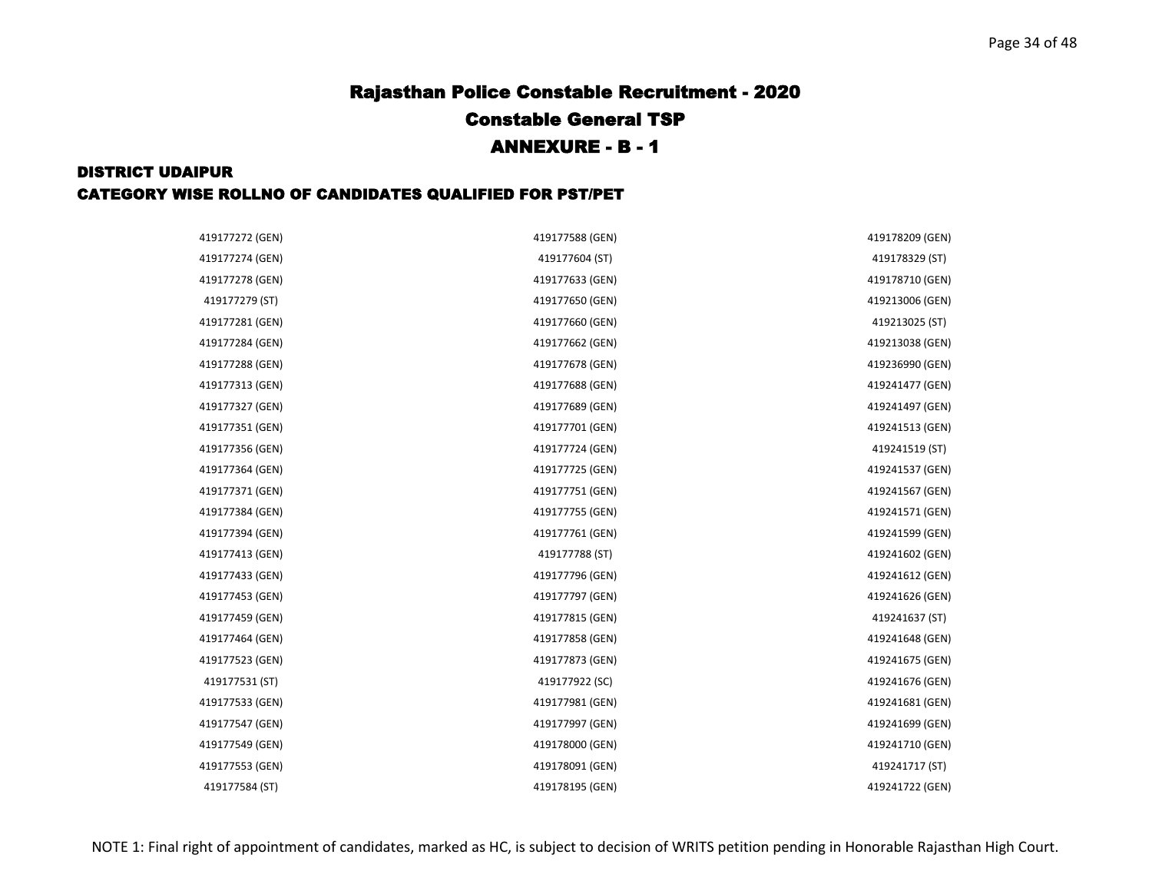| 419177272 (GEN) | 419177588 (GEN) | 419178209 (GEN) |
|-----------------|-----------------|-----------------|
| 419177274 (GEN) | 419177604 (ST)  | 419178329 (ST)  |
| 419177278 (GEN) | 419177633 (GEN) | 419178710 (GEN) |
| 419177279 (ST)  | 419177650 (GEN) | 419213006 (GEN) |
| 419177281 (GEN) | 419177660 (GEN) | 419213025 (ST)  |
| 419177284 (GEN) | 419177662 (GEN) | 419213038 (GEN) |
| 419177288 (GEN) | 419177678 (GEN) | 419236990 (GEN) |
| 419177313 (GEN) | 419177688 (GEN) | 419241477 (GEN) |
| 419177327 (GEN) | 419177689 (GEN) | 419241497 (GEN) |
| 419177351 (GEN) | 419177701 (GEN) | 419241513 (GEN) |
| 419177356 (GEN) | 419177724 (GEN) | 419241519 (ST)  |
| 419177364 (GEN) | 419177725 (GEN) | 419241537 (GEN) |
| 419177371 (GEN) | 419177751 (GEN) | 419241567 (GEN) |
| 419177384 (GEN) | 419177755 (GEN) | 419241571 (GEN) |
| 419177394 (GEN) | 419177761 (GEN) | 419241599 (GEN) |
| 419177413 (GEN) | 419177788 (ST)  | 419241602 (GEN) |
| 419177433 (GEN) | 419177796 (GEN) | 419241612 (GEN) |
| 419177453 (GEN) | 419177797 (GEN) | 419241626 (GEN) |
| 419177459 (GEN) | 419177815 (GEN) | 419241637 (ST)  |
| 419177464 (GEN) | 419177858 (GEN) | 419241648 (GEN) |
| 419177523 (GEN) | 419177873 (GEN) | 419241675 (GEN) |
| 419177531 (ST)  | 419177922 (SC)  | 419241676 (GEN) |
| 419177533 (GEN) | 419177981 (GEN) | 419241681 (GEN) |
| 419177547 (GEN) | 419177997 (GEN) | 419241699 (GEN) |
| 419177549 (GEN) | 419178000 (GEN) | 419241710 (GEN) |
| 419177553 (GEN) | 419178091 (GEN) | 419241717 (ST)  |
| 419177584 (ST)  | 419178195 (GEN) | 419241722 (GEN) |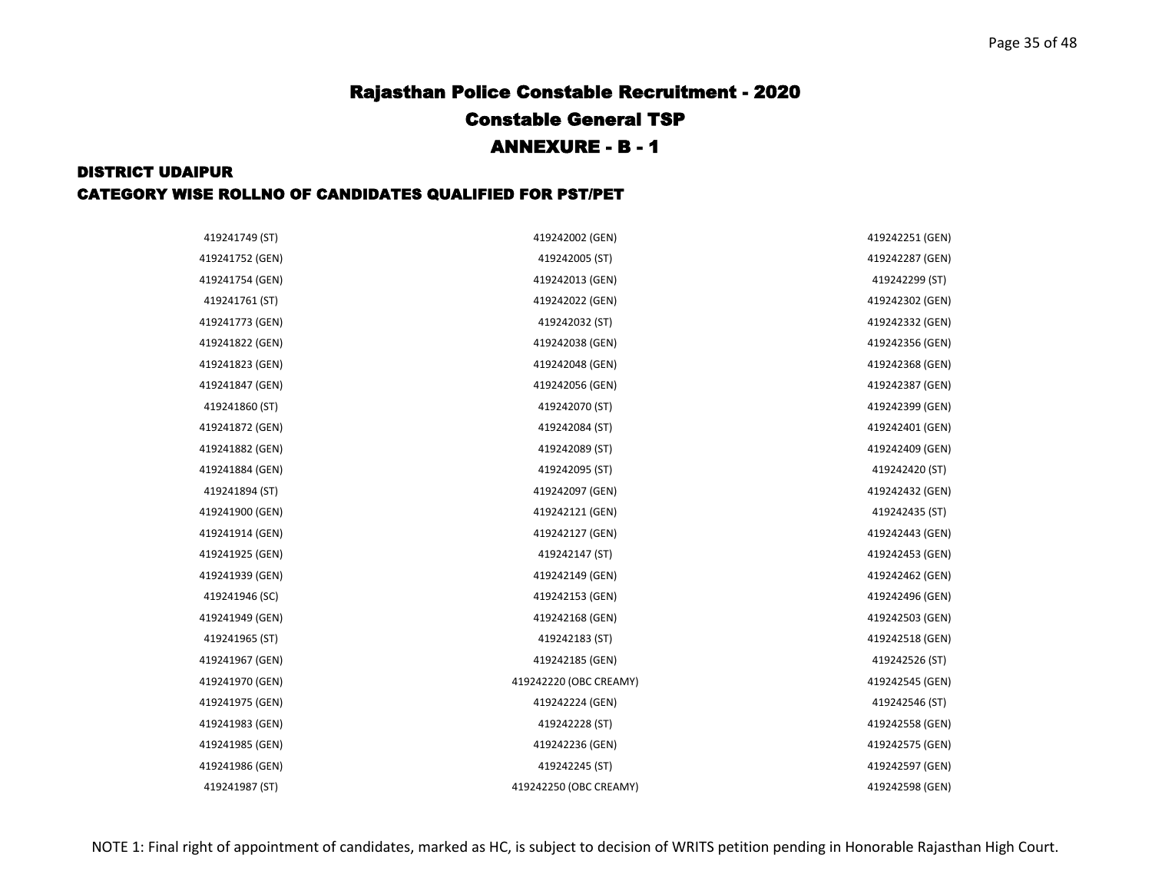| 419241749 (ST)  | 419242002 (GEN)        | 419242251 (GEN) |
|-----------------|------------------------|-----------------|
| 419241752 (GEN) | 419242005 (ST)         | 419242287 (GEN) |
| 419241754 (GEN) | 419242013 (GEN)        | 419242299 (ST)  |
| 419241761 (ST)  | 419242022 (GEN)        | 419242302 (GEN) |
| 419241773 (GEN) | 419242032 (ST)         | 419242332 (GEN) |
| 419241822 (GEN) | 419242038 (GEN)        | 419242356 (GEN) |
| 419241823 (GEN) | 419242048 (GEN)        | 419242368 (GEN) |
| 419241847 (GEN) | 419242056 (GEN)        | 419242387 (GEN) |
| 419241860 (ST)  | 419242070 (ST)         | 419242399 (GEN) |
| 419241872 (GEN) | 419242084 (ST)         | 419242401 (GEN) |
| 419241882 (GEN) | 419242089 (ST)         | 419242409 (GEN) |
| 419241884 (GEN) | 419242095 (ST)         | 419242420 (ST)  |
| 419241894 (ST)  | 419242097 (GEN)        | 419242432 (GEN) |
| 419241900 (GEN) | 419242121 (GEN)        | 419242435 (ST)  |
| 419241914 (GEN) | 419242127 (GEN)        | 419242443 (GEN) |
| 419241925 (GEN) | 419242147 (ST)         | 419242453 (GEN) |
| 419241939 (GEN) | 419242149 (GEN)        | 419242462 (GEN) |
| 419241946 (SC)  | 419242153 (GEN)        | 419242496 (GEN) |
| 419241949 (GEN) | 419242168 (GEN)        | 419242503 (GEN) |
| 419241965 (ST)  | 419242183 (ST)         | 419242518 (GEN) |
| 419241967 (GEN) | 419242185 (GEN)        | 419242526 (ST)  |
| 419241970 (GEN) | 419242220 (OBC CREAMY) | 419242545 (GEN) |
| 419241975 (GEN) | 419242224 (GEN)        | 419242546 (ST)  |
| 419241983 (GEN) | 419242228 (ST)         | 419242558 (GEN) |
| 419241985 (GEN) | 419242236 (GEN)        | 419242575 (GEN) |
| 419241986 (GEN) | 419242245 (ST)         | 419242597 (GEN) |
| 419241987 (ST)  | 419242250 (OBC CREAMY) | 419242598 (GEN) |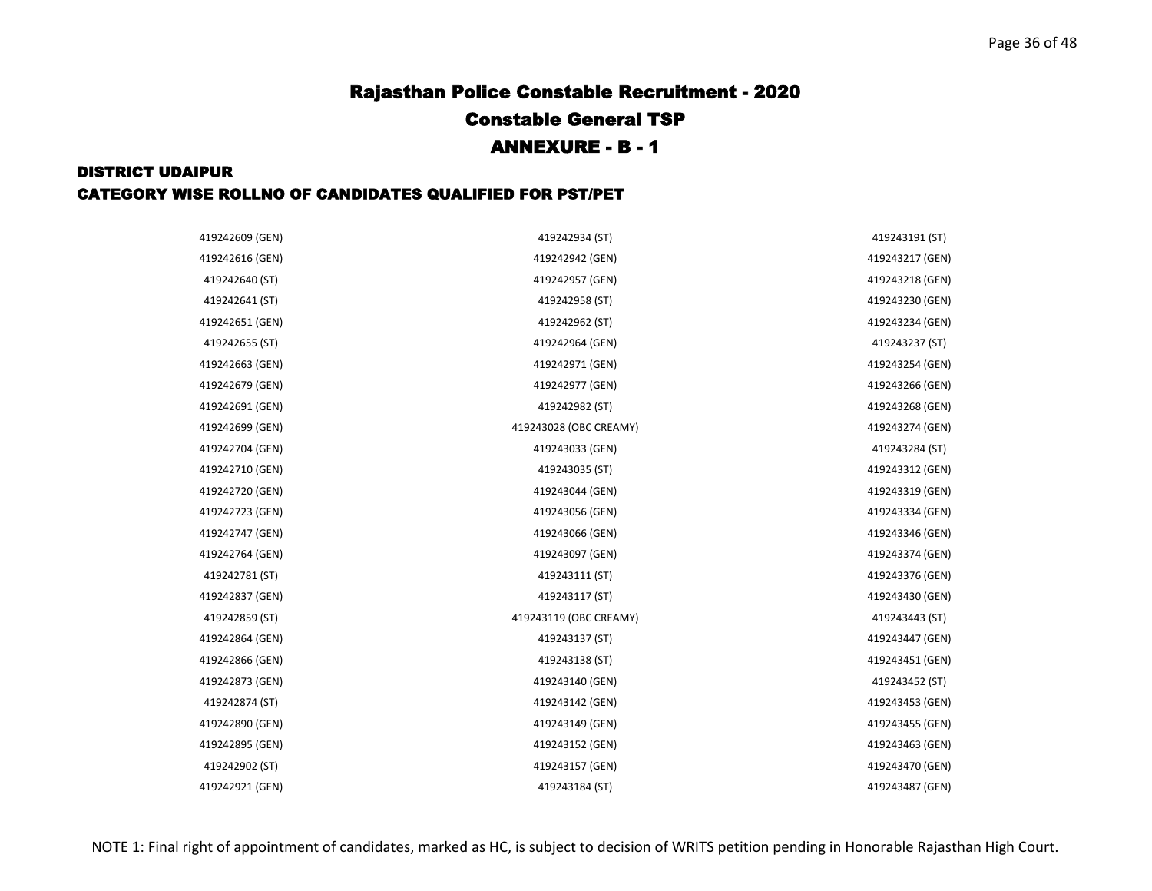| 419242609 (GEN) | 419242934 (ST)         | 419243191 (ST)  |
|-----------------|------------------------|-----------------|
| 419242616 (GEN) | 419242942 (GEN)        | 419243217 (GEN) |
| 419242640 (ST)  | 419242957 (GEN)        | 419243218 (GEN) |
| 419242641 (ST)  | 419242958 (ST)         | 419243230 (GEN) |
| 419242651 (GEN) | 419242962 (ST)         | 419243234 (GEN) |
| 419242655 (ST)  | 419242964 (GEN)        | 419243237 (ST)  |
| 419242663 (GEN) | 419242971 (GEN)        | 419243254 (GEN) |
| 419242679 (GEN) | 419242977 (GEN)        | 419243266 (GEN) |
| 419242691 (GEN) | 419242982 (ST)         | 419243268 (GEN) |
| 419242699 (GEN) | 419243028 (OBC CREAMY) | 419243274 (GEN) |
| 419242704 (GEN) | 419243033 (GEN)        | 419243284 (ST)  |
| 419242710 (GEN) | 419243035 (ST)         | 419243312 (GEN) |
| 419242720 (GEN) | 419243044 (GEN)        | 419243319 (GEN) |
| 419242723 (GEN) | 419243056 (GEN)        | 419243334 (GEN) |
| 419242747 (GEN) | 419243066 (GEN)        | 419243346 (GEN) |
| 419242764 (GEN) | 419243097 (GEN)        | 419243374 (GEN) |
| 419242781 (ST)  | 419243111 (ST)         | 419243376 (GEN) |
| 419242837 (GEN) | 419243117 (ST)         | 419243430 (GEN) |
| 419242859 (ST)  | 419243119 (OBC CREAMY) | 419243443 (ST)  |
| 419242864 (GEN) | 419243137 (ST)         | 419243447 (GEN) |
| 419242866 (GEN) | 419243138 (ST)         | 419243451 (GEN) |
| 419242873 (GEN) | 419243140 (GEN)        | 419243452 (ST)  |
| 419242874 (ST)  | 419243142 (GEN)        | 419243453 (GEN) |
| 419242890 (GEN) | 419243149 (GEN)        | 419243455 (GEN) |
| 419242895 (GEN) | 419243152 (GEN)        | 419243463 (GEN) |
| 419242902 (ST)  | 419243157 (GEN)        | 419243470 (GEN) |
| 419242921 (GEN) | 419243184 (ST)         | 419243487 (GEN) |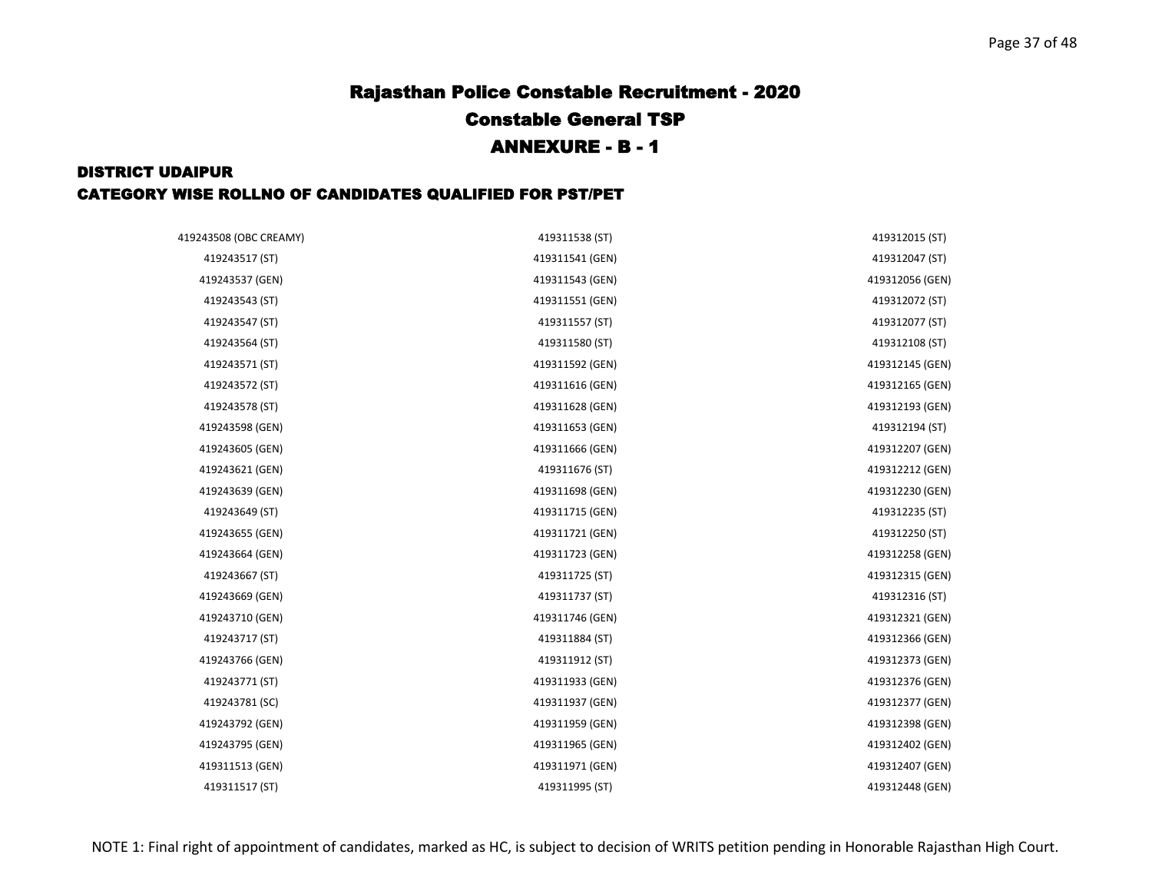| 419243508 (OBC CREAMY) | 419311538 (ST)  | 419312015 (ST)  |
|------------------------|-----------------|-----------------|
| 419243517 (ST)         | 419311541 (GEN) | 419312047 (ST)  |
| 419243537 (GEN)        | 419311543 (GEN) | 419312056 (GEN) |
| 419243543 (ST)         | 419311551 (GEN) | 419312072 (ST)  |
| 419243547 (ST)         | 419311557 (ST)  | 419312077 (ST)  |
| 419243564 (ST)         | 419311580 (ST)  | 419312108 (ST)  |
| 419243571 (ST)         | 419311592 (GEN) | 419312145 (GEN) |
| 419243572 (ST)         | 419311616 (GEN) | 419312165 (GEN) |
| 419243578 (ST)         | 419311628 (GEN) | 419312193 (GEN) |
| 419243598 (GEN)        | 419311653 (GEN) | 419312194 (ST)  |
| 419243605 (GEN)        | 419311666 (GEN) | 419312207 (GEN) |
| 419243621 (GEN)        | 419311676 (ST)  | 419312212 (GEN) |
| 419243639 (GEN)        | 419311698 (GEN) | 419312230 (GEN) |
| 419243649 (ST)         | 419311715 (GEN) | 419312235 (ST)  |
| 419243655 (GEN)        | 419311721 (GEN) | 419312250 (ST)  |
| 419243664 (GEN)        | 419311723 (GEN) | 419312258 (GEN) |
| 419243667 (ST)         | 419311725 (ST)  | 419312315 (GEN) |
| 419243669 (GEN)        | 419311737 (ST)  | 419312316 (ST)  |
| 419243710 (GEN)        | 419311746 (GEN) | 419312321 (GEN) |
| 419243717 (ST)         | 419311884 (ST)  | 419312366 (GEN) |
| 419243766 (GEN)        | 419311912 (ST)  | 419312373 (GEN) |
| 419243771 (ST)         | 419311933 (GEN) | 419312376 (GEN) |
| 419243781 (SC)         | 419311937 (GEN) | 419312377 (GEN) |
| 419243792 (GEN)        | 419311959 (GEN) | 419312398 (GEN) |
| 419243795 (GEN)        | 419311965 (GEN) | 419312402 (GEN) |
| 419311513 (GEN)        | 419311971 (GEN) | 419312407 (GEN) |
| 419311517 (ST)         | 419311995 (ST)  | 419312448 (GEN) |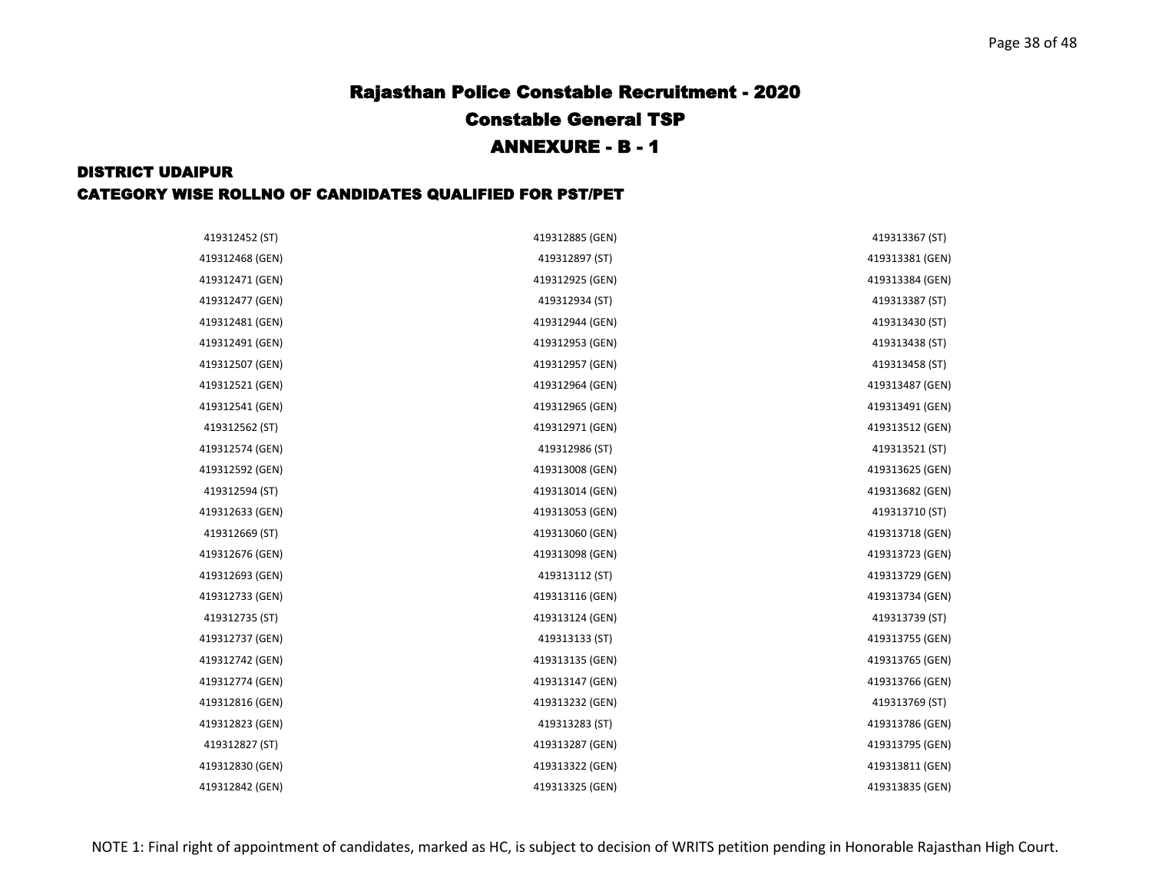| 419312452 (ST)  | 419312885 (GEN) | 419313367 (ST)  |
|-----------------|-----------------|-----------------|
| 419312468 (GEN) | 419312897 (ST)  | 419313381 (GEN) |
| 419312471 (GEN) | 419312925 (GEN) | 419313384 (GEN) |
| 419312477 (GEN) | 419312934 (ST)  | 419313387 (ST)  |
| 419312481 (GEN) | 419312944 (GEN) | 419313430 (ST)  |
| 419312491 (GEN) | 419312953 (GEN) | 419313438 (ST)  |
| 419312507 (GEN) | 419312957 (GEN) | 419313458 (ST)  |
| 419312521 (GEN) | 419312964 (GEN) | 419313487 (GEN) |
| 419312541 (GEN) | 419312965 (GEN) | 419313491 (GEN) |
| 419312562 (ST)  | 419312971 (GEN) | 419313512 (GEN) |
| 419312574 (GEN) | 419312986 (ST)  | 419313521 (ST)  |
| 419312592 (GEN) | 419313008 (GEN) | 419313625 (GEN) |
| 419312594 (ST)  | 419313014 (GEN) | 419313682 (GEN) |
| 419312633 (GEN) | 419313053 (GEN) | 419313710 (ST)  |
| 419312669 (ST)  | 419313060 (GEN) | 419313718 (GEN) |
| 419312676 (GEN) | 419313098 (GEN) | 419313723 (GEN) |
| 419312693 (GEN) | 419313112 (ST)  | 419313729 (GEN) |
| 419312733 (GEN) | 419313116 (GEN) | 419313734 (GEN) |
| 419312735 (ST)  | 419313124 (GEN) | 419313739 (ST)  |
| 419312737 (GEN) | 419313133 (ST)  | 419313755 (GEN) |
| 419312742 (GEN) | 419313135 (GEN) | 419313765 (GEN) |
| 419312774 (GEN) | 419313147 (GEN) | 419313766 (GEN) |
| 419312816 (GEN) | 419313232 (GEN) | 419313769 (ST)  |
| 419312823 (GEN) | 419313283 (ST)  | 419313786 (GEN) |
| 419312827 (ST)  | 419313287 (GEN) | 419313795 (GEN) |
| 419312830 (GEN) | 419313322 (GEN) | 419313811 (GEN) |
| 419312842 (GEN) | 419313325 (GEN) | 419313835 (GEN) |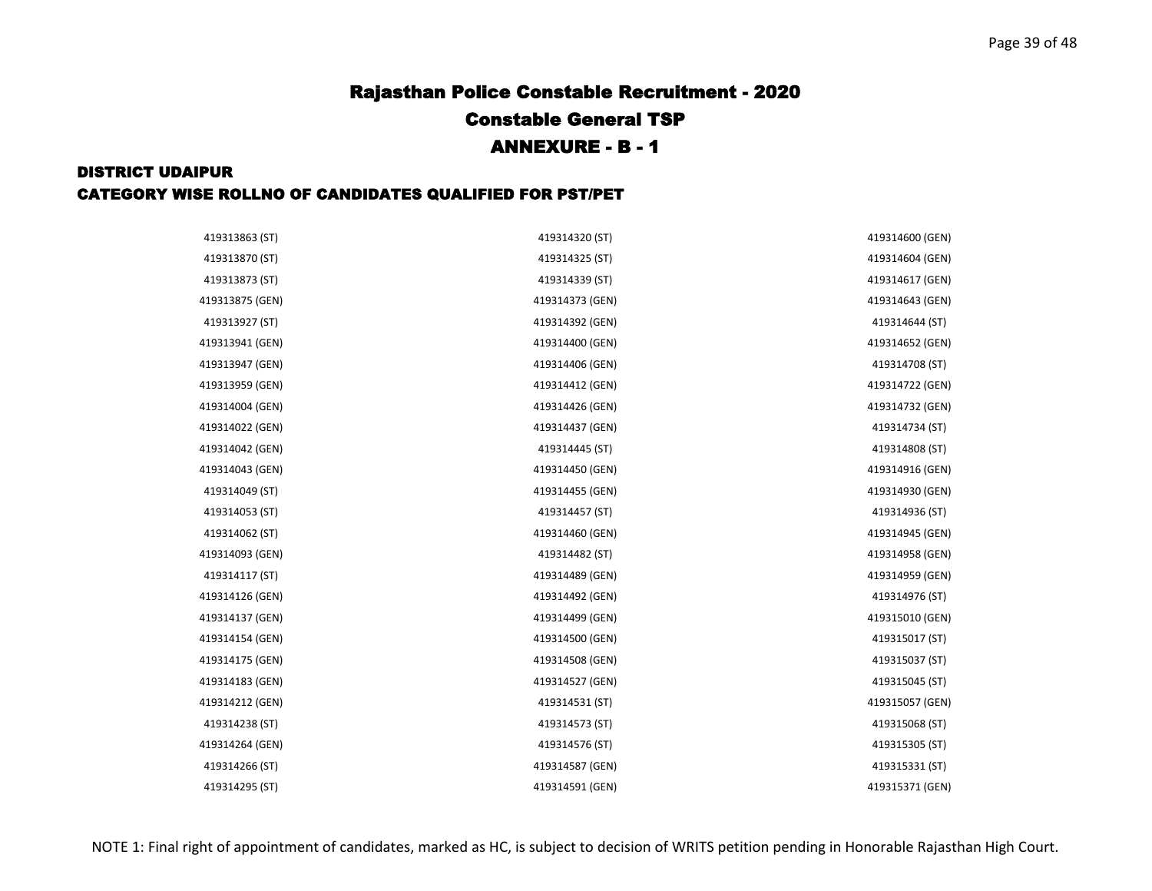| 419313863 (ST)  | 419314320 (ST)  | 419314600 (GEN) |
|-----------------|-----------------|-----------------|
| 419313870 (ST)  | 419314325 (ST)  | 419314604 (GEN) |
| 419313873 (ST)  | 419314339 (ST)  | 419314617 (GEN) |
| 419313875 (GEN) | 419314373 (GEN) | 419314643 (GEN) |
| 419313927 (ST)  | 419314392 (GEN) | 419314644 (ST)  |
| 419313941 (GEN) | 419314400 (GEN) | 419314652 (GEN) |
| 419313947 (GEN) | 419314406 (GEN) | 419314708 (ST)  |
| 419313959 (GEN) | 419314412 (GEN) | 419314722 (GEN) |
| 419314004 (GEN) | 419314426 (GEN) | 419314732 (GEN) |
| 419314022 (GEN) | 419314437 (GEN) | 419314734 (ST)  |
| 419314042 (GEN) | 419314445 (ST)  | 419314808 (ST)  |
| 419314043 (GEN) | 419314450 (GEN) | 419314916 (GEN) |
| 419314049 (ST)  | 419314455 (GEN) | 419314930 (GEN) |
| 419314053 (ST)  | 419314457 (ST)  | 419314936 (ST)  |
| 419314062 (ST)  | 419314460 (GEN) | 419314945 (GEN) |
| 419314093 (GEN) | 419314482 (ST)  | 419314958 (GEN) |
| 419314117 (ST)  | 419314489 (GEN) | 419314959 (GEN) |
| 419314126 (GEN) | 419314492 (GEN) | 419314976 (ST)  |
| 419314137 (GEN) | 419314499 (GEN) | 419315010 (GEN) |
| 419314154 (GEN) | 419314500 (GEN) | 419315017 (ST)  |
| 419314175 (GEN) | 419314508 (GEN) | 419315037 (ST)  |
| 419314183 (GEN) | 419314527 (GEN) | 419315045 (ST)  |
| 419314212 (GEN) | 419314531 (ST)  | 419315057 (GEN) |
| 419314238 (ST)  | 419314573 (ST)  | 419315068 (ST)  |
| 419314264 (GEN) | 419314576 (ST)  | 419315305 (ST)  |
| 419314266 (ST)  | 419314587 (GEN) | 419315331 (ST)  |
| 419314295 (ST)  | 419314591 (GEN) | 419315371 (GEN) |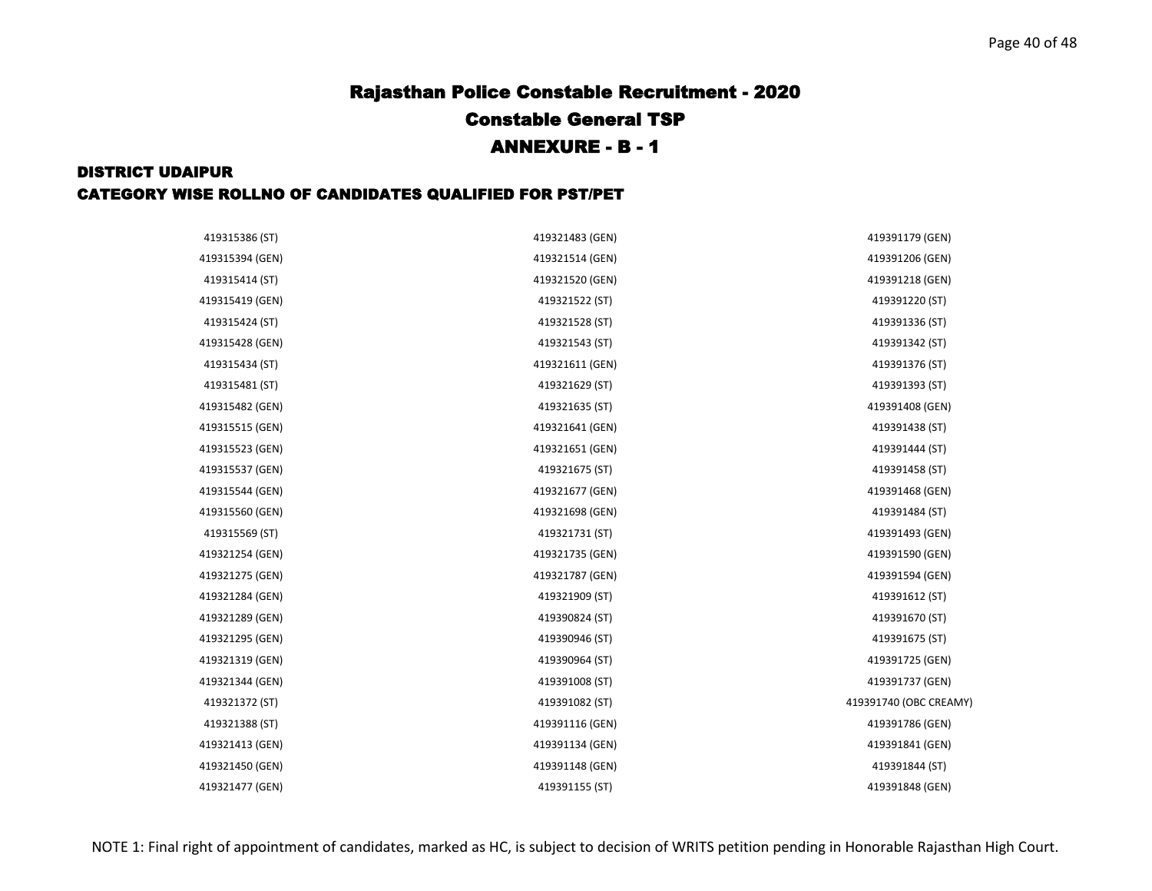| 419315386 (ST)  | 419321483 (GEN) | 419391179 (GEN)        |
|-----------------|-----------------|------------------------|
| 419315394 (GEN) | 419321514 (GEN) | 419391206 (GEN)        |
| 419315414 (ST)  | 419321520 (GEN) | 419391218 (GEN)        |
| 419315419 (GEN) | 419321522 (ST)  | 419391220 (ST)         |
| 419315424 (ST)  | 419321528 (ST)  | 419391336 (ST)         |
| 419315428 (GEN) | 419321543 (ST)  | 419391342 (ST)         |
| 419315434 (ST)  | 419321611 (GEN) | 419391376 (ST)         |
| 419315481 (ST)  | 419321629 (ST)  | 419391393 (ST)         |
| 419315482 (GEN) | 419321635 (ST)  | 419391408 (GEN)        |
| 419315515 (GEN) | 419321641 (GEN) | 419391438 (ST)         |
| 419315523 (GEN) | 419321651 (GEN) | 419391444 (ST)         |
| 419315537 (GEN) | 419321675 (ST)  | 419391458 (ST)         |
| 419315544 (GEN) | 419321677 (GEN) | 419391468 (GEN)        |
| 419315560 (GEN) | 419321698 (GEN) | 419391484 (ST)         |
| 419315569 (ST)  | 419321731 (ST)  | 419391493 (GEN)        |
| 419321254 (GEN) | 419321735 (GEN) | 419391590 (GEN)        |
| 419321275 (GEN) | 419321787 (GEN) | 419391594 (GEN)        |
| 419321284 (GEN) | 419321909 (ST)  | 419391612 (ST)         |
| 419321289 (GEN) | 419390824 (ST)  | 419391670 (ST)         |
| 419321295 (GEN) | 419390946 (ST)  | 419391675 (ST)         |
| 419321319 (GEN) | 419390964 (ST)  | 419391725 (GEN)        |
| 419321344 (GEN) | 419391008 (ST)  | 419391737 (GEN)        |
| 419321372 (ST)  | 419391082 (ST)  | 419391740 (OBC CREAMY) |
| 419321388 (ST)  | 419391116 (GEN) | 419391786 (GEN)        |
| 419321413 (GEN) | 419391134 (GEN) | 419391841 (GEN)        |
| 419321450 (GEN) | 419391148 (GEN) | 419391844 (ST)         |
| 419321477 (GEN) | 419391155 (ST)  | 419391848 (GEN)        |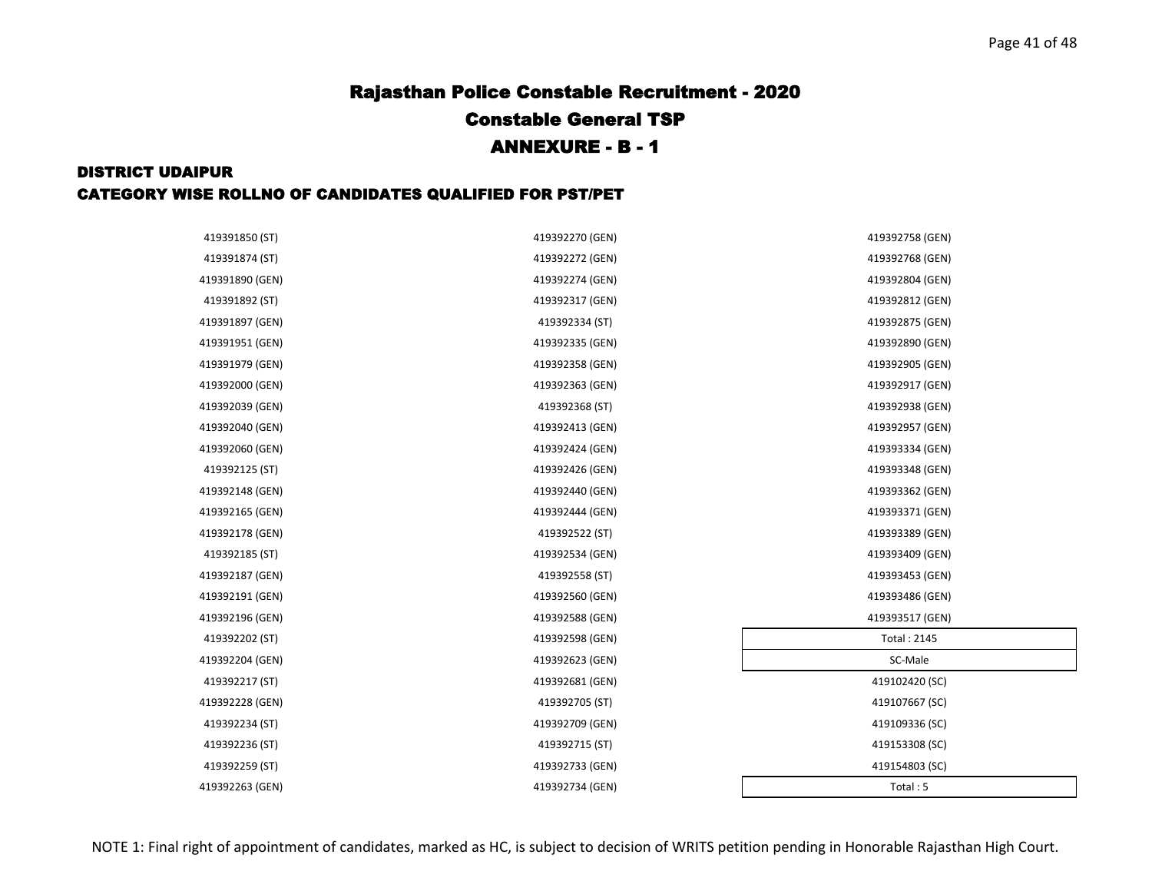| 419391850 (ST)  | 419392270 (GEN) | 419392758 (GEN)    |
|-----------------|-----------------|--------------------|
| 419391874 (ST)  | 419392272 (GEN) | 419392768 (GEN)    |
| 419391890 (GEN) | 419392274 (GEN) | 419392804 (GEN)    |
| 419391892 (ST)  | 419392317 (GEN) | 419392812 (GEN)    |
| 419391897 (GEN) | 419392334 (ST)  | 419392875 (GEN)    |
| 419391951 (GEN) | 419392335 (GEN) | 419392890 (GEN)    |
| 419391979 (GEN) | 419392358 (GEN) | 419392905 (GEN)    |
| 419392000 (GEN) | 419392363 (GEN) | 419392917 (GEN)    |
| 419392039 (GEN) | 419392368 (ST)  | 419392938 (GEN)    |
| 419392040 (GEN) | 419392413 (GEN) | 419392957 (GEN)    |
| 419392060 (GEN) | 419392424 (GEN) | 419393334 (GEN)    |
| 419392125 (ST)  | 419392426 (GEN) | 419393348 (GEN)    |
| 419392148 (GEN) | 419392440 (GEN) | 419393362 (GEN)    |
| 419392165 (GEN) | 419392444 (GEN) | 419393371 (GEN)    |
| 419392178 (GEN) | 419392522 (ST)  | 419393389 (GEN)    |
| 419392185 (ST)  | 419392534 (GEN) | 419393409 (GEN)    |
| 419392187 (GEN) | 419392558 (ST)  | 419393453 (GEN)    |
| 419392191 (GEN) | 419392560 (GEN) | 419393486 (GEN)    |
| 419392196 (GEN) | 419392588 (GEN) | 419393517 (GEN)    |
| 419392202 (ST)  | 419392598 (GEN) | <b>Total: 2145</b> |
| 419392204 (GEN) | 419392623 (GEN) | SC-Male            |
| 419392217 (ST)  | 419392681 (GEN) | 419102420 (SC)     |
| 419392228 (GEN) | 419392705 (ST)  | 419107667 (SC)     |
| 419392234 (ST)  | 419392709 (GEN) | 419109336 (SC)     |
| 419392236 (ST)  | 419392715 (ST)  | 419153308 (SC)     |
| 419392259 (ST)  | 419392733 (GEN) | 419154803 (SC)     |
| 419392263 (GEN) | 419392734 (GEN) | Total: 5           |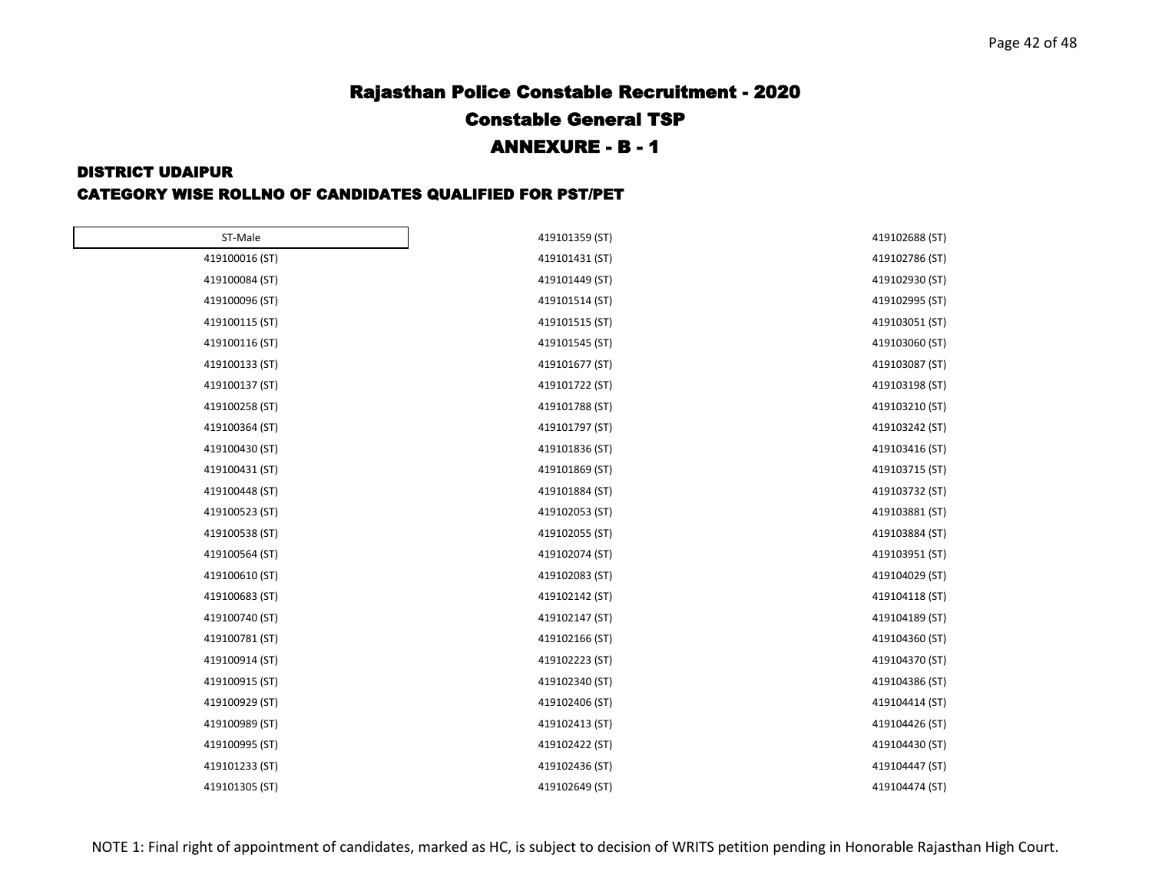#### DISTRICT UDAIPUR

#### CATEGORY WISE ROLLNO OF CANDIDATES QUALIFIED FOR PST/PET

| ST-Male        | 419101359 (ST) | 419102688 (ST) |
|----------------|----------------|----------------|
| 419100016 (ST) | 419101431 (ST) | 419102786 (ST) |
| 419100084 (ST) | 419101449 (ST) | 419102930 (ST) |
| 419100096 (ST) | 419101514 (ST) | 419102995 (ST) |
| 419100115 (ST) | 419101515 (ST) | 419103051 (ST) |
| 419100116 (ST) | 419101545 (ST) | 419103060 (ST) |
| 419100133 (ST) | 419101677 (ST) | 419103087 (ST) |
| 419100137 (ST) | 419101722 (ST) | 419103198 (ST) |
| 419100258 (ST) | 419101788 (ST) | 419103210 (ST) |
| 419100364 (ST) | 419101797 (ST) | 419103242 (ST) |
| 419100430 (ST) | 419101836 (ST) | 419103416 (ST) |
| 419100431 (ST) | 419101869 (ST) | 419103715 (ST) |
| 419100448 (ST) | 419101884 (ST) | 419103732 (ST) |
| 419100523 (ST) | 419102053 (ST) | 419103881 (ST) |
| 419100538 (ST) | 419102055 (ST) | 419103884 (ST) |
| 419100564 (ST) | 419102074 (ST) | 419103951 (ST) |
| 419100610 (ST) | 419102083 (ST) | 419104029 (ST) |
| 419100683 (ST) | 419102142 (ST) | 419104118 (ST) |
| 419100740 (ST) | 419102147 (ST) | 419104189 (ST) |
| 419100781 (ST) | 419102166 (ST) | 419104360 (ST) |
| 419100914 (ST) | 419102223 (ST) | 419104370 (ST) |
| 419100915 (ST) | 419102340 (ST) | 419104386 (ST) |
| 419100929 (ST) | 419102406 (ST) | 419104414 (ST) |
| 419100989 (ST) | 419102413 (ST) | 419104426 (ST) |
| 419100995 (ST) | 419102422 (ST) | 419104430 (ST) |
| 419101233 (ST) | 419102436 (ST) | 419104447 (ST) |
| 419101305 (ST) | 419102649 (ST) | 419104474 (ST) |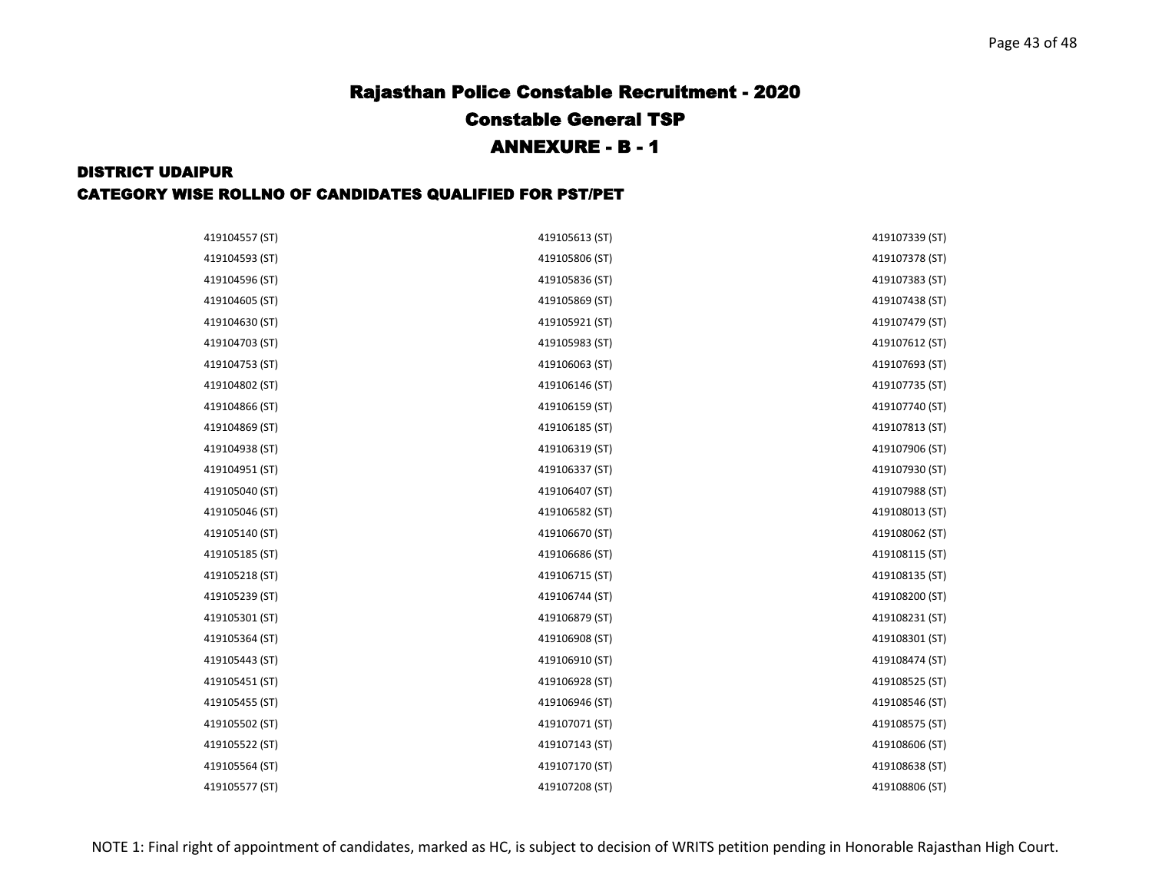| 419104557 (ST) | 419105613 (ST) | 419107339 (ST) |
|----------------|----------------|----------------|
| 419104593 (ST) | 419105806 (ST) | 419107378 (ST) |
| 419104596 (ST) | 419105836 (ST) | 419107383 (ST) |
| 419104605 (ST) | 419105869 (ST) | 419107438 (ST) |
| 419104630 (ST) | 419105921 (ST) | 419107479 (ST) |
| 419104703 (ST) | 419105983 (ST) | 419107612 (ST) |
| 419104753 (ST) | 419106063 (ST) | 419107693 (ST) |
| 419104802 (ST) | 419106146 (ST) | 419107735 (ST) |
| 419104866 (ST) | 419106159 (ST) | 419107740 (ST) |
| 419104869 (ST) | 419106185 (ST) | 419107813 (ST) |
| 419104938 (ST) | 419106319 (ST) | 419107906 (ST) |
| 419104951 (ST) | 419106337 (ST) | 419107930 (ST) |
| 419105040 (ST) | 419106407 (ST) | 419107988 (ST) |
| 419105046 (ST) | 419106582 (ST) | 419108013 (ST) |
| 419105140 (ST) | 419106670 (ST) | 419108062 (ST) |
| 419105185 (ST) | 419106686 (ST) | 419108115 (ST) |
| 419105218 (ST) | 419106715 (ST) | 419108135 (ST) |
| 419105239 (ST) | 419106744 (ST) | 419108200 (ST) |
| 419105301 (ST) | 419106879 (ST) | 419108231 (ST) |
| 419105364 (ST) | 419106908 (ST) | 419108301 (ST) |
| 419105443 (ST) | 419106910 (ST) | 419108474 (ST) |
| 419105451 (ST) | 419106928 (ST) | 419108525 (ST) |
| 419105455 (ST) | 419106946 (ST) | 419108546 (ST) |
| 419105502 (ST) | 419107071 (ST) | 419108575 (ST) |
| 419105522 (ST) | 419107143 (ST) | 419108606 (ST) |
| 419105564 (ST) | 419107170 (ST) | 419108638 (ST) |
| 419105577 (ST) | 419107208 (ST) | 419108806 (ST) |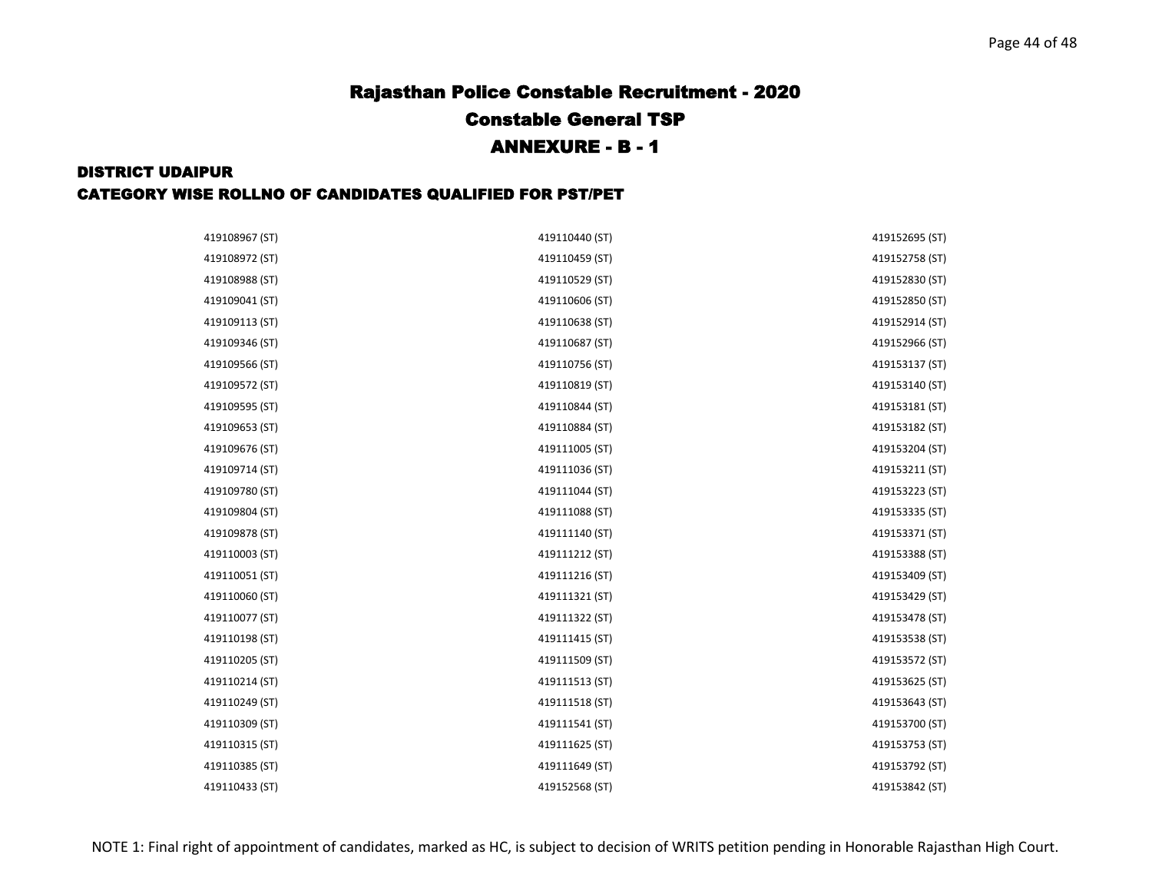| 419108967 (ST) | 419110440 (ST) | 419152695 (ST) |
|----------------|----------------|----------------|
| 419108972 (ST) | 419110459 (ST) | 419152758 (ST) |
| 419108988 (ST) | 419110529 (ST) | 419152830 (ST) |
| 419109041 (ST) | 419110606 (ST) | 419152850 (ST) |
| 419109113 (ST) | 419110638 (ST) | 419152914 (ST) |
| 419109346 (ST) | 419110687 (ST) | 419152966 (ST) |
| 419109566 (ST) | 419110756 (ST) | 419153137 (ST) |
| 419109572 (ST) | 419110819 (ST) | 419153140 (ST) |
| 419109595 (ST) | 419110844 (ST) | 419153181 (ST) |
| 419109653 (ST) | 419110884 (ST) | 419153182 (ST) |
| 419109676 (ST) | 419111005 (ST) | 419153204 (ST) |
| 419109714 (ST) | 419111036 (ST) | 419153211 (ST) |
| 419109780 (ST) | 419111044 (ST) | 419153223 (ST) |
| 419109804 (ST) | 419111088 (ST) | 419153335 (ST) |
| 419109878 (ST) | 419111140 (ST) | 419153371 (ST) |
| 419110003 (ST) | 419111212 (ST) | 419153388 (ST) |
| 419110051 (ST) | 419111216 (ST) | 419153409 (ST) |
| 419110060 (ST) | 419111321 (ST) | 419153429 (ST) |
| 419110077 (ST) | 419111322 (ST) | 419153478 (ST) |
| 419110198 (ST) | 419111415 (ST) | 419153538 (ST) |
| 419110205 (ST) | 419111509 (ST) | 419153572 (ST) |
| 419110214 (ST) | 419111513 (ST) | 419153625 (ST) |
| 419110249 (ST) | 419111518 (ST) | 419153643 (ST) |
| 419110309 (ST) | 419111541 (ST) | 419153700 (ST) |
| 419110315 (ST) | 419111625 (ST) | 419153753 (ST) |
| 419110385 (ST) | 419111649 (ST) | 419153792 (ST) |
| 419110433 (ST) | 419152568 (ST) | 419153842 (ST) |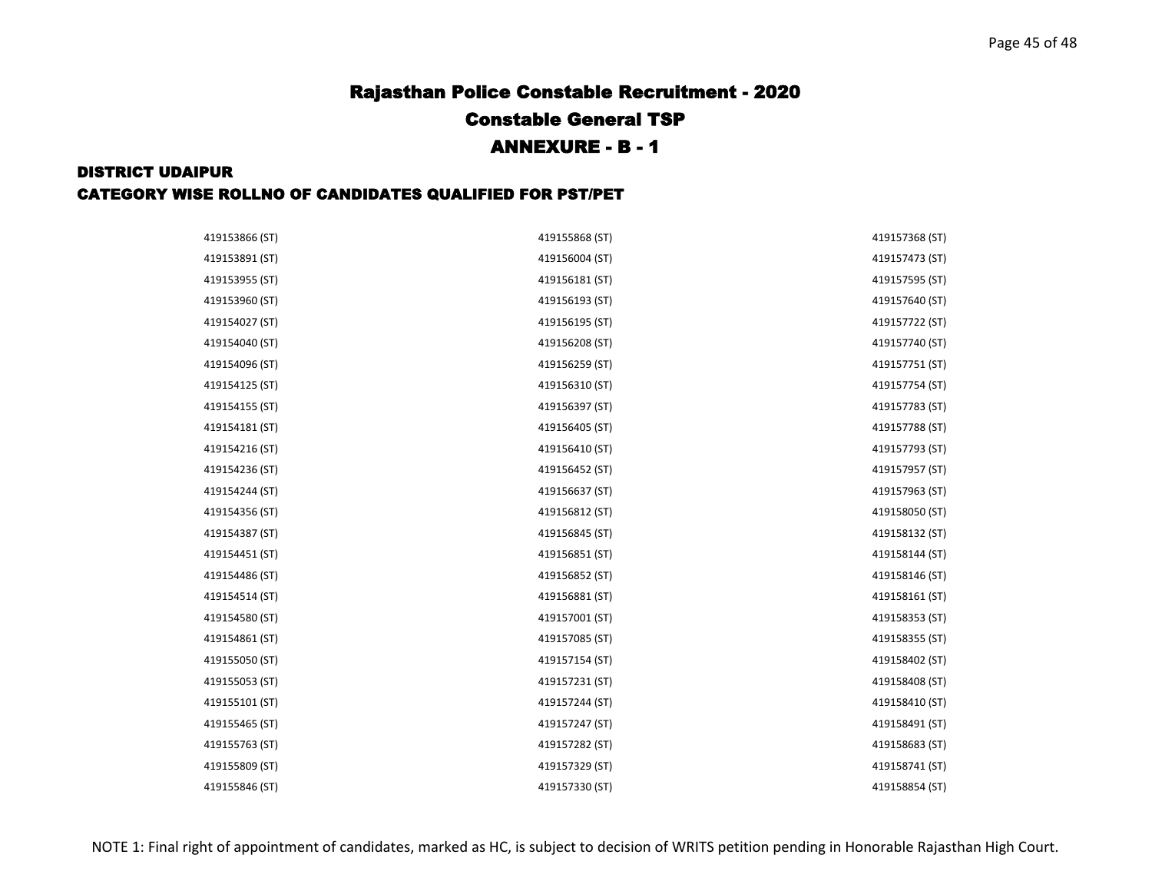| 419153866 (ST) | 419155868 (ST) | 419157368 (ST) |
|----------------|----------------|----------------|
| 419153891 (ST) | 419156004 (ST) | 419157473 (ST) |
| 419153955 (ST) | 419156181 (ST) | 419157595 (ST) |
| 419153960 (ST) | 419156193 (ST) | 419157640 (ST) |
| 419154027 (ST) | 419156195 (ST) | 419157722 (ST) |
| 419154040 (ST) | 419156208 (ST) | 419157740 (ST) |
| 419154096 (ST) | 419156259 (ST) | 419157751 (ST) |
| 419154125 (ST) | 419156310 (ST) | 419157754 (ST) |
| 419154155 (ST) | 419156397 (ST) | 419157783 (ST) |
| 419154181 (ST) | 419156405 (ST) | 419157788 (ST) |
| 419154216 (ST) | 419156410 (ST) | 419157793 (ST) |
| 419154236 (ST) | 419156452 (ST) | 419157957 (ST) |
| 419154244 (ST) | 419156637 (ST) | 419157963 (ST) |
| 419154356 (ST) | 419156812 (ST) | 419158050 (ST) |
| 419154387 (ST) | 419156845 (ST) | 419158132 (ST) |
| 419154451 (ST) | 419156851 (ST) | 419158144 (ST) |
| 419154486 (ST) | 419156852 (ST) | 419158146 (ST) |
| 419154514 (ST) | 419156881 (ST) | 419158161 (ST) |
| 419154580 (ST) | 419157001 (ST) | 419158353 (ST) |
| 419154861 (ST) | 419157085 (ST) | 419158355 (ST) |
| 419155050 (ST) | 419157154 (ST) | 419158402 (ST) |
| 419155053 (ST) | 419157231 (ST) | 419158408 (ST) |
| 419155101 (ST) | 419157244 (ST) | 419158410 (ST) |
| 419155465 (ST) | 419157247 (ST) | 419158491 (ST) |
| 419155763 (ST) | 419157282 (ST) | 419158683 (ST) |
| 419155809 (ST) | 419157329 (ST) | 419158741 (ST) |
| 419155846 (ST) | 419157330 (ST) | 419158854 (ST) |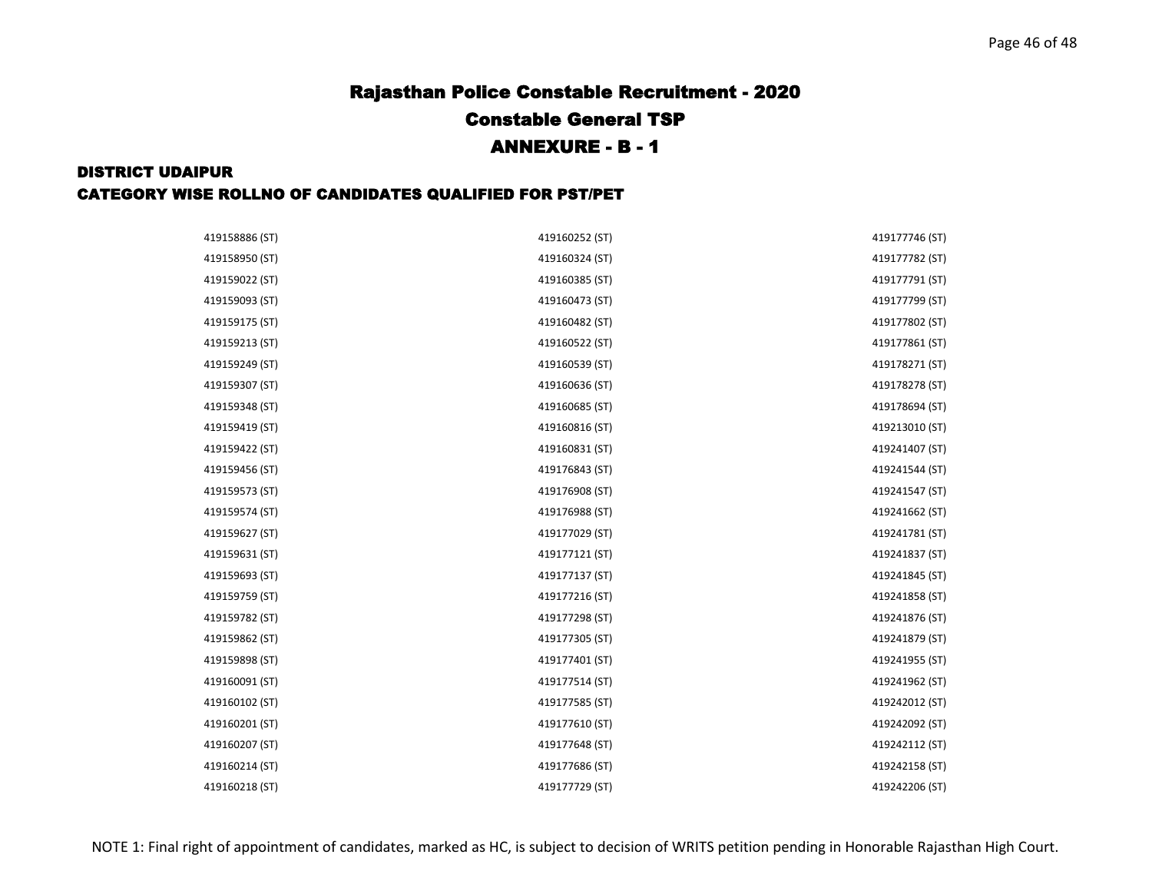| 419158886 (ST) | 419160252 (ST) | 419177746 (ST) |
|----------------|----------------|----------------|
| 419158950 (ST) | 419160324 (ST) | 419177782 (ST) |
| 419159022 (ST) | 419160385 (ST) | 419177791 (ST) |
| 419159093 (ST) | 419160473 (ST) | 419177799 (ST) |
| 419159175 (ST) | 419160482 (ST) | 419177802 (ST) |
| 419159213 (ST) | 419160522 (ST) | 419177861 (ST) |
| 419159249 (ST) | 419160539 (ST) | 419178271 (ST) |
| 419159307 (ST) | 419160636 (ST) | 419178278 (ST) |
| 419159348 (ST) | 419160685 (ST) | 419178694 (ST) |
| 419159419 (ST) | 419160816 (ST) | 419213010 (ST) |
| 419159422 (ST) | 419160831 (ST) | 419241407 (ST) |
| 419159456 (ST) | 419176843 (ST) | 419241544 (ST) |
| 419159573 (ST) | 419176908 (ST) | 419241547 (ST) |
| 419159574 (ST) | 419176988 (ST) | 419241662 (ST) |
| 419159627 (ST) | 419177029 (ST) | 419241781 (ST) |
| 419159631 (ST) | 419177121 (ST) | 419241837 (ST) |
| 419159693 (ST) | 419177137 (ST) | 419241845 (ST) |
| 419159759 (ST) | 419177216 (ST) | 419241858 (ST) |
| 419159782 (ST) | 419177298 (ST) | 419241876 (ST) |
| 419159862 (ST) | 419177305 (ST) | 419241879 (ST) |
| 419159898 (ST) | 419177401 (ST) | 419241955 (ST) |
| 419160091 (ST) | 419177514 (ST) | 419241962 (ST) |
| 419160102 (ST) | 419177585 (ST) | 419242012 (ST) |
| 419160201 (ST) | 419177610 (ST) | 419242092 (ST) |
| 419160207 (ST) | 419177648 (ST) | 419242112 (ST) |
| 419160214 (ST) | 419177686 (ST) | 419242158 (ST) |
| 419160218 (ST) | 419177729 (ST) | 419242206 (ST) |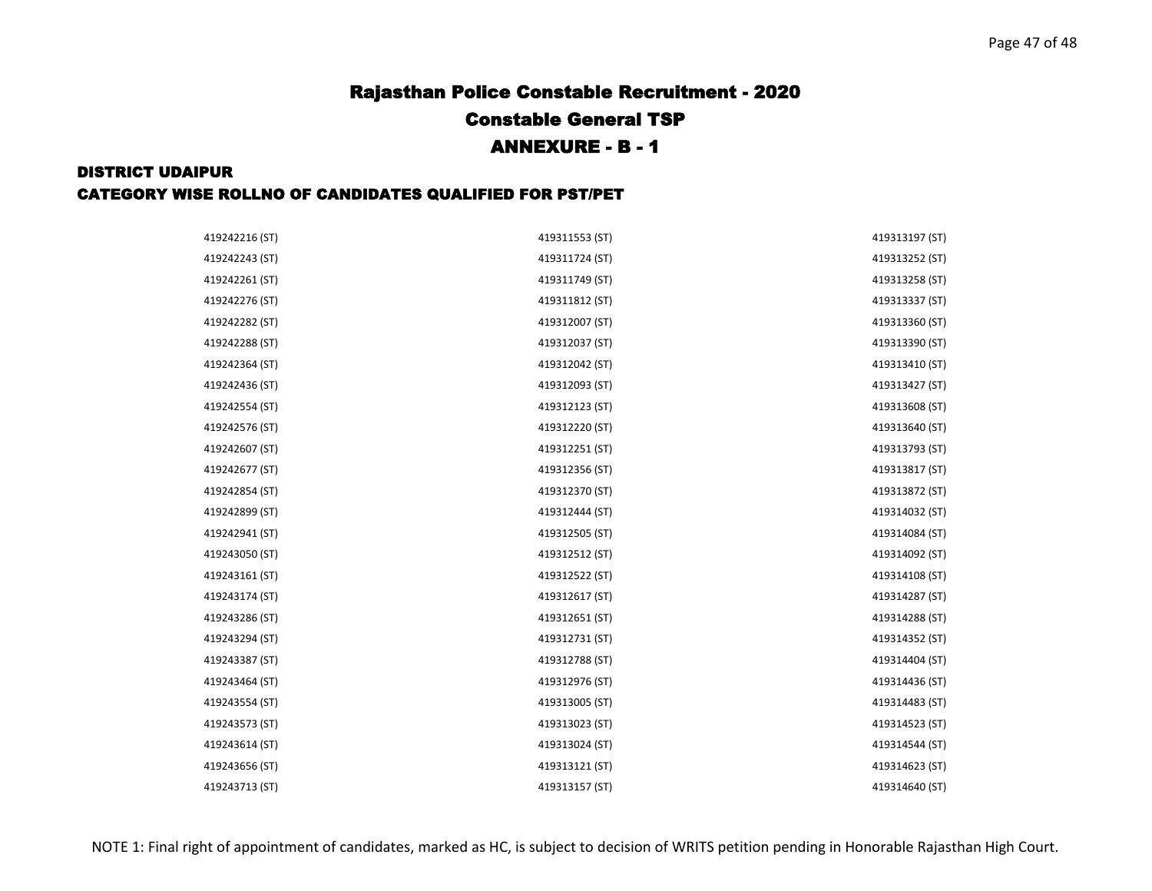#### DISTRICT UDAIPUR

#### CATEGORY WISE ROLLNO OF CANDIDATES QUALIFIED FOR PST/PET

| 419242216 (ST) | 419311553 (ST) | 419313197 (ST) |
|----------------|----------------|----------------|
| 419242243 (ST) | 419311724 (ST) | 419313252 (ST) |
| 419242261 (ST) | 419311749 (ST) | 419313258 (ST) |
| 419242276 (ST) | 419311812 (ST) | 419313337 (ST) |
| 419242282 (ST) | 419312007 (ST) | 419313360 (ST) |
| 419242288 (ST) | 419312037 (ST) | 419313390 (ST) |
| 419242364 (ST) | 419312042 (ST) | 419313410 (ST) |
| 419242436 (ST) | 419312093 (ST) | 419313427 (ST) |
| 419242554 (ST) | 419312123 (ST) | 419313608 (ST) |
| 419242576 (ST) | 419312220 (ST) | 419313640 (ST) |
| 419242607 (ST) | 419312251 (ST) | 419313793 (ST) |
| 419242677 (ST) | 419312356 (ST) | 419313817 (ST) |
| 419242854 (ST) | 419312370 (ST) | 419313872 (ST) |
| 419242899 (ST) | 419312444 (ST) | 419314032 (ST) |
| 419242941 (ST) | 419312505 (ST) | 419314084 (ST) |
| 419243050 (ST) | 419312512 (ST) | 419314092 (ST) |
| 419243161 (ST) | 419312522 (ST) | 419314108 (ST) |
| 419243174 (ST) | 419312617 (ST) | 419314287 (ST) |
| 419243286 (ST) | 419312651 (ST) | 419314288 (ST) |
| 419243294 (ST) | 419312731 (ST) | 419314352 (ST) |
| 419243387 (ST) | 419312788 (ST) | 419314404 (ST) |
| 419243464 (ST) | 419312976 (ST) | 419314436 (ST) |
| 419243554 (ST) | 419313005 (ST) | 419314483 (ST) |
| 419243573 (ST) | 419313023 (ST) | 419314523 (ST) |
| 419243614 (ST) | 419313024 (ST) | 419314544 (ST) |
| 419243656 (ST) | 419313121 (ST) | 419314623 (ST) |
| 419243713 (ST) | 419313157 (ST) | 419314640 (ST) |